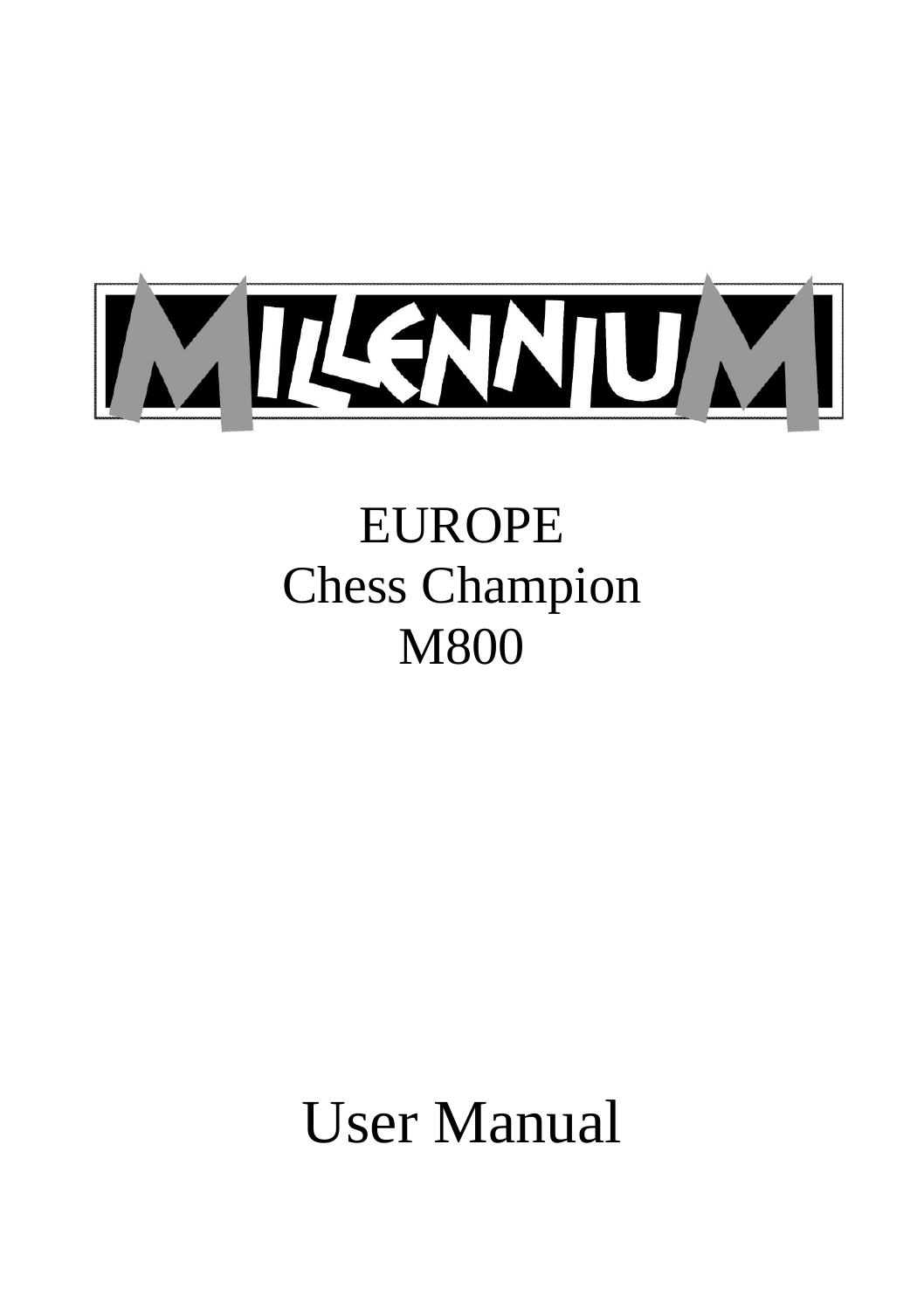

# EUROPE Chess Champion M800

User Manual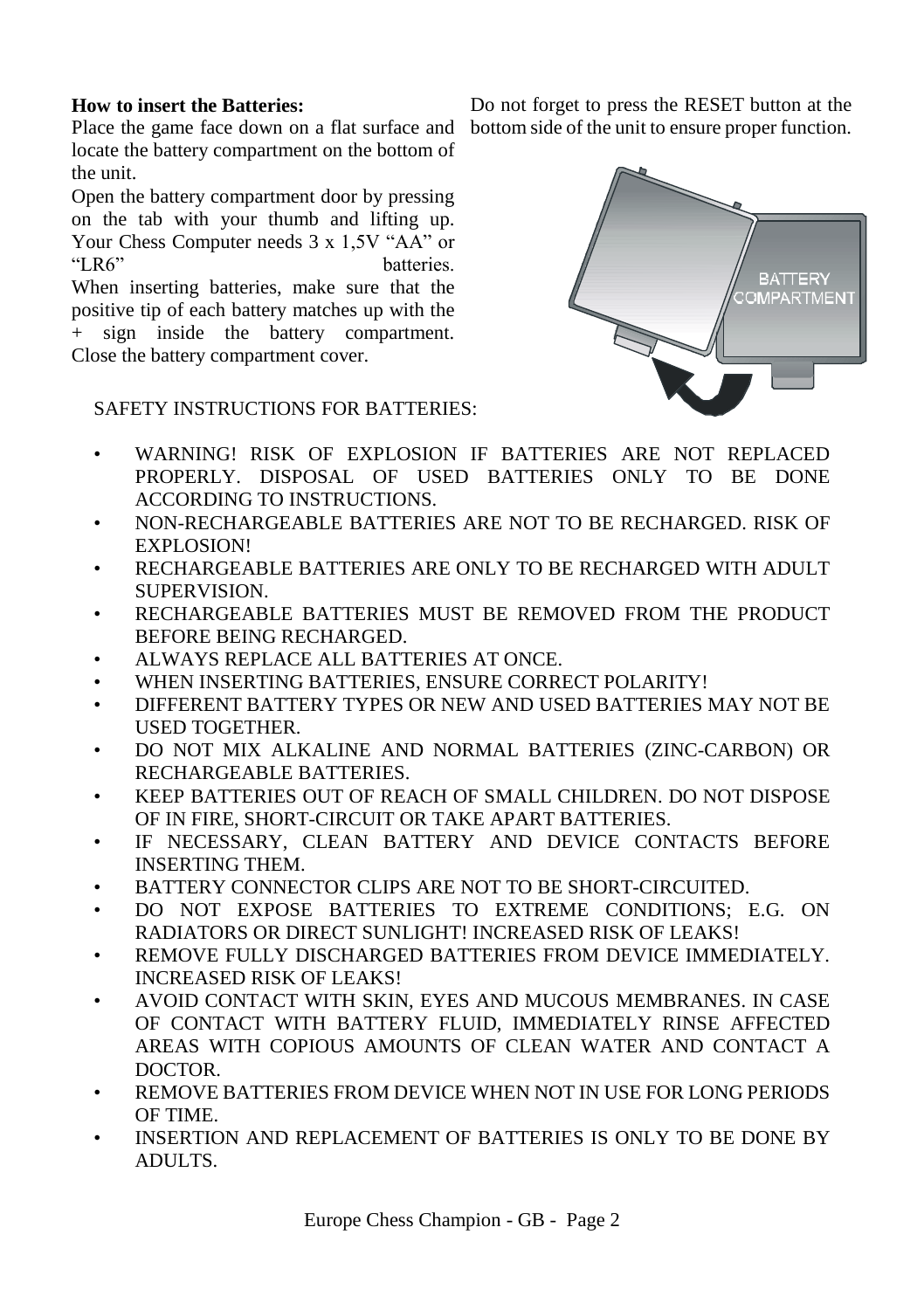#### **How to insert the Batteries:**

Place the game face down on a flat surface and bottom side of the unit to ensure proper function. locate the battery compartment on the bottom of the unit.

Open the battery compartment door by pressing on the tab with your thumb and lifting up. Your Chess Computer needs 3 x 1,5V "AA" or<br>"LR6" batteries batteries.

When inserting batteries, make sure that the positive tip of each battery matches up with the sign inside the battery compartment. Close the battery compartment cover.

Do not forget to press the RESET button at the



- SAFETY INSTRUCTIONS FOR BATTERIES:
- WARNING! RISK OF EXPLOSION IF BATTERIES ARE NOT REPLACED PROPERLY. DISPOSAL OF USED BATTERIES ONLY TO BE DONE ACCORDING TO INSTRUCTIONS.
- NON-RECHARGEABLE BATTERIES ARE NOT TO BE RECHARGED. RISK OF EXPLOSION!
- RECHARGEABLE BATTERIES ARE ONLY TO BE RECHARGED WITH ADULT SUPERVISION.
- RECHARGEABLE BATTERIES MUST BE REMOVED FROM THE PRODUCT BEFORE BEING RECHARGED.
- ALWAYS REPLACE ALL BATTERIES AT ONCE.
- WHEN INSERTING BATTERIES, ENSURE CORRECT POLARITY!
- DIFFERENT BATTERY TYPES OR NEW AND USED BATTERIES MAY NOT BE USED TOGETHER.
- DO NOT MIX ALKALINE AND NORMAL BATTERIES (ZINC-CARBON) OR RECHARGEABLE BATTERIES.
- KEEP BATTERIES OUT OF REACH OF SMALL CHILDREN. DO NOT DISPOSE OF IN FIRE, SHORT-CIRCUIT OR TAKE APART BATTERIES.
- IF NECESSARY, CLEAN BATTERY AND DEVICE CONTACTS BEFORE INSERTING THEM.
- BATTERY CONNECTOR CLIPS ARE NOT TO BE SHORT-CIRCUITED.
- DO NOT EXPOSE BATTERIES TO EXTREME CONDITIONS; E.G. ON RADIATORS OR DIRECT SUNLIGHT! INCREASED RISK OF LEAKS!
- REMOVE FULLY DISCHARGED BATTERIES FROM DEVICE IMMEDIATELY. INCREASED RISK OF LEAKS!
- AVOID CONTACT WITH SKIN, EYES AND MUCOUS MEMBRANES. IN CASE OF CONTACT WITH BATTERY FLUID, IMMEDIATELY RINSE AFFECTED AREAS WITH COPIOUS AMOUNTS OF CLEAN WATER AND CONTACT A DOCTOR.
- REMOVE BATTERIES FROM DEVICE WHEN NOT IN USE FOR LONG PERIODS OF TIME.
- INSERTION AND REPLACEMENT OF BATTERIES IS ONLY TO BE DONE BY ADULTS.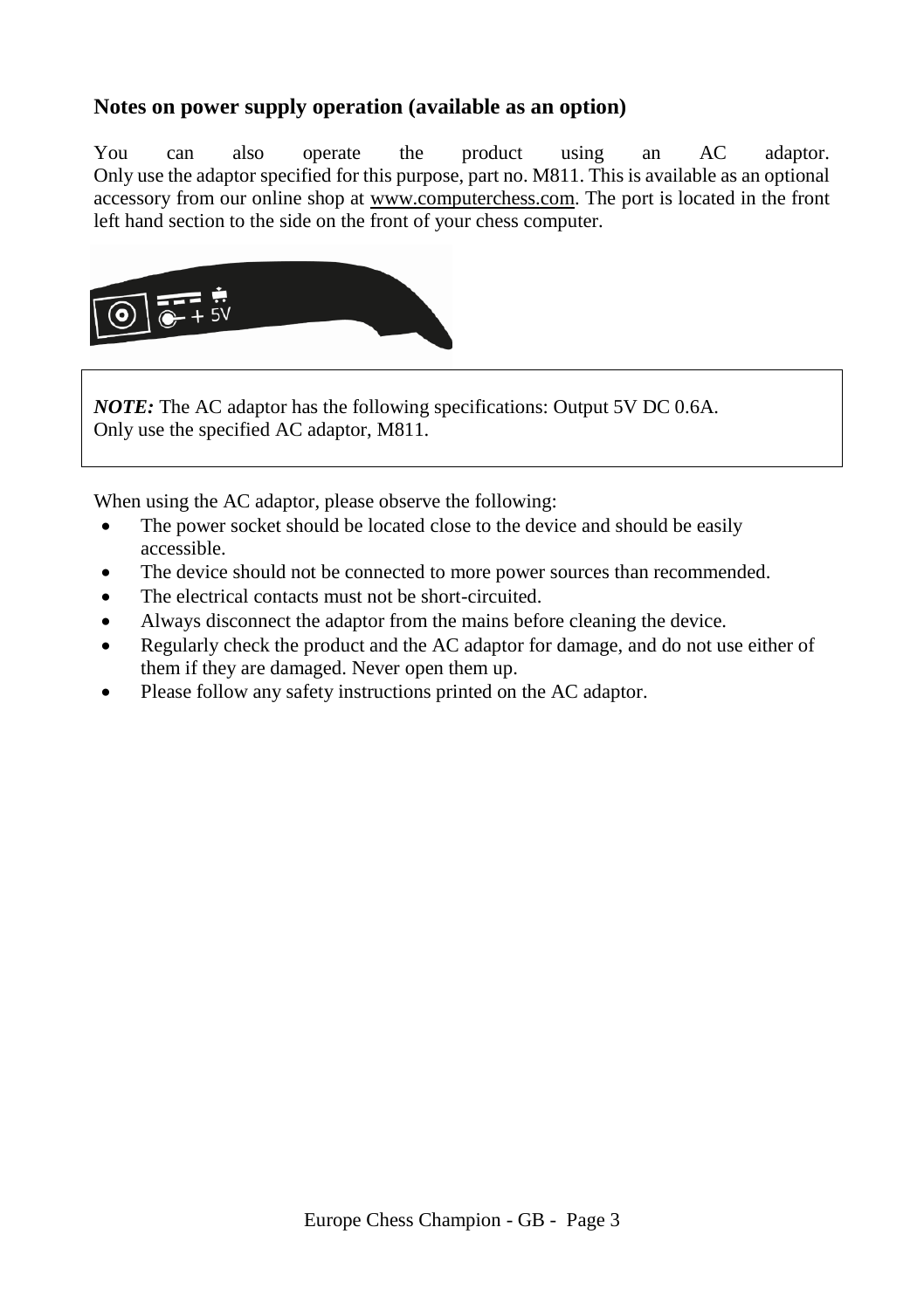# **Notes on power supply operation (available as an option)**

You can also operate the product using an AC adaptor. Only use the adaptor specified for this purpose, part no. M811. This is available as an optional accessory from our online shop at [www.computerchess.com.](http://www.computerchess.com/) The port is located in the front left hand section to the side on the front of your chess computer.



*NOTE:* The AC adaptor has the following specifications: Output 5V DC 0.6A. Only use the specified AC adaptor, M811.

When using the AC adaptor, please observe the following:

- The power socket should be located close to the device and should be easily accessible.
- The device should not be connected to more power sources than recommended.
- The electrical contacts must not be short-circuited.
- Always disconnect the adaptor from the mains before cleaning the device.
- Regularly check the product and the AC adaptor for damage, and do not use either of them if they are damaged. Never open them up.
- Please follow any safety instructions printed on the AC adaptor.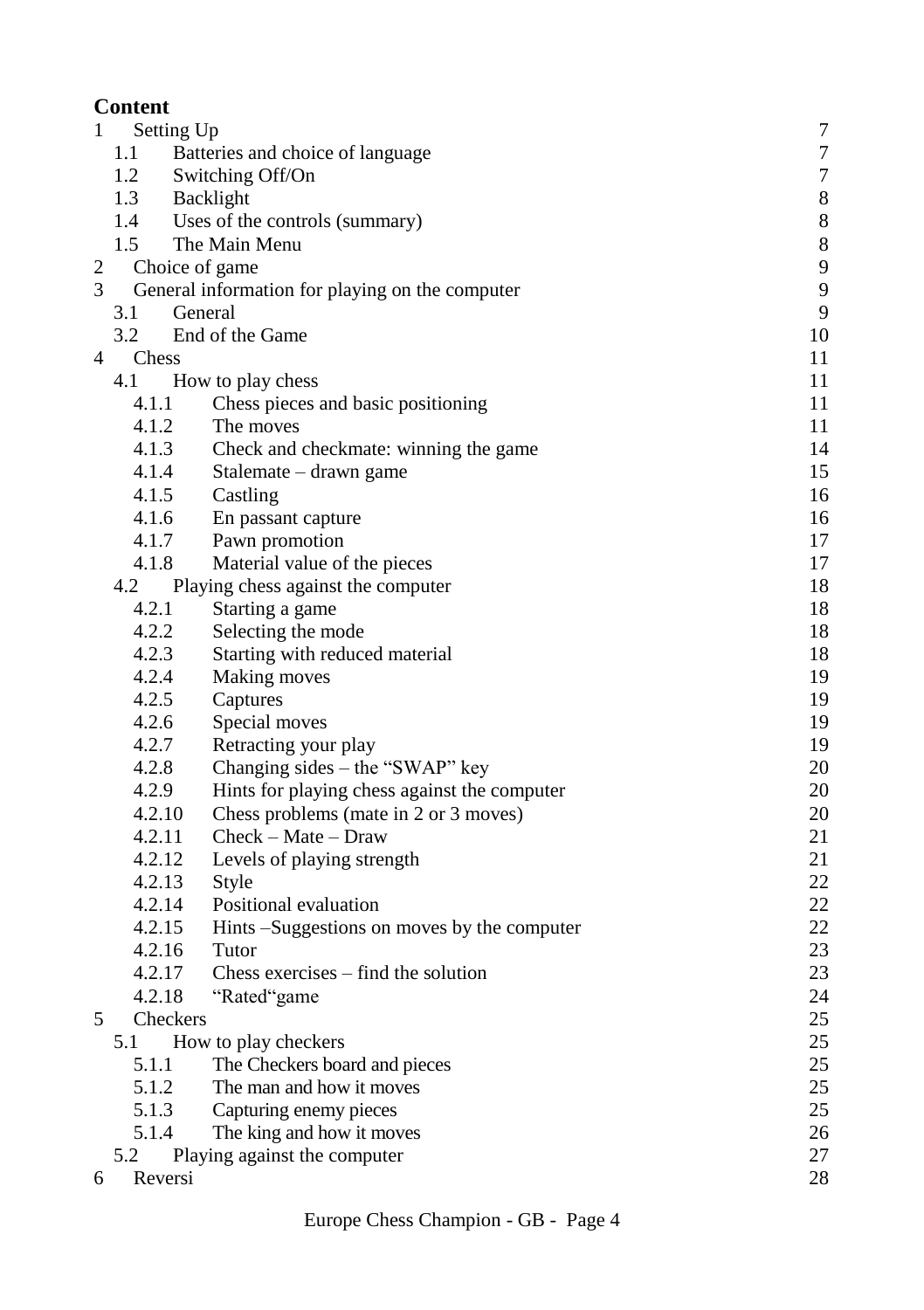# **Content**

| $\mathbf{1}$   | Setting Up |                                                 | 7              |
|----------------|------------|-------------------------------------------------|----------------|
|                | 1.1        | Batteries and choice of language                | $\overline{7}$ |
|                | 1.2        | Switching Off/On                                | $\overline{7}$ |
|                | 1.3        | Backlight                                       | 8              |
|                | 1.4        | Uses of the controls (summary)                  | 8              |
|                | 1.5        | The Main Menu                                   | $\,$ 8 $\,$    |
| 2              |            | Choice of game                                  | 9              |
| $\mathfrak{Z}$ |            | General information for playing on the computer | 9              |
|                | 3.1        | General                                         | 9              |
|                | 3.2        | End of the Game                                 | 10             |
| 4              | Chess      |                                                 | 11             |
|                | 4.1        | How to play chess                               | 11             |
|                | 4.1.1      | Chess pieces and basic positioning              | 11             |
|                | 4.1.2      | The moves                                       | 11             |
|                | 4.1.3      | Check and checkmate: winning the game           | 14             |
|                | 4.1.4      | Stalemate – drawn game                          | 15             |
|                | 4.1.5      | Castling                                        | 16             |
|                | 4.1.6      | En passant capture                              | 16             |
|                | 4.1.7      | Pawn promotion                                  | 17             |
|                | 4.1.8      | Material value of the pieces                    | 17             |
|                | 4.2        | Playing chess against the computer              | 18             |
|                | 4.2.1      | Starting a game                                 | 18             |
|                | 4.2.2      | Selecting the mode                              | 18             |
|                | 4.2.3      | Starting with reduced material                  | 18             |
|                | 4.2.4      | Making moves                                    | 19             |
|                | 4.2.5      | Captures                                        | 19             |
|                | 4.2.6      | Special moves                                   | 19             |
|                | 4.2.7      | Retracting your play                            | 19             |
|                | 4.2.8      | Changing sides - the "SWAP" key                 | 20             |
|                | 4.2.9      | Hints for playing chess against the computer    | 20             |
|                | 4.2.10     | Chess problems (mate in 2 or 3 moves)           | 20             |
|                | 4.2.11     | $Check - Mate - Draw$                           | 21             |
|                | 4.2.12     | Levels of playing strength                      | 21             |
|                | 4.2.13     | Style                                           | 22             |
|                | 4.2.14     | Positional evaluation                           | 22             |
|                | 4.2.15     | Hints –Suggestions on moves by the computer     | 22             |
|                | 4.2.16     | Tutor                                           | 23             |
|                | 4.2.17     | Chess exercises $-$ find the solution           | 23             |
|                | 4.2.18     | "Rated"game                                     | 24             |
| 5              | Checkers   |                                                 | 25             |
|                | 5.1        | How to play checkers                            | 25             |
|                | 5.1.1      | The Checkers board and pieces                   | 25             |
|                | 5.1.2      | The man and how it moves                        | 25             |
|                | 5.1.3      | Capturing enemy pieces                          | 25             |
|                | 5.1.4      | The king and how it moves                       | 26             |
|                | 5.2        | Playing against the computer                    | 27             |
| 6              | Reversi    |                                                 | 28             |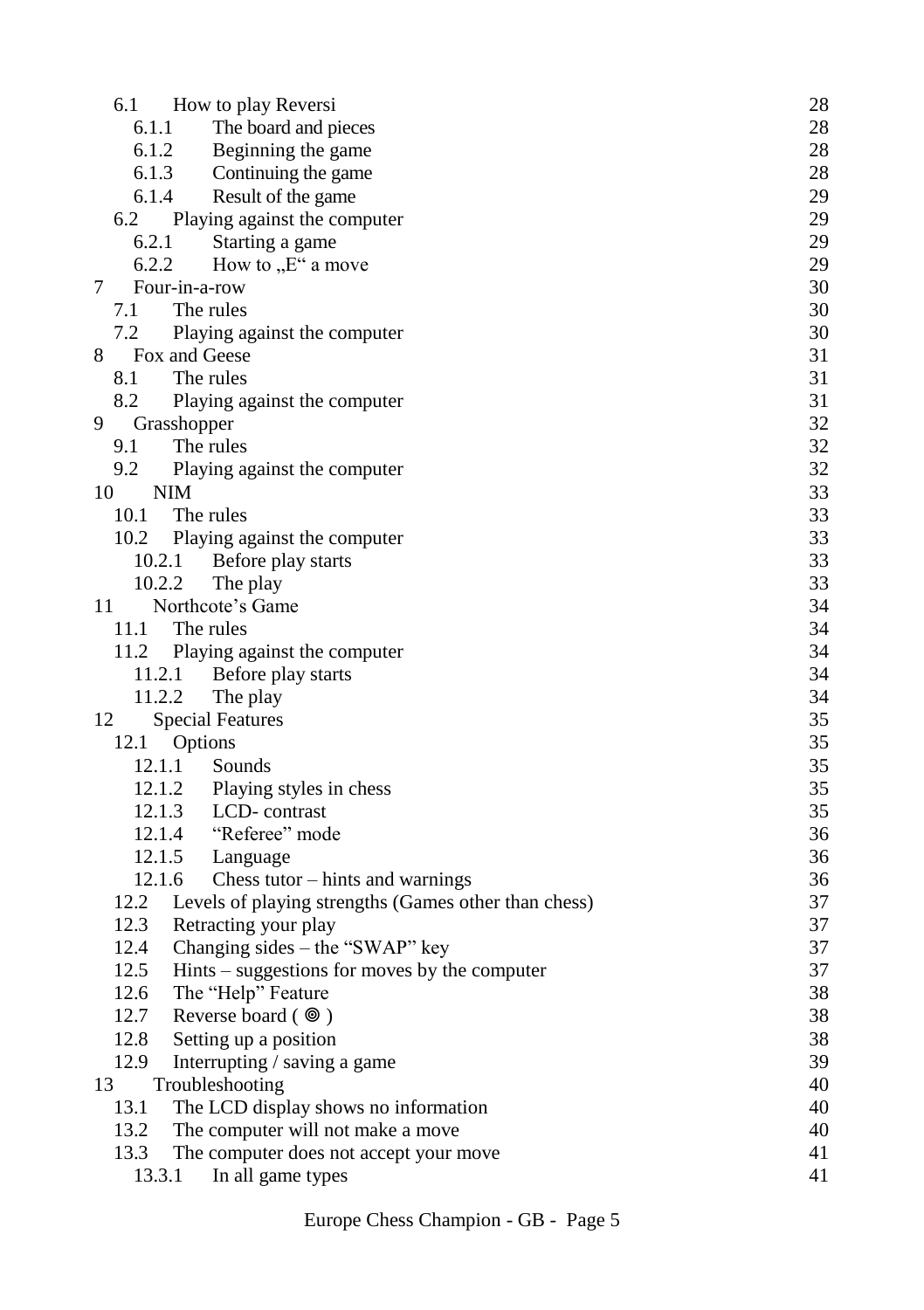|    | 6.1    | How to play Reversi                                  | 28 |
|----|--------|------------------------------------------------------|----|
|    | 6.1.1  | The board and pieces                                 | 28 |
|    | 6.1.2  | Beginning the game                                   | 28 |
|    | 6.1.3  | Continuing the game                                  | 28 |
|    | 6.1.4  | Result of the game                                   | 29 |
|    | 6.2    | Playing against the computer                         | 29 |
|    | 6.2.1  | Starting a game                                      | 29 |
|    | 6.2.2  | How to "E" a move                                    | 29 |
| 7  |        | Four-in-a-row                                        | 30 |
|    | 7.1    | The rules                                            | 30 |
|    | 7.2    | Playing against the computer                         | 30 |
| 8  |        | Fox and Geese                                        | 31 |
|    | 8.1    | The rules                                            | 31 |
|    | 8.2    | Playing against the computer                         | 31 |
| 9  |        | Grasshopper                                          | 32 |
|    | 9.1    | The rules                                            | 32 |
|    | 9.2    | Playing against the computer                         | 32 |
| 10 |        | NIM                                                  | 33 |
|    | 10.1   | The rules                                            | 33 |
|    | 10.2   | Playing against the computer                         | 33 |
|    | 10.2.1 | Before play starts                                   | 33 |
|    | 10.2.2 | The play                                             | 33 |
|    |        | Northcote's Game                                     | 34 |
| 11 | 11.1   |                                                      | 34 |
|    |        | The rules                                            |    |
|    | 11.2   | Playing against the computer                         | 34 |
|    | 11.2.1 | Before play starts                                   | 34 |
|    | 11.2.2 | The play                                             | 34 |
| 12 |        | <b>Special Features</b>                              | 35 |
|    | 12.1   | Options                                              | 35 |
|    | 12.1.1 | Sounds                                               | 35 |
|    | 12.1.2 | Playing styles in chess                              | 35 |
|    |        | 12.1.3<br>LCD-contrast                               | 35 |
|    |        | 12.1.4<br>"Referee" mode                             | 36 |
|    | 12.1.5 | Language                                             | 36 |
|    | 12.1.6 | Chess tutor $-$ hints and warnings                   | 36 |
|    | 12.2   | Levels of playing strengths (Games other than chess) | 37 |
|    | 12.3   | Retracting your play                                 | 37 |
|    | 12.4   | Changing sides - the "SWAP" key                      | 37 |
|    | 12.5   | $Hints - suggestions for moves by the computer$      | 37 |
|    | 12.6   | The "Help" Feature                                   | 38 |
|    | 12.7   | Reverse board $(\circledcirc)$                       | 38 |
|    | 12.8   | Setting up a position                                | 38 |
|    | 12.9   | Interrupting / saving a game                         | 39 |
| 13 |        | Troubleshooting                                      | 40 |
|    | 13.1   | The LCD display shows no information                 | 40 |
|    | 13.2   | The computer will not make a move                    | 40 |
|    | 13.3   | The computer does not accept your move               | 41 |
|    | 13.3.1 | In all game types                                    | 41 |
|    |        |                                                      |    |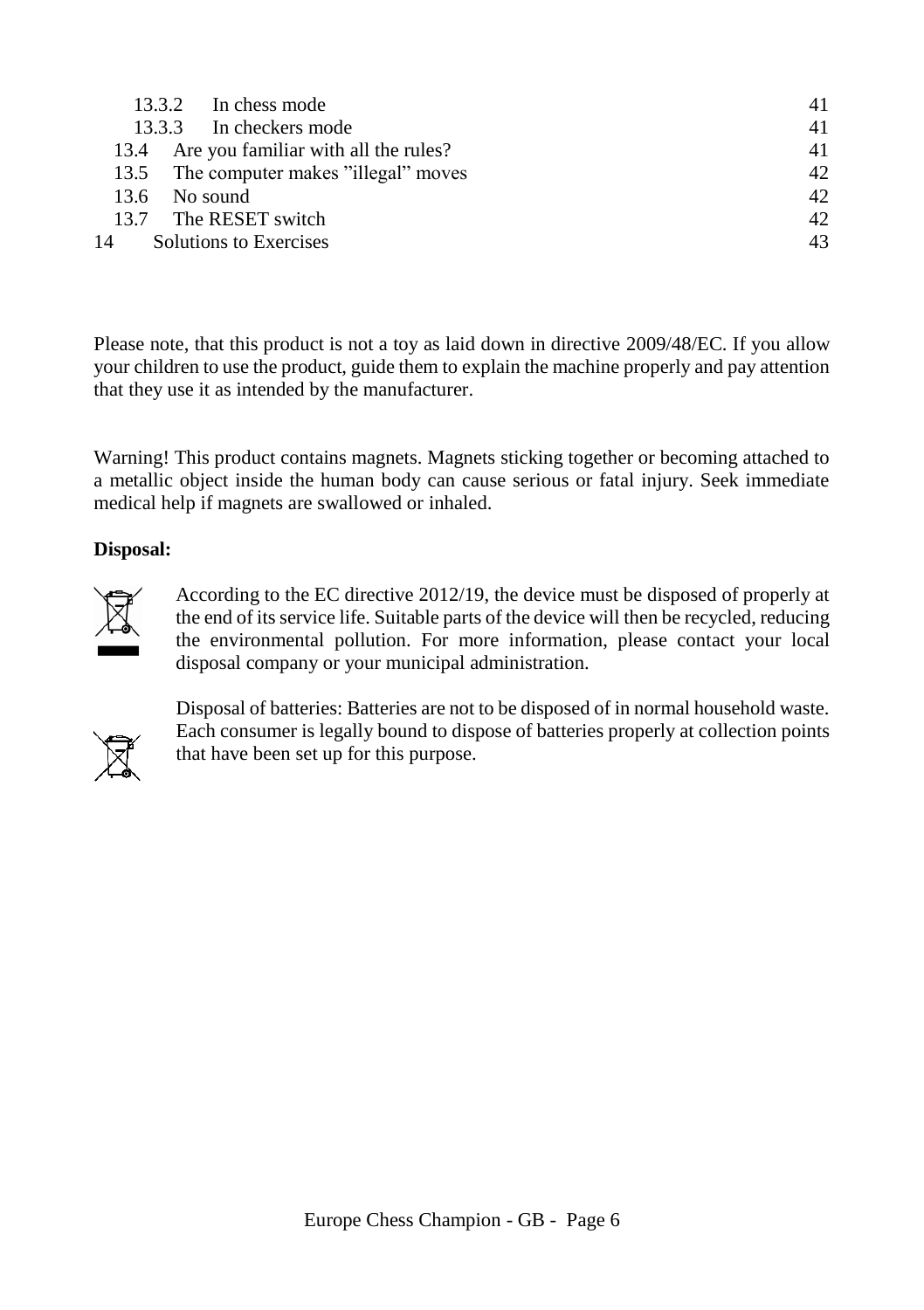| 13.3.2 In chess mode                      | 41 |
|-------------------------------------------|----|
| 13.3.3 In checkers mode                   | 41 |
| 13.4 Are you familiar with all the rules? | 41 |
| 13.5 The computer makes "illegal" moves   | 42 |
| $13.6$ No sound                           | 42 |
| 13.7 The RESET switch                     | 42 |
| 14 Solutions to Exercises                 | 43 |
|                                           |    |

Please note, that this product is not a toy as laid down in directive 2009/48/EC. If you allow your children to use the product, guide them to explain the machine properly and pay attention that they use it as intended by the manufacturer.

Warning! This product contains magnets. Magnets sticking together or becoming attached to a metallic object inside the human body can cause serious or fatal injury. Seek immediate medical help if magnets are swallowed or inhaled.

# **Disposal:**



According to the EC directive 2012/19, the device must be disposed of properly at the end of its service life. Suitable parts of the device will then be recycled, reducing the environmental pollution. For more information, please contact your local disposal company or your municipal administration.



Disposal of batteries: Batteries are not to be disposed of in normal household waste. Each consumer is legally bound to dispose of batteries properly at collection points that have been set up for this purpose.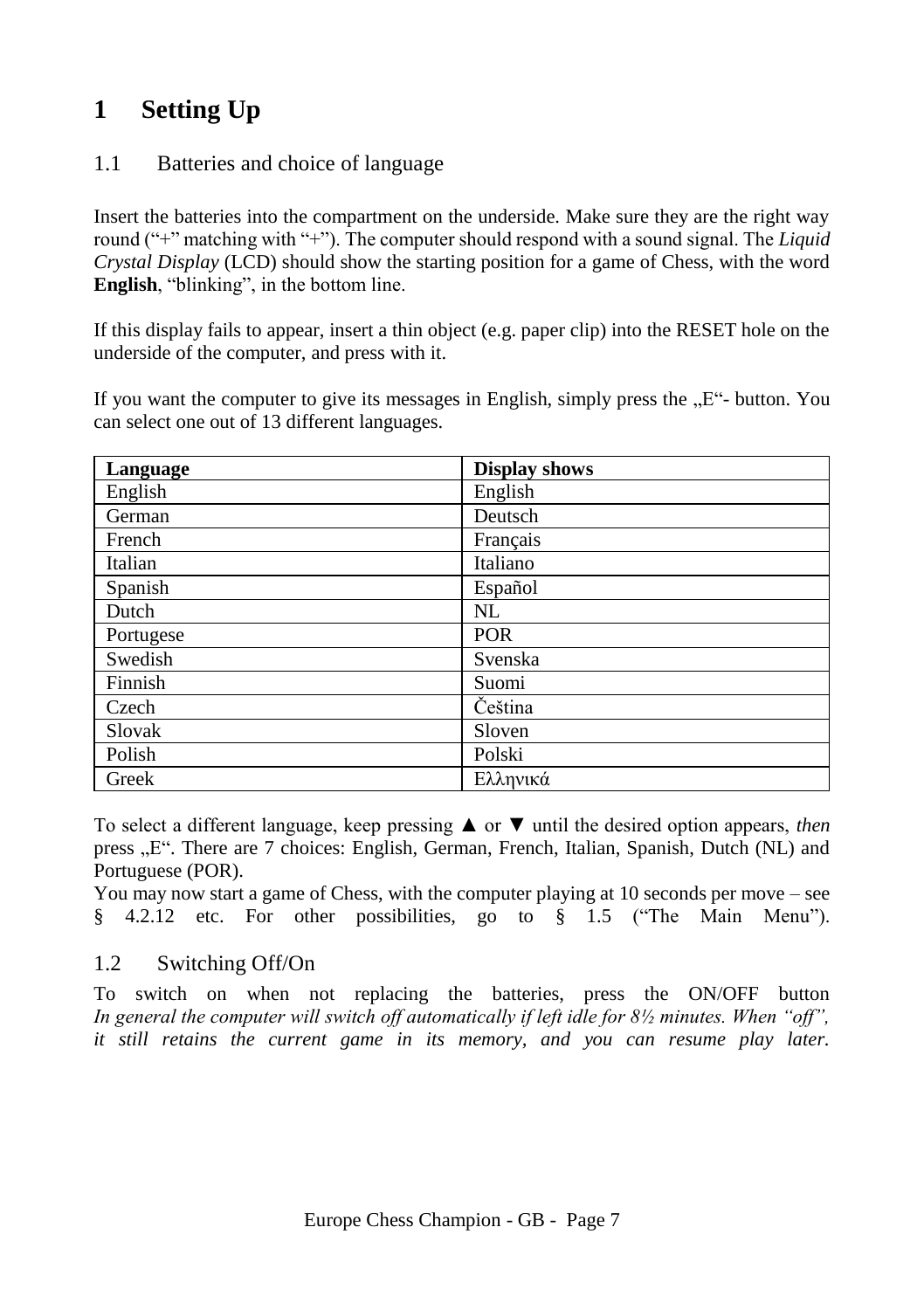# <span id="page-6-0"></span>**1 Setting Up**

# <span id="page-6-1"></span>1.1 Batteries and choice of language

Insert the batteries into the compartment on the underside. Make sure they are the right way round ("+" matching with "+"). The computer should respond with a sound signal. The *Liquid Crystal Display* (LCD) should show the starting position for a game of Chess, with the word **English**, "blinking", in the bottom line.

If this display fails to appear, insert a thin object (e.g. paper clip) into the RESET hole on the underside of the computer, and press with it.

If you want the computer to give its messages in English, simply press the  $E^2$ - button. You can select one out of 13 different languages.

| Language  | <b>Display shows</b> |
|-----------|----------------------|
| English   | English              |
| German    | Deutsch              |
| French    | Français             |
| Italian   | Italiano             |
| Spanish   | Español              |
| Dutch     | NL                   |
| Portugese | <b>POR</b>           |
| Swedish   | Svenska              |
| Finnish   | Suomi                |
| Czech     | Čeština              |
| Slovak    | Sloven               |
| Polish    | Polski               |
| Greek     | Ελληνικά             |

To select a different language, keep pressing ▲ or ▼ until the desired option appears, *then* press ...E". There are 7 choices: English, German, French, Italian, Spanish, Dutch (NL) and Portuguese (POR).

You may now start a game of Chess, with the computer playing at 10 seconds per move – see § [4.2.12](#page-20-1) etc. For other possibilities, go to § [1.5](#page-7-2) ("The Main Menu").

# <span id="page-6-2"></span>1.2 Switching Off/On

To switch on when not replacing the batteries, press the ON/OFF button *In general the computer will switch off automatically if left idle for 8½ minutes. When "off", it still retains the current game in its memory, and you can resume play later.*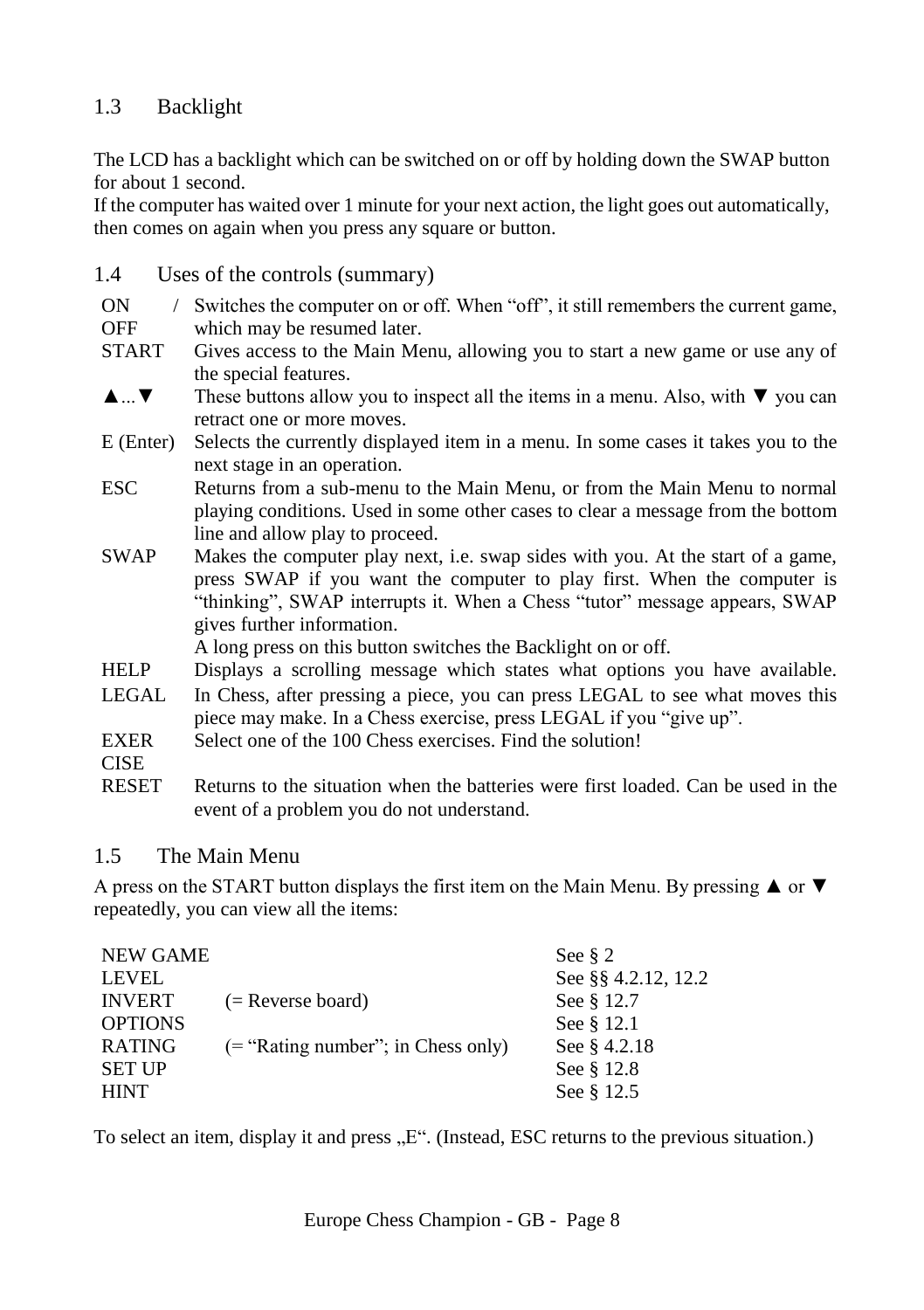# <span id="page-7-0"></span>1.3 Backlight

The LCD has a backlight which can be switched on or off by holding down the SWAP button for about 1 second.

If the computer has waited over 1 minute for your next action, the light goes out automatically, then comes on again when you press any square or button.

- <span id="page-7-1"></span>1.4 Uses of the controls (summary)
- $ON$ Switches the computer on or off. When "off", it still remembers the current game,
- **OFF** which may be resumed later.
- START Gives access to the Main Menu, allowing you to start a new game or use any of the special features.
- ▲...▼ These buttons allow you to inspect all the items in a menu. Also, with ▼ you can retract one or more moves.
- E (Enter) Selects the currently displayed item in a menu. In some cases it takes you to the next stage in an operation.
- ESC Returns from a sub-menu to the Main Menu, or from the Main Menu to normal playing conditions. Used in some other cases to clear a message from the bottom line and allow play to proceed.
- SWAP Makes the computer play next, i.e. swap sides with you. At the start of a game, press SWAP if you want the computer to play first. When the computer is "thinking", SWAP interrupts it. When a Chess "tutor" message appears, SWAP gives further information.

A long press on this button switches the Backlight on or off.

- HELP Displays a scrolling message which states what options you have available.
- LEGAL In Chess, after pressing a piece, you can press LEGAL to see what moves this piece may make. In a Chess exercise, press LEGAL if you "give up".
- EXER Select one of the 100 Chess exercises. Find the solution!
- CISE
- RESET Returns to the situation when the batteries were first loaded. Can be used in the event of a problem you do not understand.

# <span id="page-7-2"></span>1.5 The Main Menu

A press on the START button displays the first item on the Main Menu. By pressing  $\triangle$  or  $\nabla$ repeatedly, you can view all the items:

| NEW GAME       |                                       | See $\S$ 2          |
|----------------|---------------------------------------|---------------------|
| <b>LEVEL</b>   |                                       | See §§ 4.2.12, 12.2 |
| <b>INVERT</b>  | $(=$ Reverse board)                   | See § 12.7          |
| <b>OPTIONS</b> |                                       | See § 12.1          |
| RATING         | $($ = "Rating number"; in Chess only) | See § 4.2.18        |
| <b>SET UP</b>  |                                       | See § 12.8          |
| <b>HINT</b>    |                                       | See § 12.5          |

To select an item, display it and press ...E. (Instead, ESC returns to the previous situation.)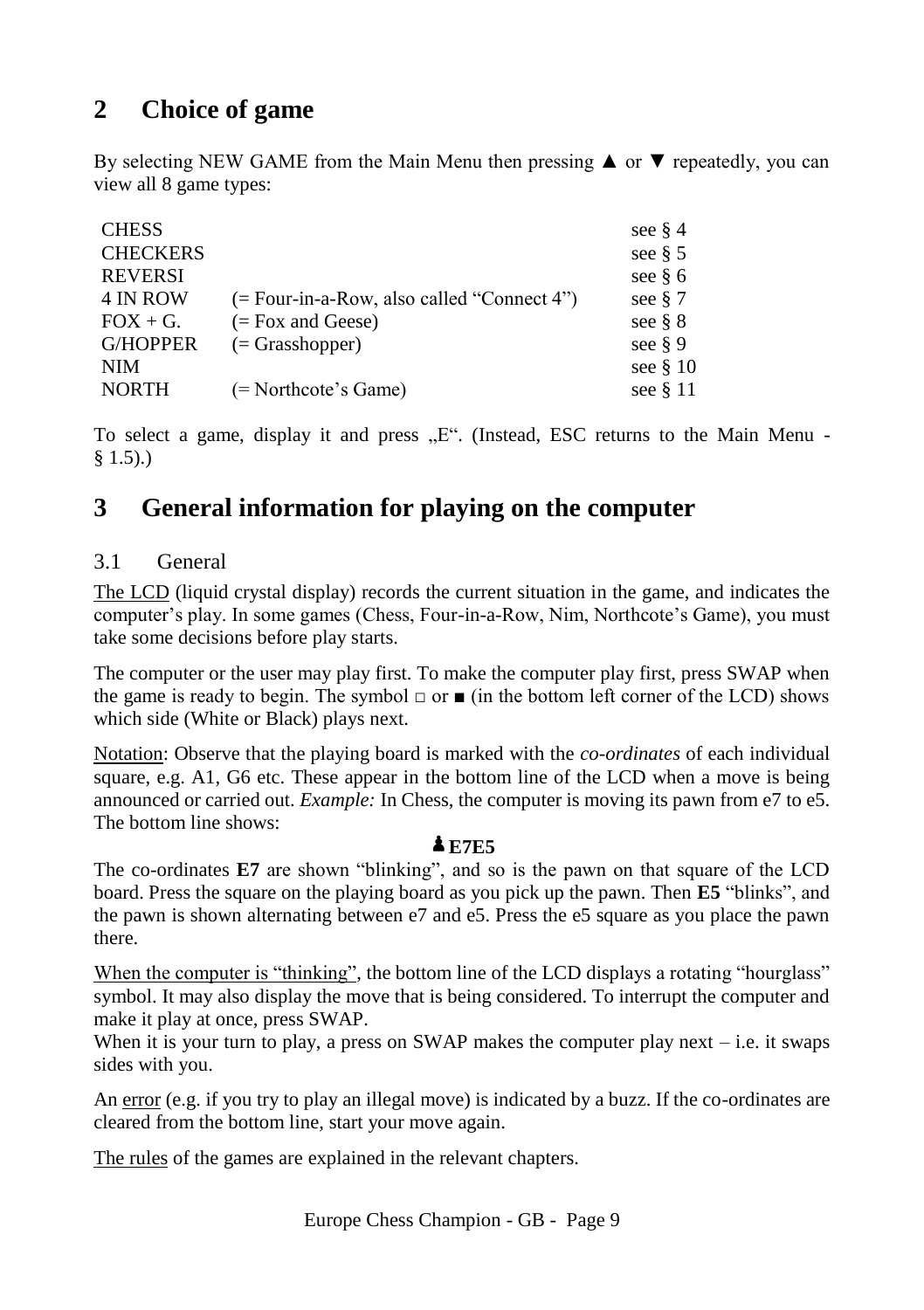# <span id="page-8-0"></span>**2 Choice of game**

By selecting NEW GAME from the Main Menu then pressing  $\triangle$  or  $\nabla$  repeatedly, you can view all 8 game types:

| <b>CHESS</b>    |                                              | see $\S$ 4 |
|-----------------|----------------------------------------------|------------|
| <b>CHECKERS</b> |                                              | see $\S$ 5 |
| <b>REVERSI</b>  |                                              | see $\S$ 6 |
| 4 IN ROW        | $(= Four-in-a-Row, also called "Connect 4")$ | see $§ 7$  |
| $FOX + G.$      | $(=$ Fox and Geese)                          | see $\S 8$ |
| <b>G/HOPPER</b> | $(=$ Grasshopper)                            | see $\S$ 9 |
| <b>NIM</b>      |                                              | see $§$ 10 |
| <b>NORTH</b>    | (= Northcote's Game)                         | see $§$ 11 |
|                 |                                              |            |

To select a game, display it and press "E". (Instead, ESC returns to the Main Menu - $§ 1.5).$  $§ 1.5).$ 

# <span id="page-8-1"></span>**3 General information for playing on the computer**

# <span id="page-8-2"></span>3.1 General

The LCD (liquid crystal display) records the current situation in the game, and indicates the computer's play. In some games (Chess, Four-in-a-Row, Nim, Northcote's Game), you must take some decisions before play starts.

The computer or the user may play first. To make the computer play first, press SWAP when the game is ready to begin. The symbol  $\Box$  or  $\Box$  (in the bottom left corner of the LCD) shows which side (White or Black) plays next.

Notation: Observe that the playing board is marked with the *co-ordinates* of each individual square, e.g. A1, G6 etc. These appear in the bottom line of the LCD when a move is being announced or carried out. *Example:* In Chess, the computer is moving its pawn from e7 to e5. The bottom line shows:

# **E7E5**

The co-ordinates **E7** are shown "blinking", and so is the pawn on that square of the LCD board. Press the square on the playing board as you pick up the pawn. Then **E5** "blinks", and the pawn is shown alternating between e7 and e5. Press the e5 square as you place the pawn there.

When the computer is "thinking", the bottom line of the LCD displays a rotating "hourglass" symbol. It may also display the move that is being considered. To interrupt the computer and make it play at once, press SWAP.

When it is your turn to play, a press on SWAP makes the computer play next  $-$  i.e. it swaps sides with you.

An error (e.g. if you try to play an illegal move) is indicated by a buzz. If the co-ordinates are cleared from the bottom line, start your move again.

The rules of the games are explained in the relevant chapters.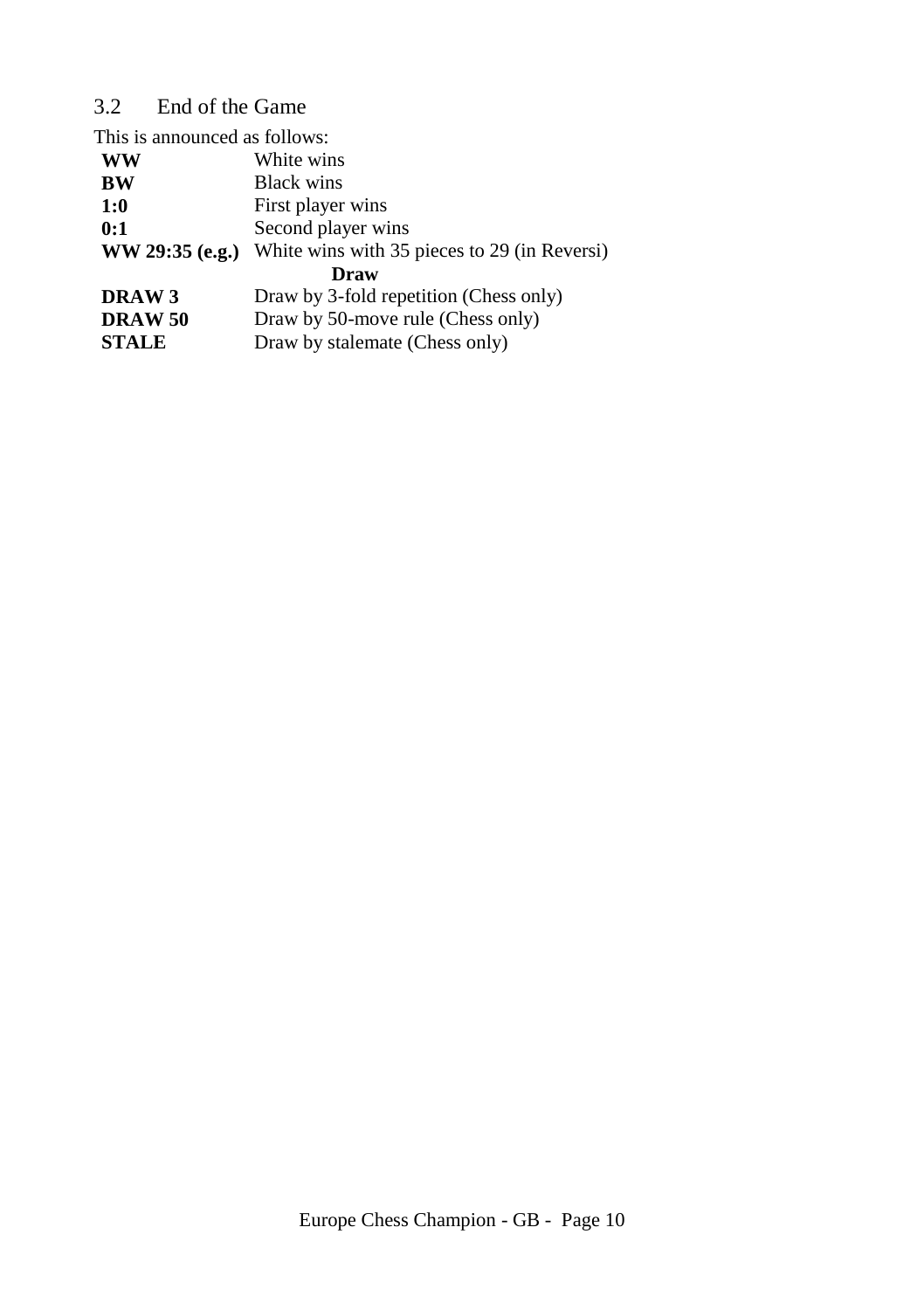# <span id="page-9-0"></span>3.2 End of the Game

| This is announced as follows: |                                              |  |  |  |
|-------------------------------|----------------------------------------------|--|--|--|
| <b>WW</b>                     | White wins                                   |  |  |  |
| <b>BW</b>                     | <b>Black wins</b>                            |  |  |  |
| 1:0                           | First player wins                            |  |  |  |
| 0:1                           | Second player wins                           |  |  |  |
| $WW 29:35$ (e.g.)             | White wins with 35 pieces to 29 (in Reversi) |  |  |  |
| Draw                          |                                              |  |  |  |
| DRAW 3                        | Draw by 3-fold repetition (Chess only)       |  |  |  |
| <b>DRAW 50</b>                | Draw by 50-move rule (Chess only)            |  |  |  |
| <b>STALE</b>                  | Draw by stalemate (Chess only)               |  |  |  |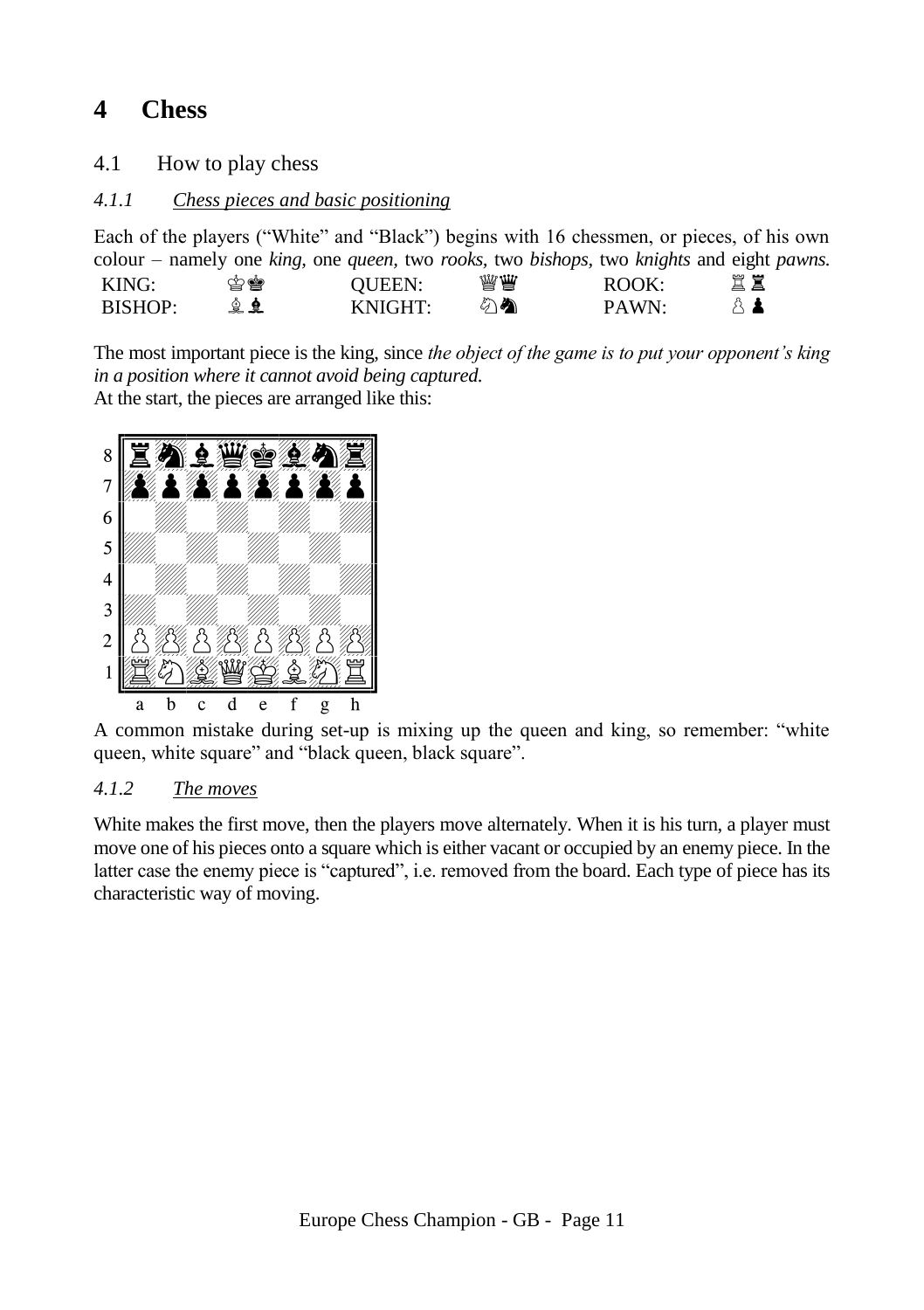# <span id="page-10-0"></span>**4 Chess**

<span id="page-10-1"></span>4.1 How to play chess

# <span id="page-10-2"></span>*4.1.1 Chess pieces and basic positioning*

Each of the players ("White" and "Black") begins with 16 chessmen, or pieces, of his own colour – namely one *king,* one *queen,* two *rooks,* two *bishops,* two *knights* and eight *pawns.* KING: QUEEN: ROOK: BISHOP: KNIGHT: PAWN:

The most important piece is the king, since *the object of the game is to put your opponent's king in a position where it cannot avoid being captured.* At the start, the pieces are arranged like this:



A common mistake during set-up is mixing up the queen and king, so remember: "white queen, white square" and "black queen, black square".

# <span id="page-10-3"></span>*4.1.2 The moves*

White makes the first move, then the players move alternately. When it is his turn, a player must move one of his pieces onto a square which is either vacant or occupied by an enemy piece. In the latter case the enemy piece is "captured", i.e. removed from the board. Each type of piece has its characteristic way of moving.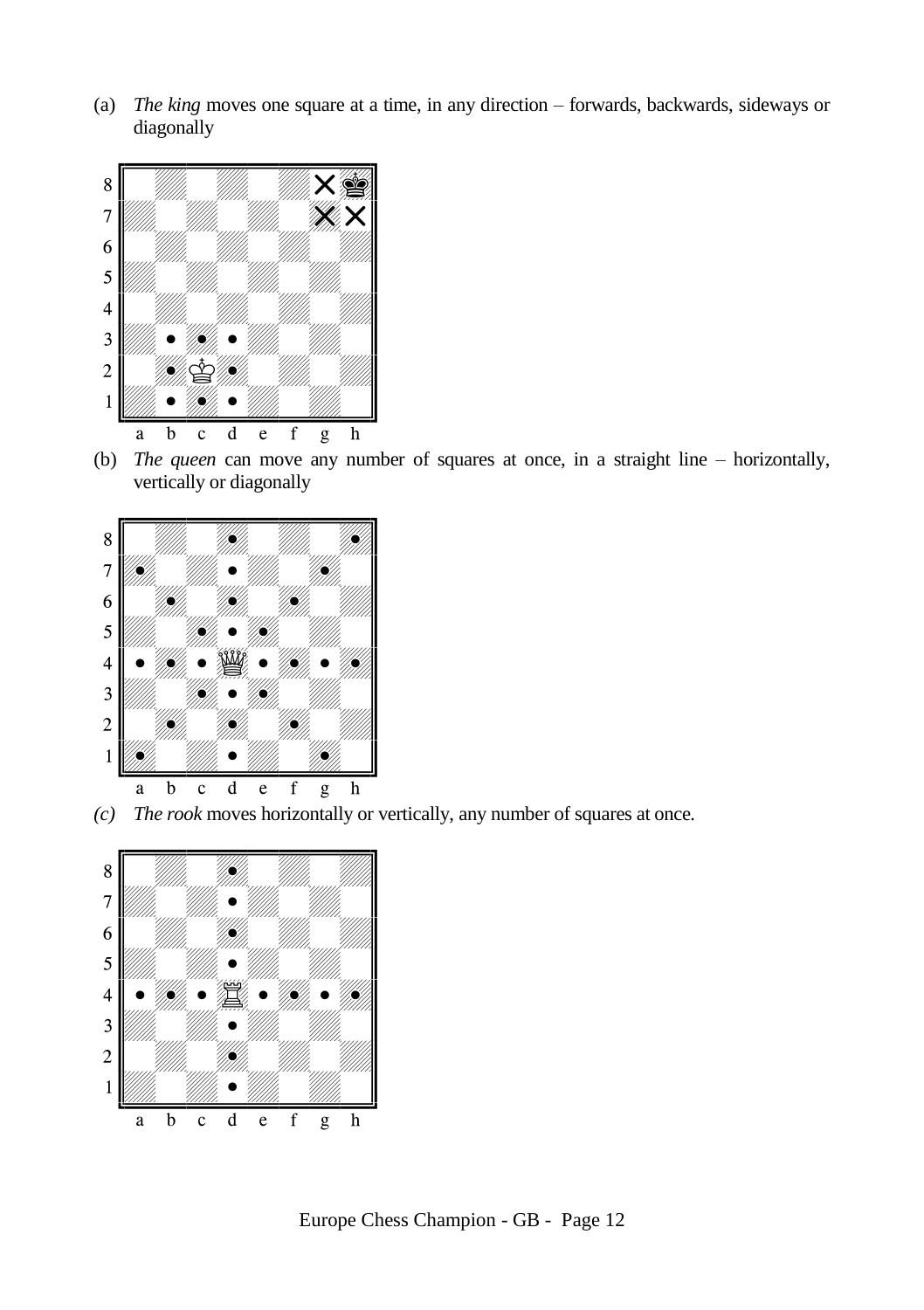(a) *The king* moves one square at a time, in any direction – forwards, backwards, sideways or diagonally



(b) *The queen* can move any number of squares at once, in a straight line – horizontally, vertically or diagonally



*(c) The rook* moves horizontally or vertically, any number of squares at once*.*

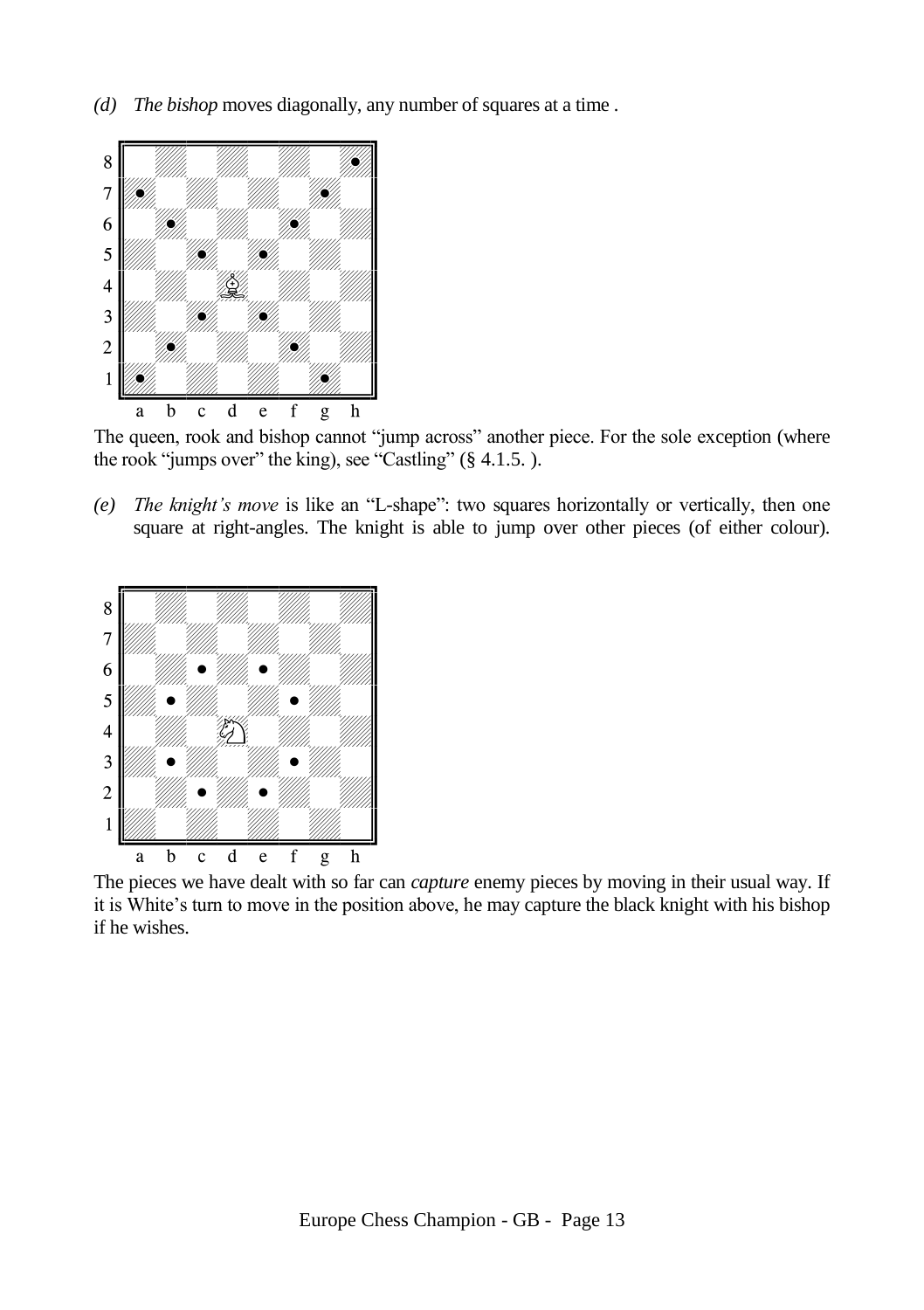*(d) The bishop* moves diagonally, any number of squares at a time *.*



The queen, rook and bishop cannot "jump across" another piece. For the sole exception (where the rook "jumps over" the king), see "Castling" ([§ 4.1.5.](#page-15-0) ).

*(e) The knight's move* is like an "L-shape": two squares horizontally or vertically, then one square at right-angles. The knight is able to jump over other pieces (of either colour).



The pieces we have dealt with so far can *capture* enemy pieces by moving in their usual way. If it is White's turn to move in the position above, he may capture the black knight with his bishop if he wishes.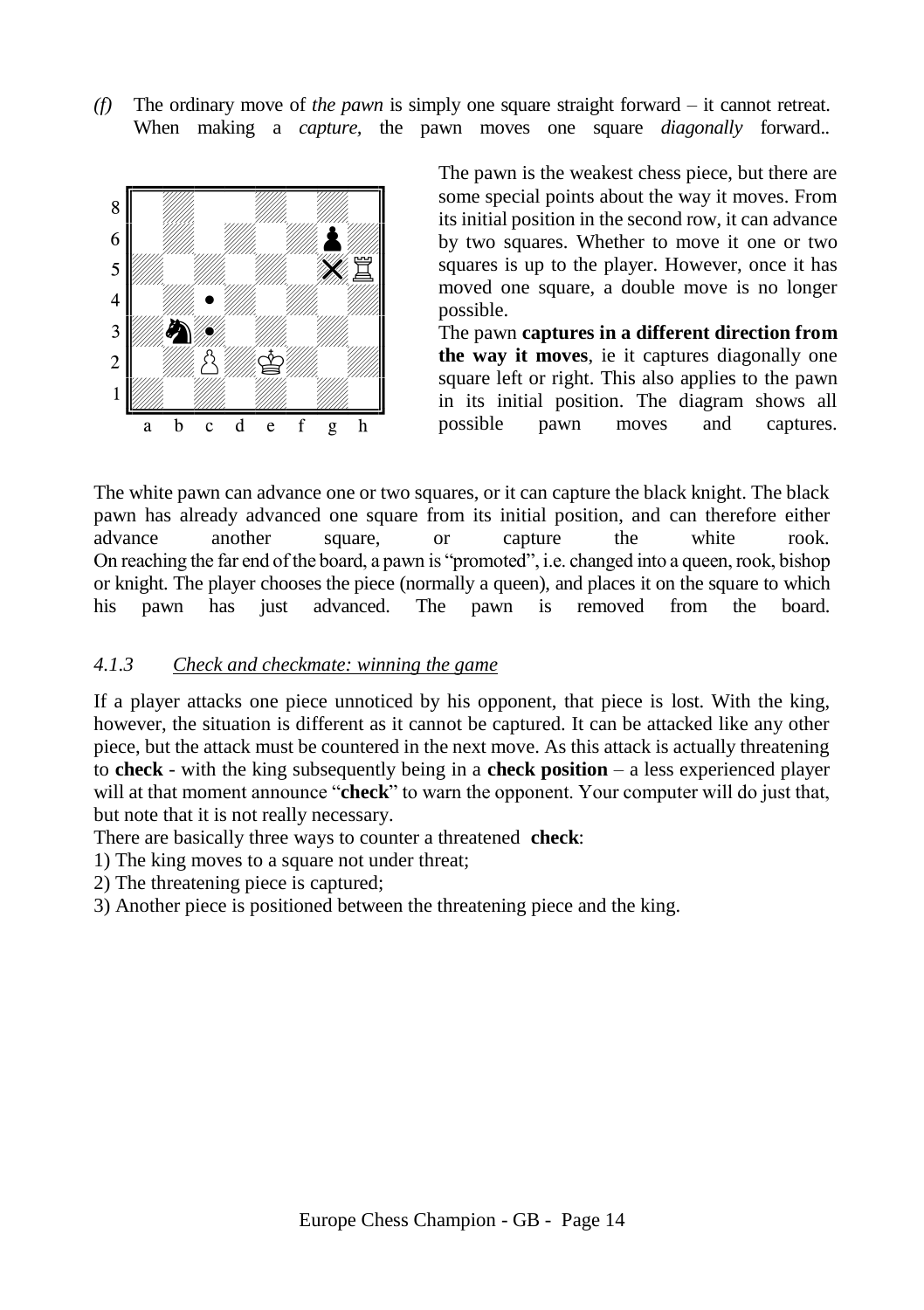*(f)* The ordinary move of *the pawn* is simply one square straight forward – it cannot retreat. When making a *capture,* the pawn moves one square *diagonally* forward.*.*



The pawn is the weakest chess piece, but there are some special points about the way it moves. From its initial position in the second row, it can advance by two squares. Whether to move it one or two squares is up to the player. However, once it has moved one square, a double move is no longer possible.

The pawn **captures in a different direction from the way it moves**, ie it captures diagonally one square left or right. This also applies to the pawn in its initial position. The diagram shows all possible pawn moves and captures.

The white pawn can advance one or two squares, or it can capture the black knight. The black pawn has already advanced one square from its initial position, and can therefore either advance another square, or capture the white rook. advance another square, or capture the white rook. On reaching the far end of the board, a pawn is "promoted", i.e. changed into a queen, rook, bishop or knight. The player chooses the piece (normally a queen), and places it on the square to which his pawn has just advanced. The pawn is removed from the board.

#### <span id="page-13-0"></span>*4.1.3 Check and checkmate: winning the game*

If a player attacks one piece unnoticed by his opponent, that piece is lost. With the king, however, the situation is different as it cannot be captured. It can be attacked like any other piece, but the attack must be countered in the next move. As this attack is actually threatening to **check** - with the king subsequently being in a **check position** – a less experienced player will at that moment announce "**check**" to warn the opponent. Your computer will do just that, but note that it is not really necessary.

There are basically three ways to counter a threatened **check**:

1) The king moves to a square not under threat;

2) The threatening piece is captured;

3) Another piece is positioned between the threatening piece and the king.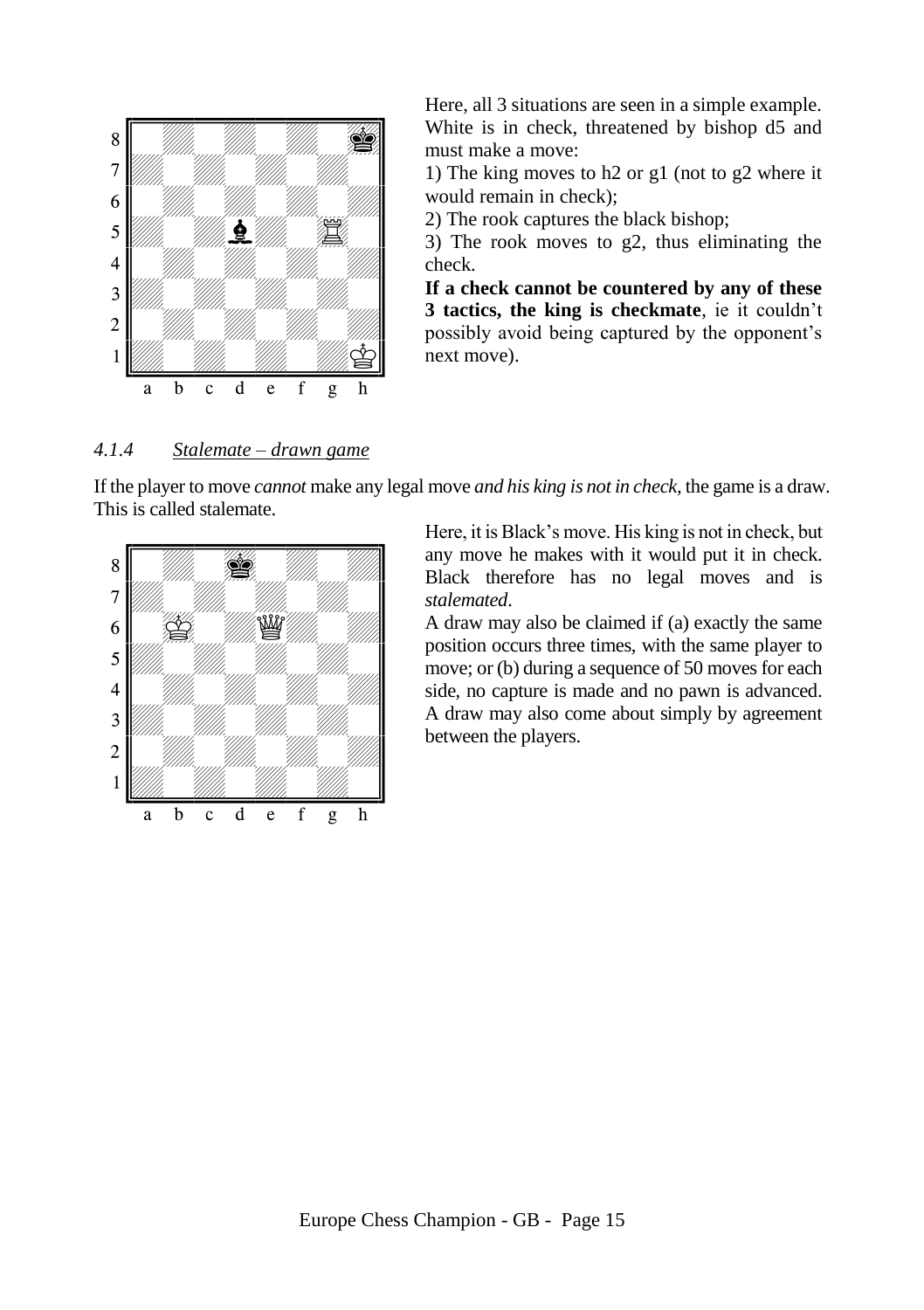

Here, all 3 situations are seen in a simple example. White is in check, threatened by bishop d5 and must make a move:

1) The king moves to h2 or g1 (not to g2 where it would remain in check);

2) The rook captures the black bishop;

3) The rook moves to g2, thus eliminating the check.

**If a check cannot be countered by any of these 3 tactics, the king is checkmate**, ie it couldn't possibly avoid being captured by the opponent's next move).

#### <span id="page-14-0"></span>*4.1.4 Stalemate – drawn game*

If the player to move *cannot* make any legal move *and his king is not in check,* the game is a draw. This is called stalemate.



Here, it is Black's move. His king is not in check, but any move he makes with it would put it in check. Black therefore has no legal moves and is *stalemated*.

A draw may also be claimed if (a) exactly the same position occurs three times, with the same player to move; or (b) during a sequence of 50 moves for each side, no capture is made and no pawn is advanced. A draw may also come about simply by agreement between the players.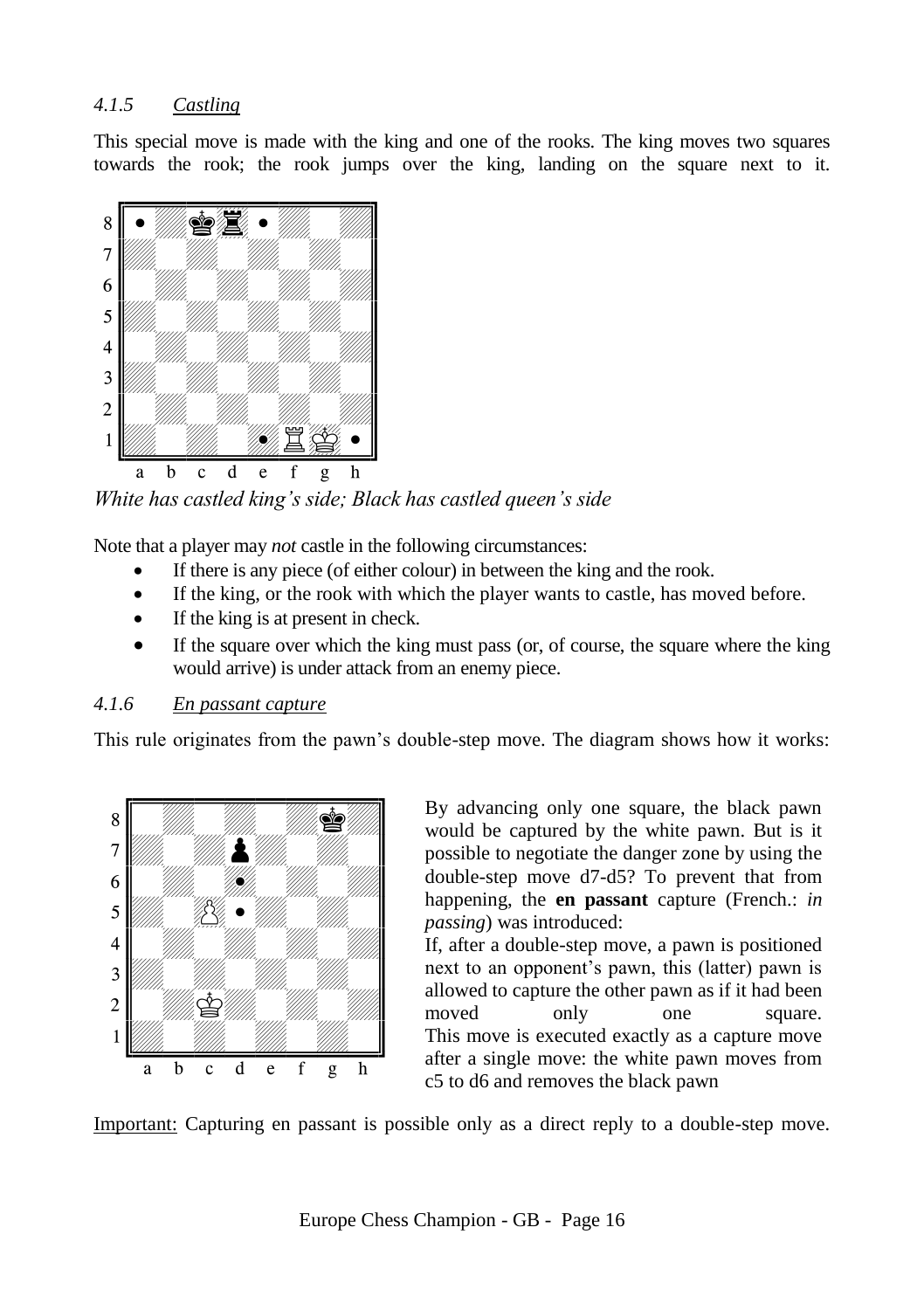# <span id="page-15-0"></span>*4.1.5 Castling*

This special move is made with the king and one of the rooks. The king moves two squares towards the rook; the rook jumps over the king, landing on the square next to it.



*White has castled king's side; Black has castled queen's side*

Note that a player may *not* castle in the following circumstances:

- If there is any piece (of either colour) in between the king and the rook.
- If the king, or the rook with which the player wants to castle, has moved before.
- If the king is at present in check.
- If the square over which the king must pass (or, of course, the square where the king would arrive) is under attack from an enemy piece.

#### <span id="page-15-1"></span>*4.1.6 En passant capture*

This rule originates from the pawn's double-step move. The diagram shows how it works:



By advancing only one square, the black pawn would be captured by the white pawn. But is it possible to negotiate the danger zone by using the double-step move d7-d5? To prevent that from happening, the **en passant** capture (French.: *in passing*) was introduced:

If, after a double-step move, a pawn is positioned next to an opponent's pawn, this (latter) pawn is allowed to capture the other pawn as if it had been moved only one square. This move is executed exactly as a capture move after a single move: the white pawn moves from c5 to d6 and removes the black pawn

Important: Capturing en passant is possible only as a direct reply to a double-step move.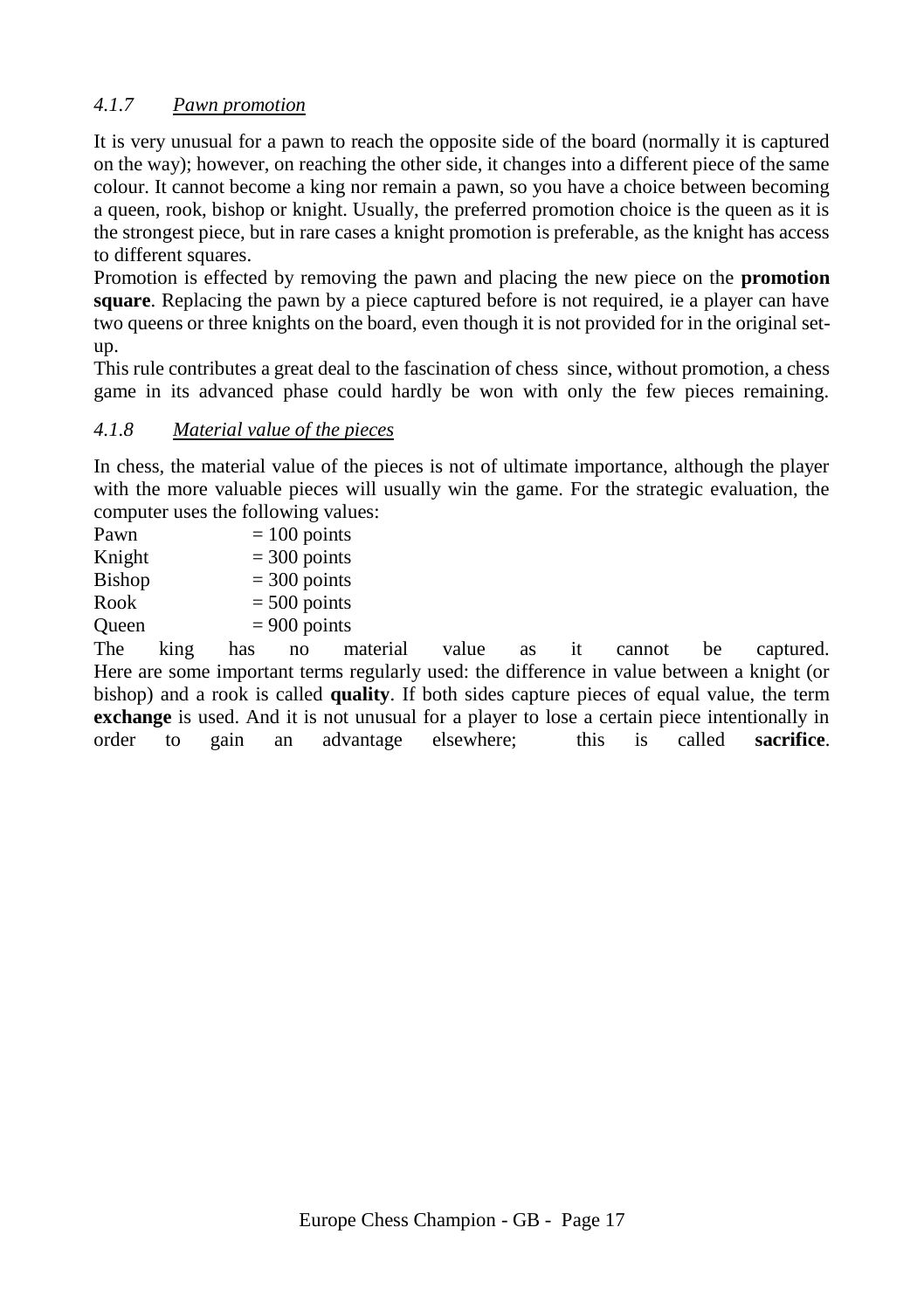# <span id="page-16-0"></span>*4.1.7 Pawn promotion*

It is very unusual for a pawn to reach the opposite side of the board (normally it is captured on the way); however, on reaching the other side, it changes into a different piece of the same colour. It cannot become a king nor remain a pawn, so you have a choice between becoming a queen, rook, bishop or knight. Usually, the preferred promotion choice is the queen as it is the strongest piece, but in rare cases a knight promotion is preferable, as the knight has access to different squares.

Promotion is effected by removing the pawn and placing the new piece on the **promotion square**. Replacing the pawn by a piece captured before is not required, ie a player can have two queens or three knights on the board, even though it is not provided for in the original setup.

This rule contributes a great deal to the fascination of chess since, without promotion, a chess game in its advanced phase could hardly be won with only the few pieces remaining.

# <span id="page-16-1"></span>*4.1.8 Material value of the pieces*

In chess, the material value of the pieces is not of ultimate importance, although the player with the more valuable pieces will usually win the game. For the strategic evaluation, the computer uses the following values:

| Pawn   | $= 100$ points |
|--------|----------------|
| Knight | $=$ 300 points |
| Bishop | $=$ 300 points |
| Rook   | $= 500$ points |
| Oueen  | $= 900$ points |
|        |                |

The king has no material value as it cannot be captured. Here are some important terms regularly used: the difference in value between a knight (or bishop) and a rook is called **quality**. If both sides capture pieces of equal value, the term **exchange** is used. And it is not unusual for a player to lose a certain piece intentionally in order to gain an advantage elsewhere; this is called **sacrifice**.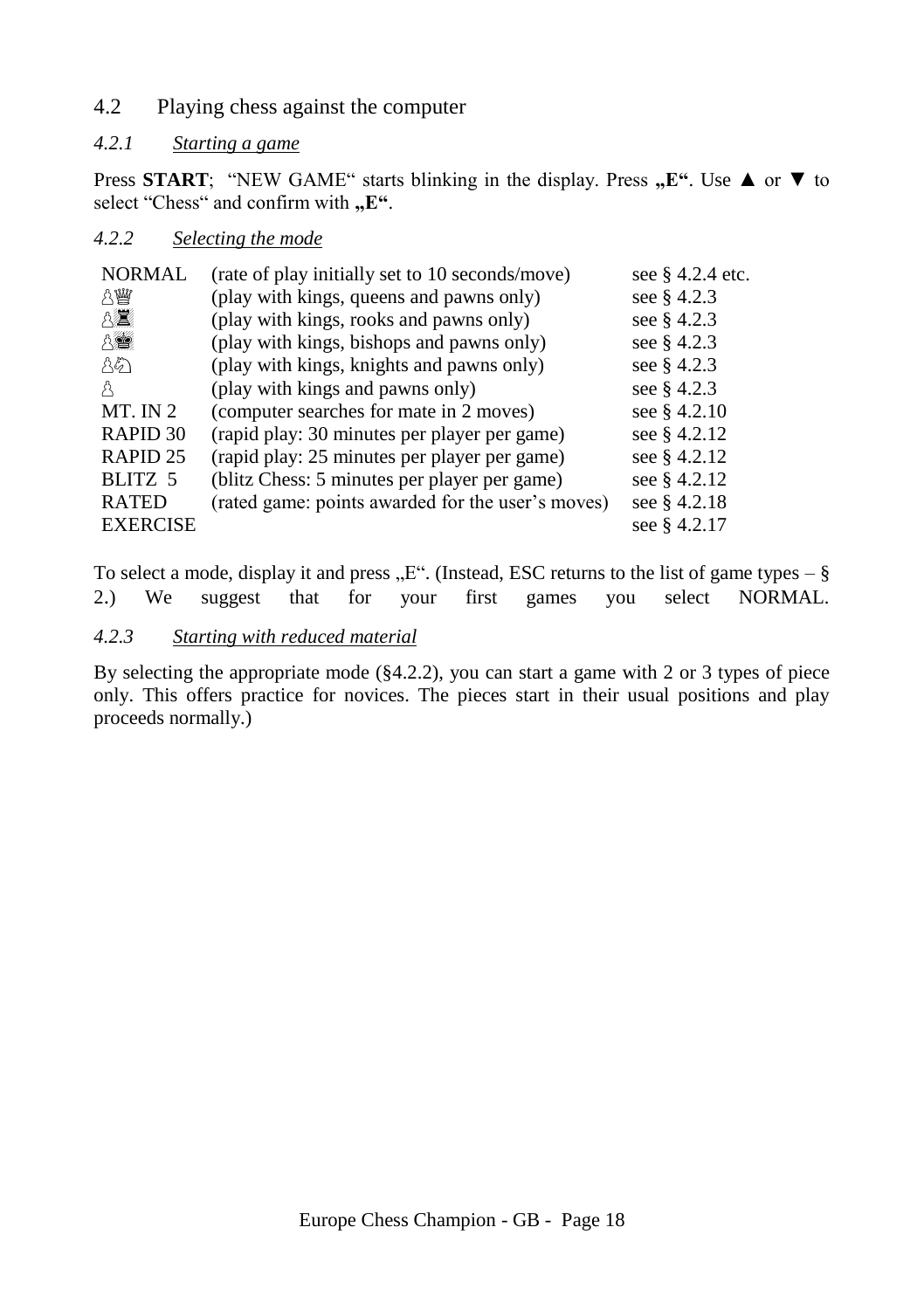<span id="page-17-0"></span>4.2 Playing chess against the computer

# <span id="page-17-1"></span>*4.2.1 Starting a game*

Press **START**; "NEW GAME" starts blinking in the display. Press "E". Use **△** or ▼ to select "Chess" and confirm with "E".

# <span id="page-17-2"></span>*4.2.2 Selecting the mode*

| <b>NORMAL</b>       | (rate of play initially set to 10 seconds/move)   | see § 4.2.4 etc. |
|---------------------|---------------------------------------------------|------------------|
| 八幽                  | (play with kings, queens and pawns only)          | see § 4.2.3      |
| 8臺                  | (play with kings, rooks and pawns only)           | see § 4.2.3      |
| 8章                  | (play with kings, bishops and pawns only)         | see § 4.2.3      |
| 85                  | (play with kings, knights and pawns only)         | see § 4.2.3      |
| A                   | (play with kings and pawns only)                  | see § 4.2.3      |
| $MT.$ IN 2          | (computer searches for mate in 2 moves)           | see § 4.2.10     |
| RAPID 30            | (rapid play: 30 minutes per player per game)      | see § 4.2.12     |
| RAPID <sub>25</sub> | (rapid play: 25 minutes per player per game)      | see § 4.2.12     |
| BLITZ 5             | (blitz Chess: 5 minutes per player per game)      | see § 4.2.12     |
| <b>RATED</b>        | (rated game: points awarded for the user's moves) | see § 4.2.18     |
| <b>EXERCISE</b>     |                                                   | see § 4.2.17     |

To select a mode, display it and press " $E^{\prime\prime}$ . (Instead, ESC returns to the list of game types – § [2](#page-8-0).) We suggest that for your first games you select NORMAL.

# <span id="page-17-3"></span>*4.2.3 Starting with reduced material*

By selecting the appropriate mode ([§4.2.2\)](#page-17-2), you can start a game with 2 or 3 types of piece only. This offers practice for novices. The pieces start in their usual positions and play proceeds normally.)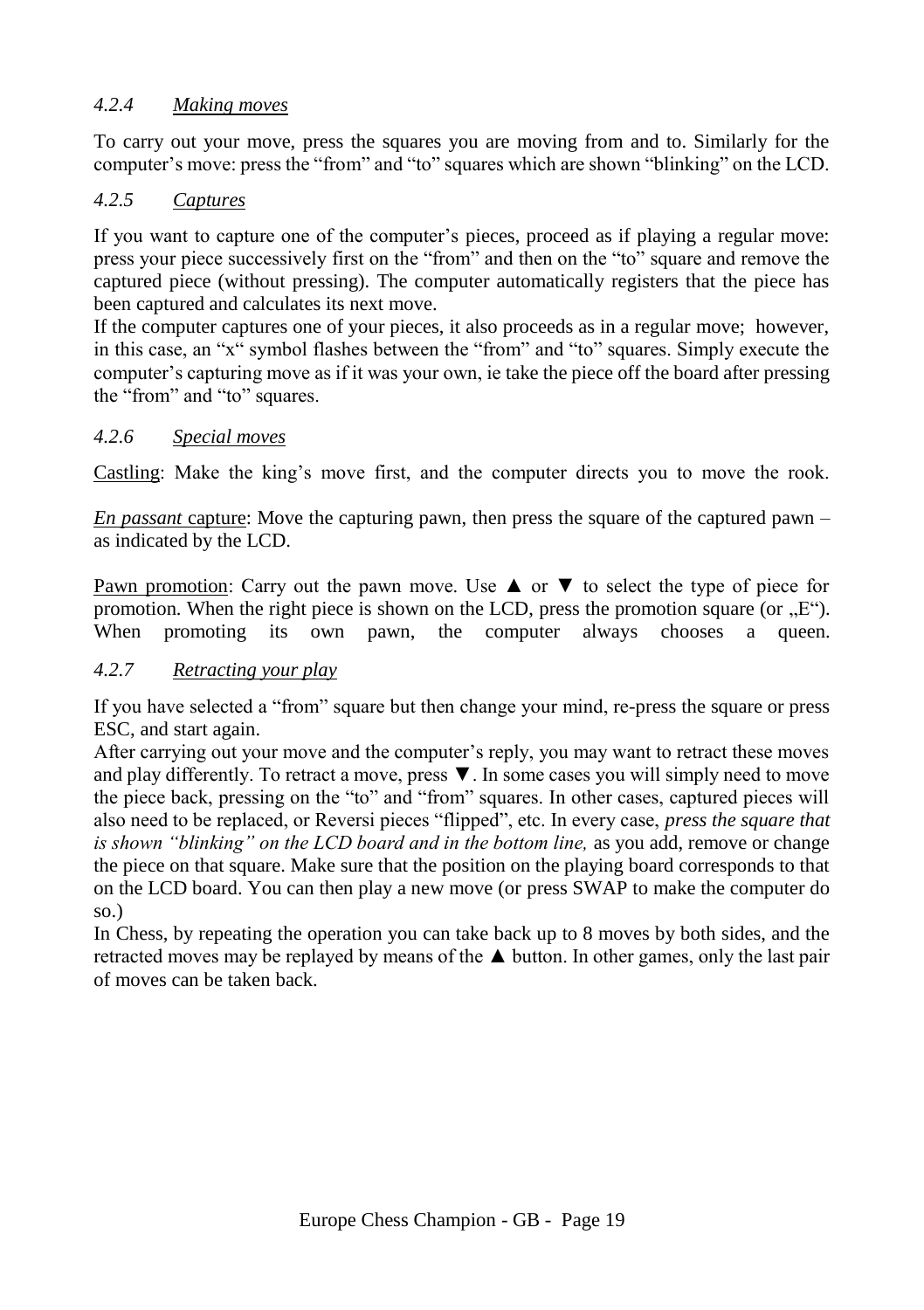# <span id="page-18-0"></span>*4.2.4 Making moves*

To carry out your move, press the squares you are moving from and to. Similarly for the computer's move: press the "from" and "to" squares which are shown "blinking" on the LCD.

# <span id="page-18-1"></span>*4.2.5 Captures*

If you want to capture one of the computer's pieces, proceed as if playing a regular move: press your piece successively first on the "from" and then on the "to" square and remove the captured piece (without pressing). The computer automatically registers that the piece has been captured and calculates its next move.

If the computer captures one of your pieces, it also proceeds as in a regular move; however, in this case, an "x" symbol flashes between the "from" and "to" squares. Simply execute the computer's capturing move as if it was your own, ie take the piece off the board after pressing the "from" and "to" squares.

# <span id="page-18-2"></span>*4.2.6 Special moves*

Castling: Make the king's move first, and the computer directs you to move the rook.

*En passant* capture: Move the capturing pawn, then press the square of the captured pawn – as indicated by the LCD.

Pawn promotion: Carry out the pawn move. Use  $\blacktriangle$  or  $\nabla$  to select the type of piece for promotion. When the right piece is shown on the LCD, press the promotion square (or  $E^{\prime\prime}$ ). When promoting its own pawn, the computer always chooses a queen.

# <span id="page-18-3"></span>*4.2.7 Retracting your play*

If you have selected a "from" square but then change your mind, re-press the square or press ESC, and start again.

After carrying out your move and the computer's reply, you may want to retract these moves and play differently. To retract a move, press ▼. In some cases you will simply need to move the piece back, pressing on the "to" and "from" squares. In other cases, captured pieces will also need to be replaced, or Reversi pieces "flipped", etc. In every case, *press the square that is shown "blinking" on the LCD board and in the bottom line,* as you add, remove or change the piece on that square. Make sure that the position on the playing board corresponds to that on the LCD board. You can then play a new move (or press SWAP to make the computer do so.)

In Chess, by repeating the operation you can take back up to 8 moves by both sides, and the retracted moves may be replayed by means of the ▲ button. In other games, only the last pair of moves can be taken back.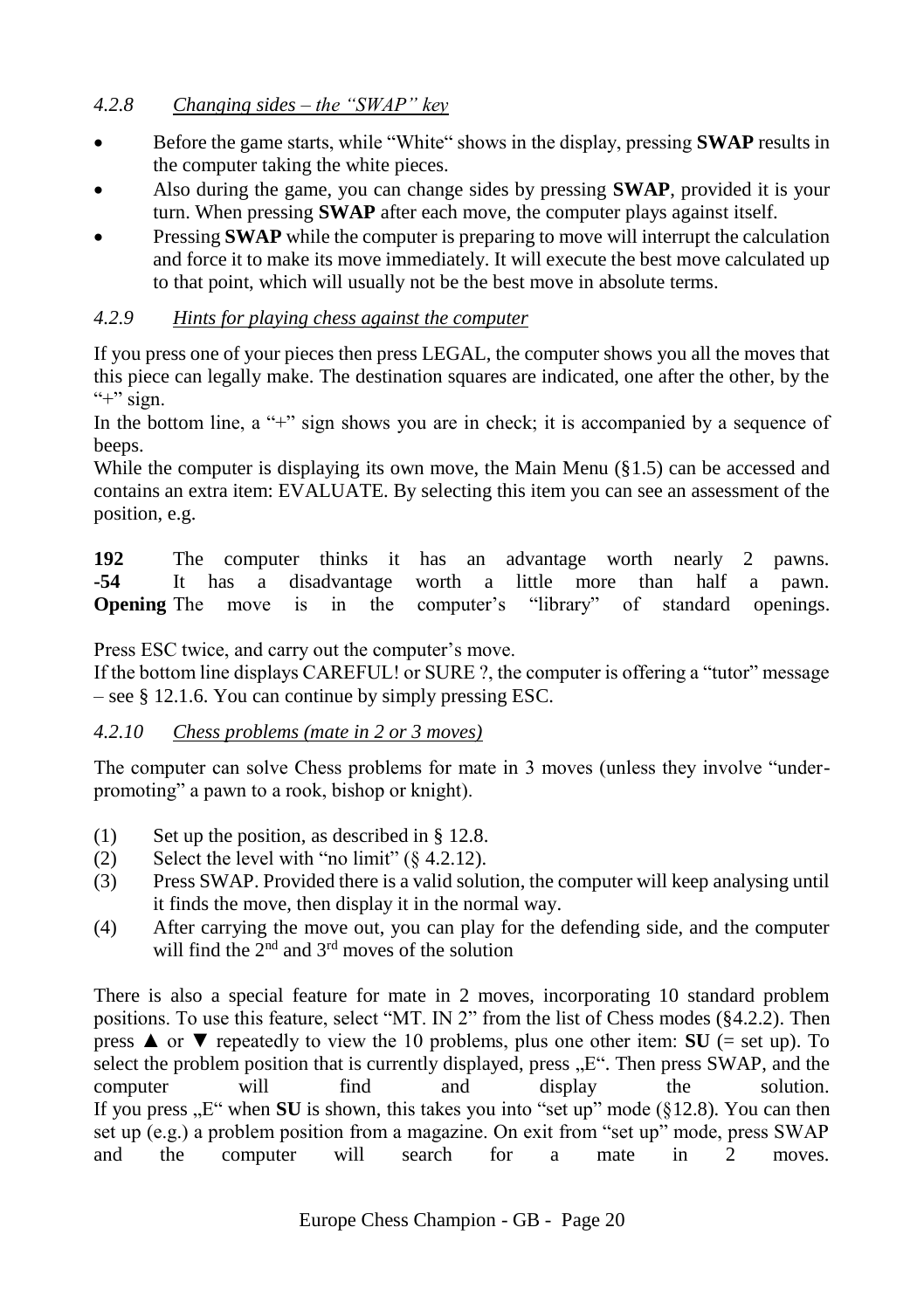# <span id="page-19-0"></span>*4.2.8 Changing sides – the "SWAP" key*

- Before the game starts, while "White" shows in the display, pressing **SWAP** results in the computer taking the white pieces.
- Also during the game, you can change sides by pressing **SWAP**, provided it is your turn. When pressing **SWAP** after each move, the computer plays against itself.
- Pressing **SWAP** while the computer is preparing to move will interrupt the calculation and force it to make its move immediately. It will execute the best move calculated up to that point, which will usually not be the best move in absolute terms.

# <span id="page-19-1"></span>*4.2.9 Hints for playing chess against the computer*

If you press one of your pieces then press LEGAL, the computer shows you all the moves that this piece can legally make. The destination squares are indicated, one after the other, by the " $+$ " sign.

In the bottom line, a "+" sign shows you are in check; it is accompanied by a sequence of beeps.

While the computer is displaying its own move, the Main Menu  $(\S 1.5)$  can be accessed and contains an extra item: EVALUATE. By selecting this item you can see an assessment of the position, e.g.

**192** The computer thinks it has an advantage worth nearly 2 pawns.<br> **192** It has a disadvantage worth a little more than half a pawn **-54** It has a disadvantage worth a little more than half a pawn. **Opening** The move is in the computer's "library" of standard openings.

Press ESC twice, and carry out the computer's move.

If the bottom line displays CAREFUL! or SURE ?, the computer is offering a "tutor" message – see § [12.1.6.](#page-35-2) You can continue by simply pressing ESC.

# <span id="page-19-2"></span>*4.2.10 Chess problems (mate in 2 or 3 moves)*

The computer can solve Chess problems for mate in 3 moves (unless they involve "underpromoting" a pawn to a rook, bishop or knight).

- (1) Set up the position, as described in  $\S$  [12.8.](#page-37-2)
- (2) Select the level with "no limit"  $(8, 4.2.12)$  $(8, 4.2.12)$ .
- (3) Press SWAP. Provided there is a valid solution, the computer will keep analysing until it finds the move, then display it in the normal way.
- (4) After carrying the move out, you can play for the defending side, and the computer will find the  $2<sup>nd</sup>$  and  $3<sup>rd</sup>$  moves of the solution

There is also a special feature for mate in 2 moves, incorporating 10 standard problem positions. To use this feature, select "MT. IN 2" from the list of Chess modes ([§4.2.2\)](#page-17-2). Then press **▲** or  $\blacktriangledown$  repeatedly to view the 10 problems, plus one other item: **SU** (= set up). To select the problem position that is currently displayed, press  $E^{\prime\prime}$ . Then press SWAP, and the computer will find and display the solution. If you press  $E''$  when **SU** is shown, this takes you into "set up" mode ( $\S 12.8$ ). You can then set up (e.g.) a problem position from a magazine. On exit from "set up" mode, press SWAP and the computer will search for a mate in 2 moves.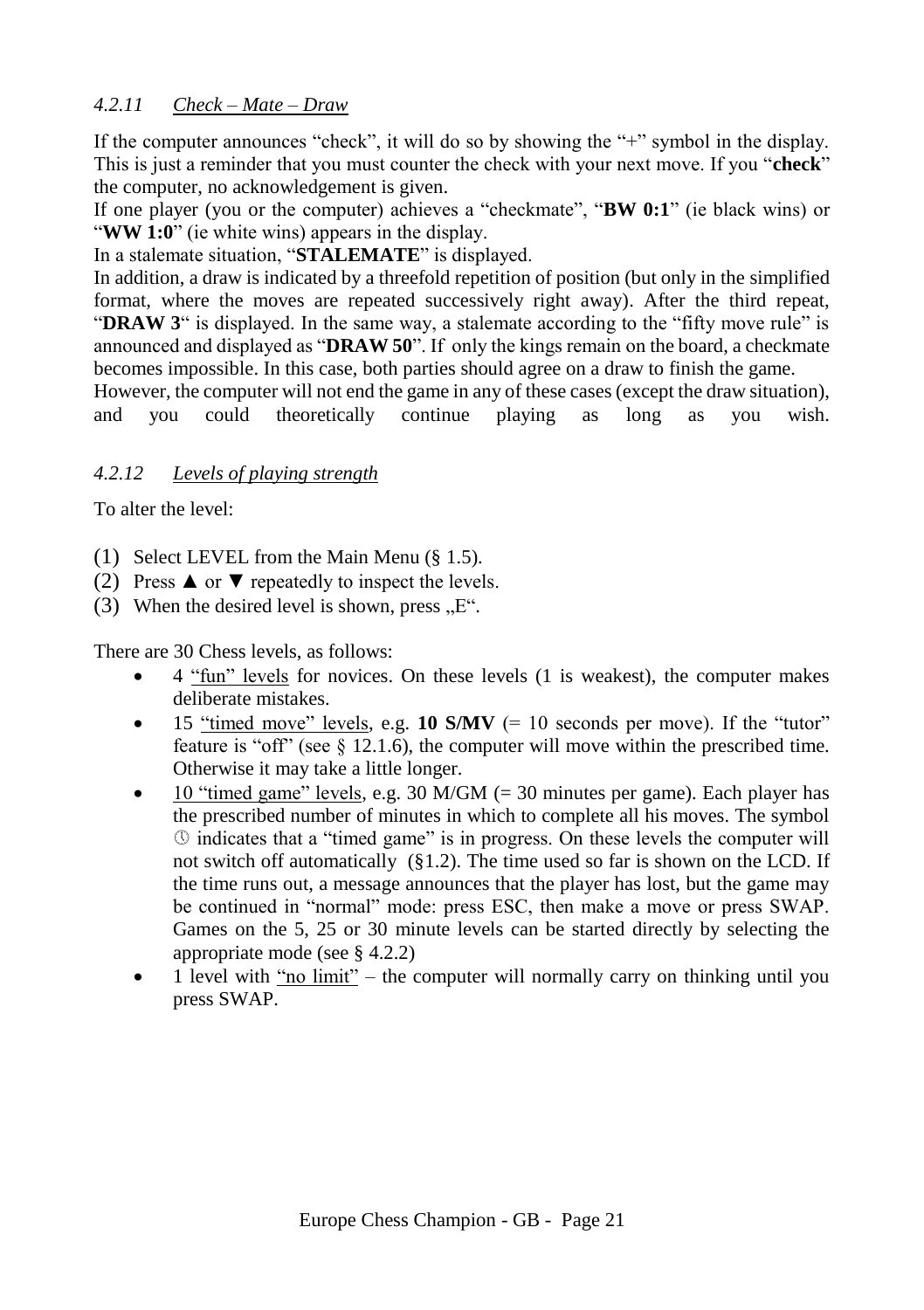# <span id="page-20-0"></span>*4.2.11 Check – Mate – Draw*

If the computer announces "check", it will do so by showing the "+" symbol in the display. This is just a reminder that you must counter the check with your next move. If you "**check**" the computer, no acknowledgement is given.

If one player (you or the computer) achieves a "checkmate", "**BW 0:1**" (ie black wins) or "**WW 1:0**" (ie white wins) appears in the display.

In a stalemate situation, "**STALEMATE**" is displayed.

In addition, a draw is indicated by a threefold repetition of position (but only in the simplified format, where the moves are repeated successively right away). After the third repeat, "**DRAW 3**" is displayed. In the same way, a stalemate according to the "fifty move rule" is announced and displayed as "**DRAW 50**". If only the kings remain on the board, a checkmate becomes impossible. In this case, both parties should agree on a draw to finish the game.

However, the computer will not end the game in any of these cases (except the draw situation), and you could theoretically continue playing as long as you wish.

# <span id="page-20-1"></span>*4.2.12 Levels of playing strength*

To alter the level:

- (1) Select LEVEL from the Main Menu (§ [1.5\)](#page-7-2).
- (2) Press  $\triangle$  or  $\nabla$  repeatedly to inspect the levels.
- (3) When the desired level is shown, press,  $E^{\prime\prime}$ .

There are 30 Chess levels, as follows:

- 4 "fun" levels for novices. On these levels (1 is weakest), the computer makes deliberate mistakes.
- $\bullet$  15 "timed move" levels, e.g. **10 S/MV** (= 10 seconds per move). If the "tutor" feature is "off" (see  $\S$  [12.1.6\)](#page-35-2), the computer will move within the prescribed time. Otherwise it may take a little longer.
- 10 "timed game" levels, e.g. 30 M/GM  $(= 30 \text{ minutes per game})$ . Each player has the prescribed number of minutes in which to complete all his moves. The symbol indicates that a "timed game" is in progress. On these levels the computer will not switch off automatically ([§1.2\)](#page-6-2). The time used so far is shown on the LCD. If the time runs out, a message announces that the player has lost, but the game may be continued in "normal" mode: press ESC, then make a move or press SWAP. Games on the 5, 25 or 30 minute levels can be started directly by selecting the appropriate mode (see [§ 4.2.2\)](#page-17-2)
- <span id="page-20-2"></span> $\bullet$  1 level with "no limit" – the computer will normally carry on thinking until you press SWAP.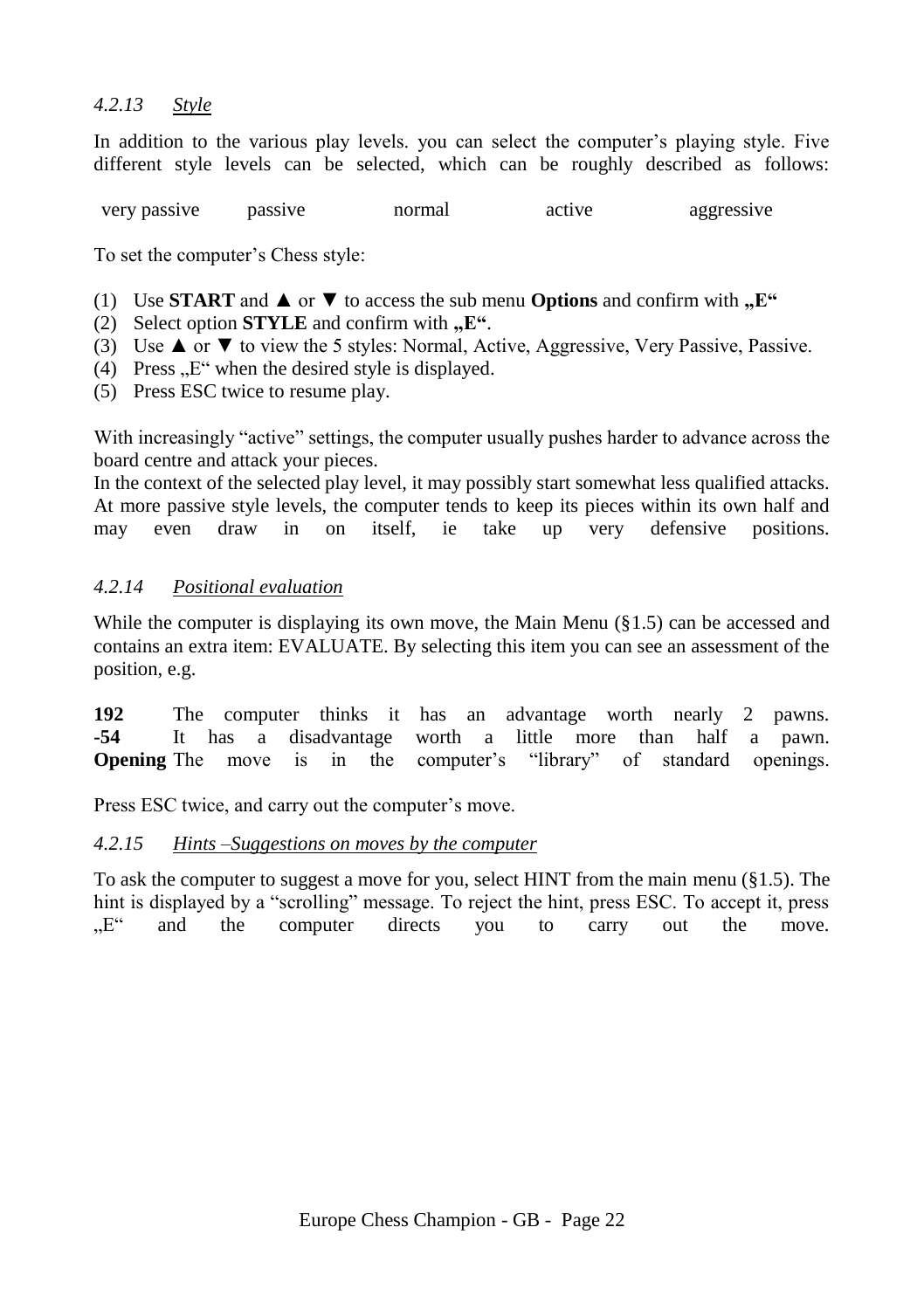#### <span id="page-21-0"></span>*4.2.13 Style*

In addition to the various play levels. you can select the computer's playing style. Five different style levels can be selected, which can be roughly described as follows:

very passive passive normal active aggressive

To set the computer's Chess style:

- (1) Use **START** and  $\triangle$  or  $\nabla$  to access the sub menu **Options** and confirm with  $\mathbf{E}^H$
- (2) Select option **STYLE** and confirm with  $E^4$ .
- (3) Use  $\blacktriangle$  or  $\nabla$  to view the 5 styles: Normal, Active, Aggressive, Very Passive, Passive.
- $(4)$  Press ..E" when the desired style is displayed.
- (5) Press ESC twice to resume play.

With increasingly "active" settings, the computer usually pushes harder to advance across the board centre and attack your pieces.

In the context of the selected play level, it may possibly start somewhat less qualified attacks. At more passive style levels, the computer tends to keep its pieces within its own half and may even draw in on itself, ie take up very defensive positions.

#### <span id="page-21-1"></span>*4.2.14 Positional evaluation*

While the computer is displaying its own move, the Main Menu  $(\S 1.5)$  can be accessed and contains an extra item: EVALUATE. By selecting this item you can see an assessment of the position, e.g.

**192** The computer thinks it has an advantage worth nearly 2 pawns. **-54** It has a disadvantage worth a little more than half a pawn. **Opening** The move is in the computer's "library" of standard openings.

Press ESC twice, and carry out the computer's move.

#### <span id="page-21-2"></span>*4.2.15 Hints –Suggestions on moves by the computer*

To ask the computer to suggest a move for you, select HINT from the main menu ([§1.5\)](#page-7-2). The hint is displayed by a "scrolling" message. To reject the hint, press ESC. To accept it, press "E" and the computer directs you to carry out the move.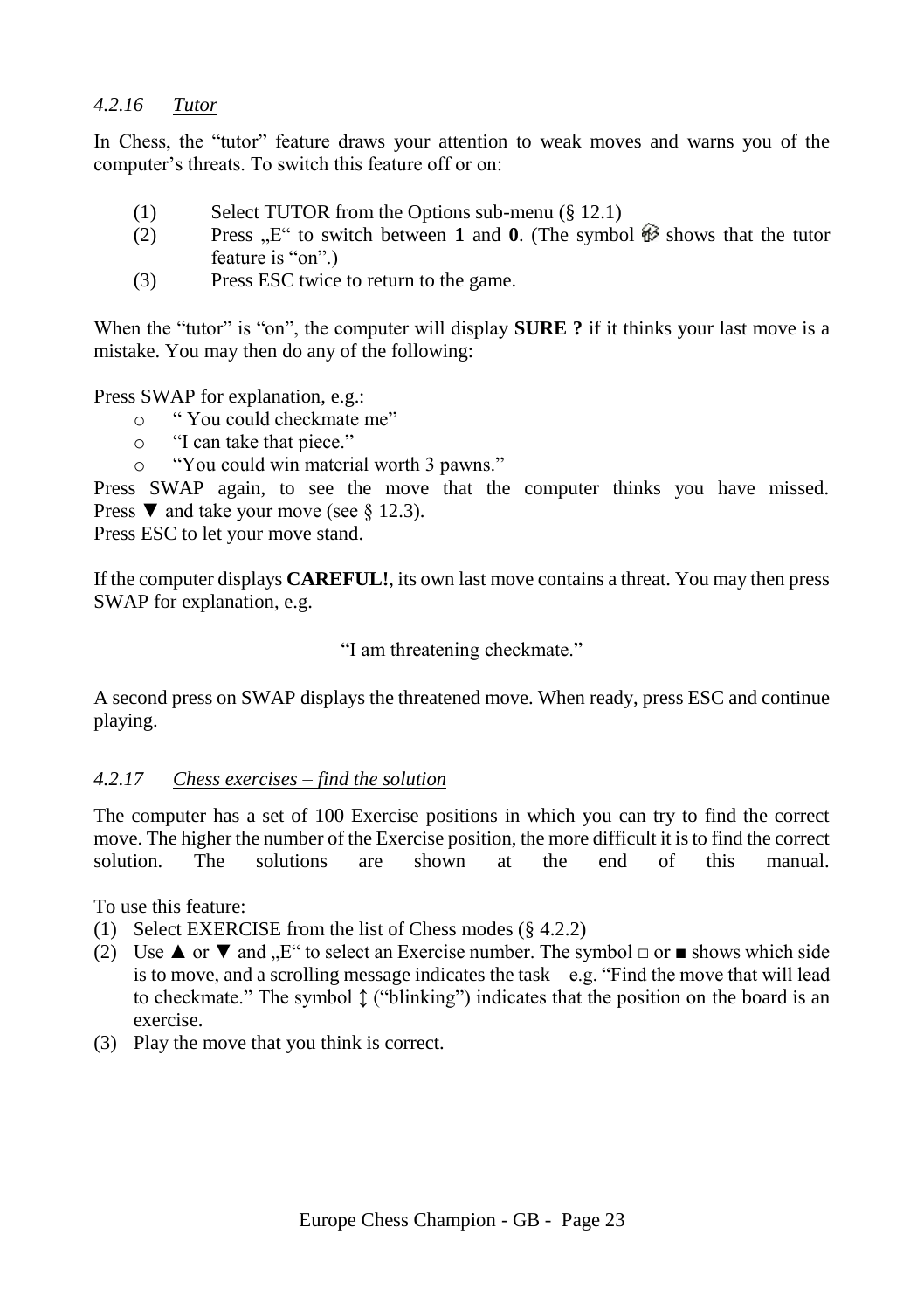# <span id="page-22-0"></span>*4.2.16 Tutor*

In Chess, the "tutor" feature draws your attention to weak moves and warns you of the computer's threats. To switch this feature off or on:

- (1) Select TUTOR from the Options sub-menu ([§ 12.1\)](#page-34-1)<br>
(2) Press  $E^*$  to switch between 1 and 0. (The symbol
- **Press**  $E^{\prime\prime}$  to switch between **1** and **0**. (The symbol  $\hat{\mathcal{W}}$  shows that the tutor feature is "on".)
- (3) Press ESC twice to return to the game.

When the "tutor" is "on", the computer will display **SURE** ? if it thinks your last move is a mistake. You may then do any of the following:

Press SWAP for explanation, e.g.:

- o " You could checkmate me"
- o "I can take that piece."
- o "You could win material worth 3 pawns."

Press SWAP again, to see the move that the computer thinks you have missed. Press  $\nabla$  and take your move (see § [12.3\)](#page-36-1).

Press ESC to let your move stand.

If the computer displays **CAREFUL!**, its own last move contains a threat. You may then press SWAP for explanation, e.g.

"I am threatening checkmate."

A second press on SWAP displays the threatened move. When ready, press ESC and continue playing.

# <span id="page-22-1"></span>*4.2.17 Chess exercises – find the solution*

The computer has a set of 100 Exercise positions in which you can try to find the correct move. The higher the number of the Exercise position, the more difficult it is to find the correct solution. The solutions are shown at the end of this manual.

To use this feature:

- (1) Select EXERCISE from the list of Chess modes (§ [4.2.2\)](#page-17-2)
- (2) Use  $\blacktriangle$  or  $\nabla$  and  $\mathbb{R}^n$  to select an Exercise number. The symbol  $\Box$  or  $\blacktriangle$  shows which side is to move, and a scrolling message indicates the task – e.g. "Find the move that will lead to checkmate." The symbol ↕ ("blinking") indicates that the position on the board is an exercise.
- (3) Play the move that you think is correct.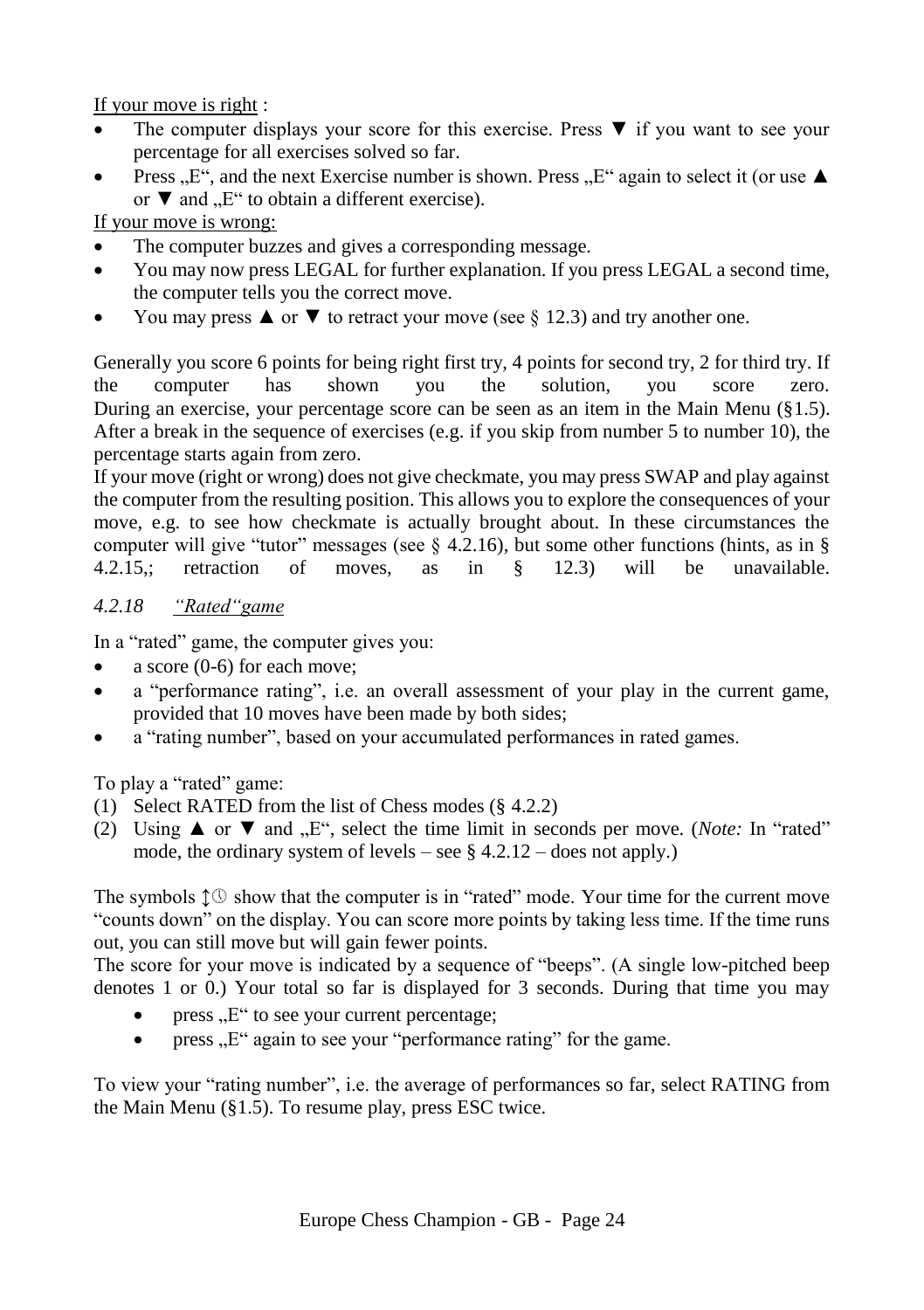If your move is right :

- The computer displays your score for this exercise. Press ▼ if you want to see your percentage for all exercises solved so far.
- Press  $\mathbb{R}^n$ , and the next Exercise number is shown. Press  $\mathbb{R}^n$  again to select it (or use  $\blacktriangle$ or  $\nabla$  and  $E^{\prime\prime}$  to obtain a different exercise).

If your move is wrong:

- The computer buzzes and gives a corresponding message.
- You may now press LEGAL for further explanation. If you press LEGAL a second time, the computer tells you the correct move.
- You may press  $\triangle$  or  $\nabla$  to retract your move (see § [12.3\)](#page-36-1) and try another one.

Generally you score 6 points for being right first try, 4 points for second try, 2 for third try. If the computer has shown you the solution, you score zero. During an exercise, your percentage score can be seen as an item in the Main Menu ([§1.5\)](#page-7-2). After a break in the sequence of exercises (e.g. if you skip from number 5 to number 10), the percentage starts again from zero.

If your move (right or wrong) does not give checkmate, you may press SWAP and play against the computer from the resulting position. This allows you to explore the consequences of your move, e.g. to see how checkmate is actually brought about. In these circumstances the computer will give "tutor" messages (see  $\S$  [4.2.16\)](#page-22-0), but some other functions (hints, as in § 4.2.15.: retraction of moves. as in § 12.3) will be unavailable.  $\mu$  retraction of moves, as in  $\delta$  [12.3\)](#page-36-1) will be unavailable.

# <span id="page-23-0"></span>*4.2.18 "Rated"game*

In a "rated" game, the computer gives you:

- a score (0-6) for each move;
- a "performance rating", i.e. an overall assessment of your play in the current game, provided that 10 moves have been made by both sides;
- a "rating number", based on your accumulated performances in rated games.

To play a "rated" game:

- (1) Select RATED from the list of Chess modes (§ [4.2.2\)](#page-17-2)
- (2) Using ▲ or ▼ and "E", select the time limit in seconds per move. (*Note:* In "rated" mode, the ordinary system of levels – see  $\S$  4.2.12 – does not apply.)

The symbols  $\uparrow \mathbb{O}$  show that the computer is in "rated" mode. Your time for the current move "counts down" on the display. You can score more points by taking less time. If the time runs out, you can still move but will gain fewer points.

The score for your move is indicated by a sequence of "beeps". (A single low-pitched beep denotes 1 or 0.) Your total so far is displayed for 3 seconds. During that time you may

- press  $E^{\prime\prime}$  to see your current percentage;
- $\bullet$  press  $E^{\prime\prime}$  again to see your "performance rating" for the game.

To view your "rating number", i.e. the average of performances so far, select RATING from the Main Menu ([§1.5\)](#page-7-2). To resume play, press ESC twice.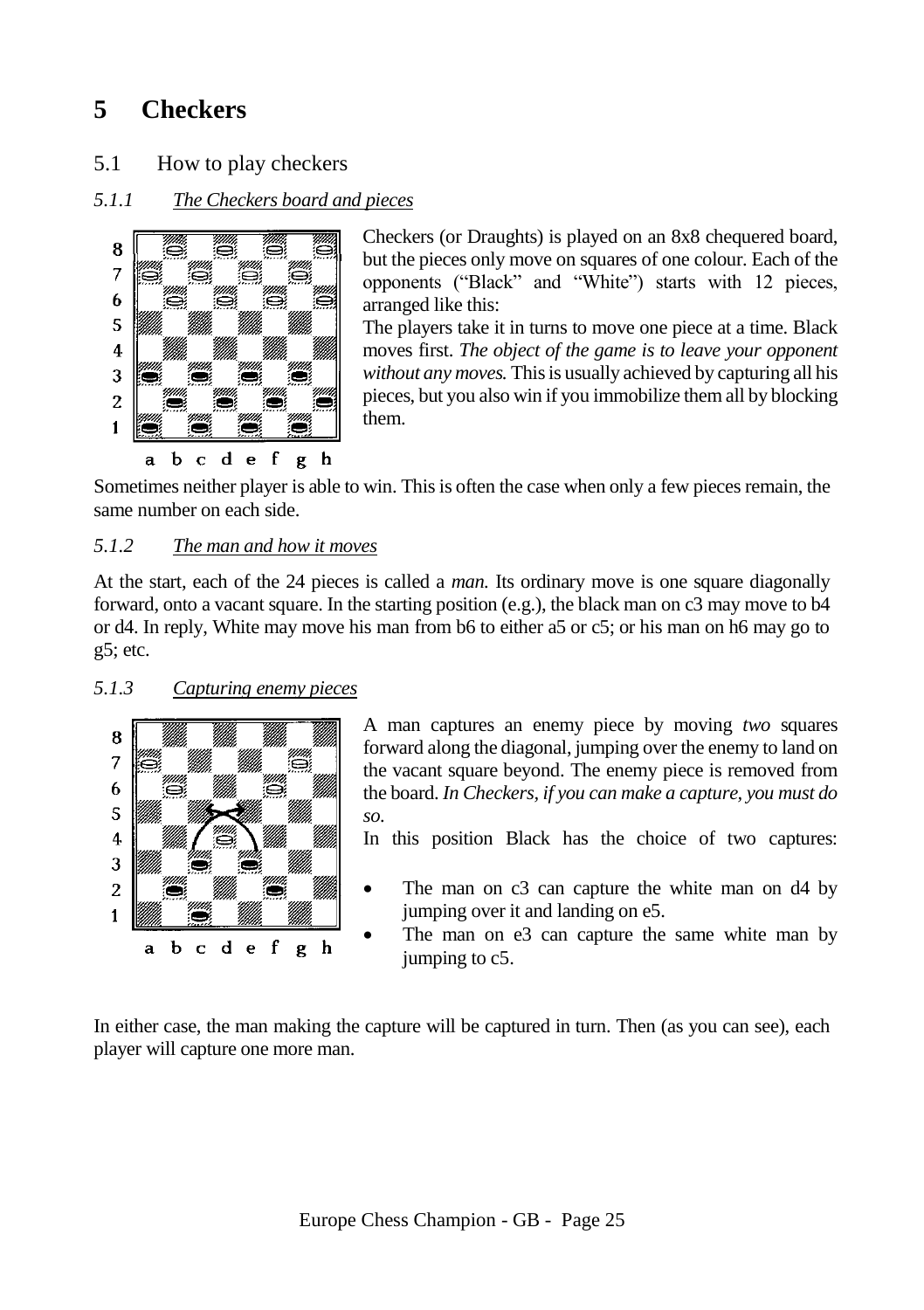# <span id="page-24-0"></span>**5 Checkers**

<span id="page-24-1"></span>5.1 How to play checkers

# <span id="page-24-2"></span>*5.1.1 The Checkers board and pieces*



Checkers (or Draughts) is played on an 8x8 chequered board, but the pieces only move on squares of one colour. Each of the opponents ("Black" and "White") starts with 12 pieces, arranged like this:

The players take it in turns to move one piece at a time. Black moves first. *The object of the game is to leave your opponent without any moves.* This is usually achieved by capturing all his pieces, but you also win if you immobilize them all by blocking them.

Sometimes neither player is able to win. This is often the case when only a few pieces remain, the same number on each side.

#### <span id="page-24-3"></span>*5.1.2 The man and how it moves*

At the start, each of the 24 pieces is called a *man.* Its ordinary move is one square diagonally forward, onto a vacant square. In the starting position (e.g.), the black man on c3 may move to b4 or d4. In reply, White may move his man from b6 to either a5 or c5; or his man on h6 may go to g5; etc.

#### <span id="page-24-4"></span>*5.1.3 Capturing enemy pieces*



A man captures an enemy piece by moving *two* squares forward along the diagonal, jumping over the enemy to land on the vacant square beyond. The enemy piece is removed from the board. *In Checkers, if you can make a capture, you must do so.*

In this position Black has the choice of two captures:

- The man on c3 can capture the white man on d4 by jumping over it and landing on e5.
	- The man on e3 can capture the same white man by jumping to c5.

In either case, the man making the capture will be captured in turn. Then (as you can see), each player will capture one more man.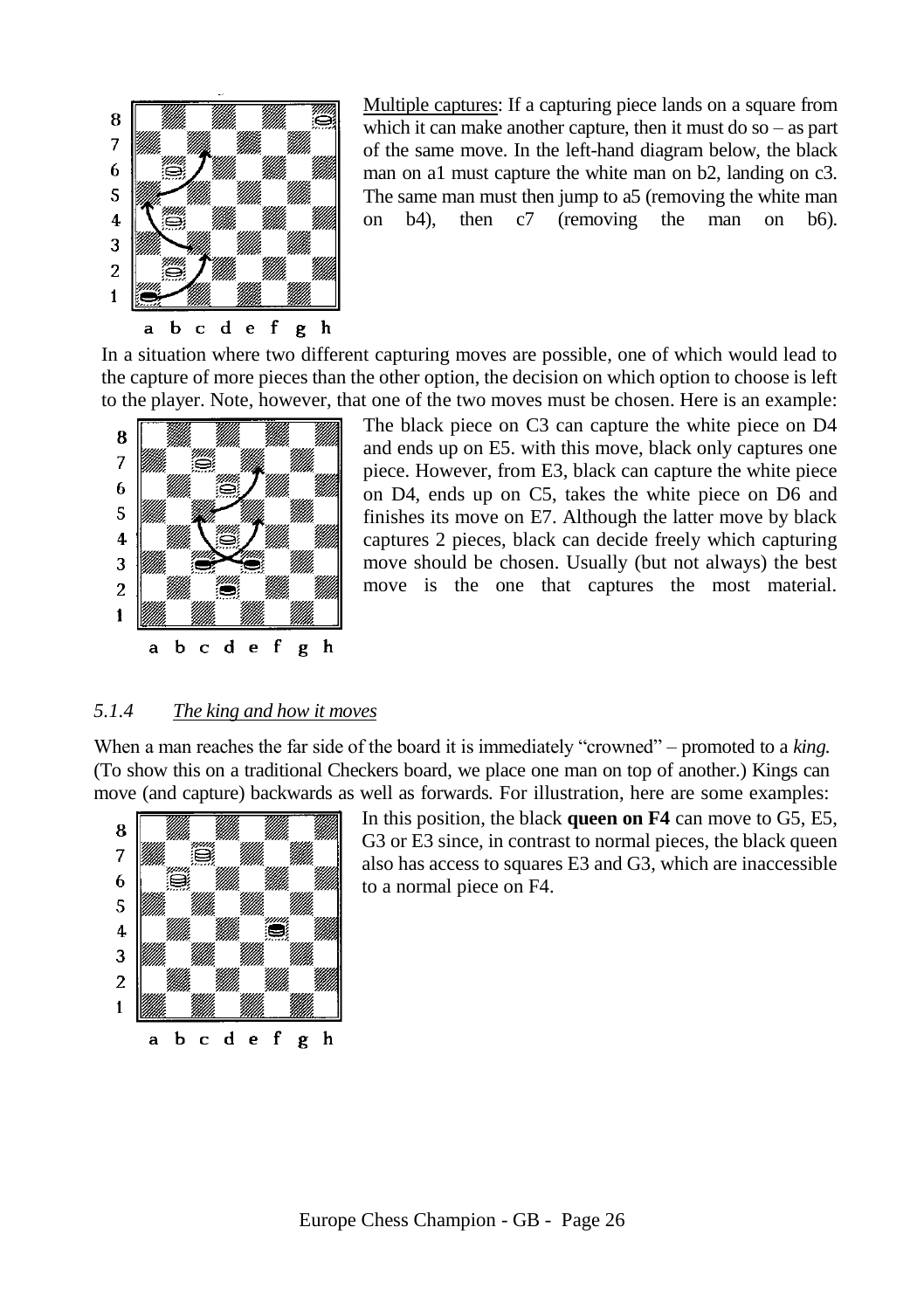

Multiple captures: If a capturing piece lands on a square from which it can make another capture, then it must do so – as part of the same move. In the left-hand diagram below, the black man on a1 must capture the white man on b2, landing on c3. The same man must then jump to a5 (removing the white man on b4), then c7 (removing the man on b6).

In a situation where two different capturing moves are possible, one of which would lead to the capture of more pieces than the other option, the decision on which option to choose is left to the player. Note, however, that one of the two moves must be chosen. Here is an example:



The black piece on C3 can capture the white piece on D4 and ends up on E5. with this move, black only captures one piece. However, from E3, black can capture the white piece on D4, ends up on C5, takes the white piece on D6 and finishes its move on E7. Although the latter move by black captures 2 pieces, black can decide freely which capturing move should be chosen. Usually (but not always) the best move is the one that captures the most material.

#### <span id="page-25-0"></span>*5.1.4 The king and how it moves*

When a man reaches the far side of the board it is immediately "crowned" – promoted to a *king.* (To show this on a traditional Checkers board, we place one man on top of another.) Kings can move (and capture) backwards as well as forwards. For illustration, here are some examples:



In this position, the black **queen on F4** can move to G5, E5, G3 or E3 since, in contrast to normal pieces, the black queen also has access to squares E3 and G3, which are inaccessible to a normal piece on F4.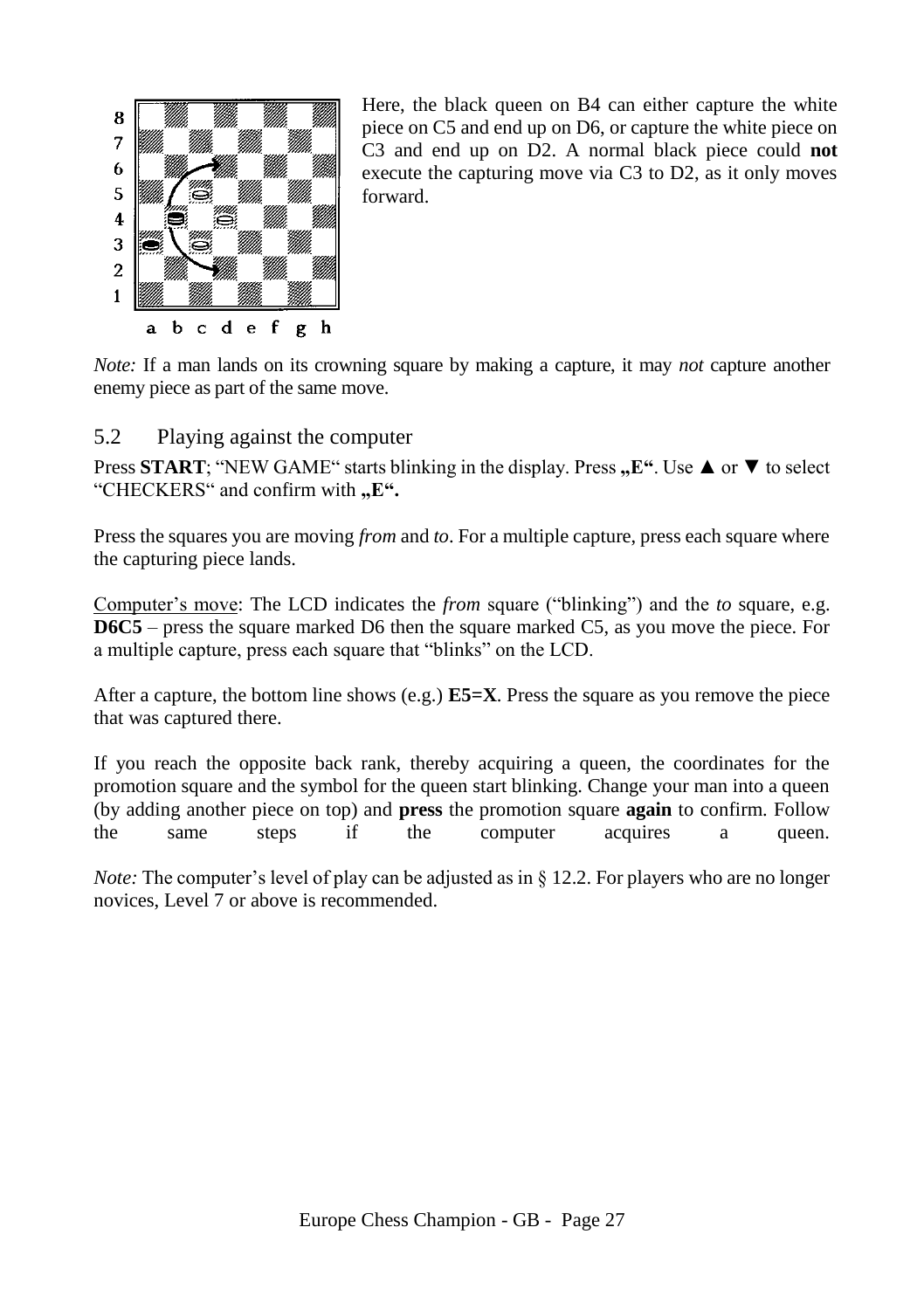

Here, the black queen on B4 can either capture the white piece on C5 and end up on D6, or capture the white piece on C3 and end up on D2. A normal black piece could **not** execute the capturing move via C3 to D2, as it only moves forward.

*Note:* If a man lands on its crowning square by making a capture, it may *not* capture another enemy piece as part of the same move.

# <span id="page-26-0"></span>5.2 Playing against the computer

Press **START**: "NEW GAME" starts blinking in the display. Press **...** E". Use **△** or ▼ to select "CHECKERS" and confirm with "E".

Press the squares you are moving *from* and *to*. For a multiple capture, press each square where the capturing piece lands.

Computer's move: The LCD indicates the *from* square ("blinking") and the *to* square, e.g. **D6C5** – press the square marked D6 then the square marked C5, as you move the piece. For a multiple capture, press each square that "blinks" on the LCD.

After a capture, the bottom line shows (e.g.) **E5=X**. Press the square as you remove the piece that was captured there.

If you reach the opposite back rank, thereby acquiring a queen, the coordinates for the promotion square and the symbol for the queen start blinking. Change your man into a queen (by adding another piece on top) and **press** the promotion square **again** to confirm. Follow the same steps if the computer acquires a queen.

*Note:* The computer's level of play can be adjusted as in [§ 12.2.](#page-36-0) For players who are no longer novices, Level 7 or above is recommended.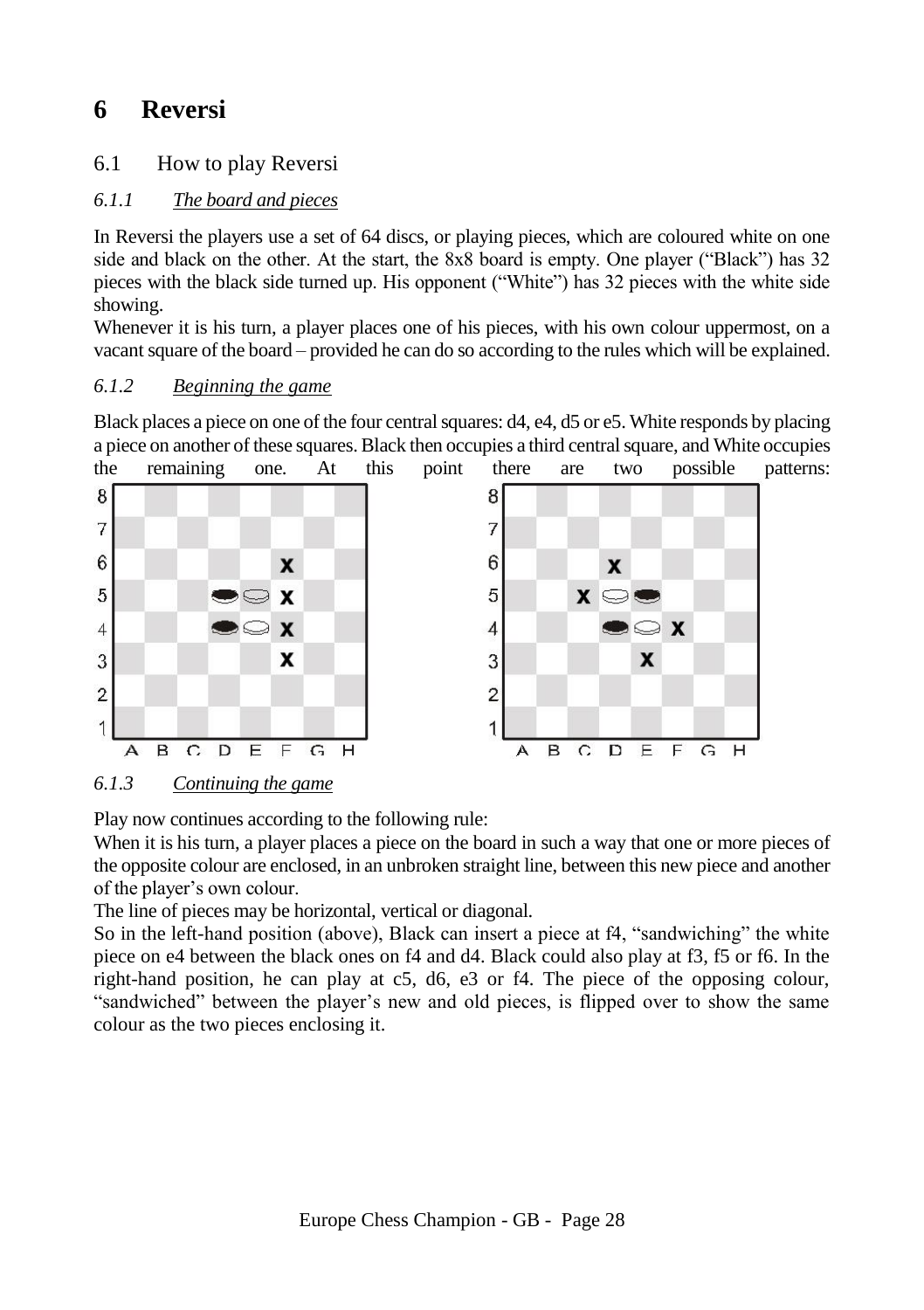# <span id="page-27-0"></span>**6 Reversi**

# <span id="page-27-1"></span>6.1 How to play Reversi

# <span id="page-27-2"></span>*6.1.1 The board and pieces*

In Reversi the players use a set of 64 discs, or playing pieces, which are coloured white on one side and black on the other. At the start, the 8x8 board is empty. One player ("Black") has 32 pieces with the black side turned up. His opponent ("White") has 32 pieces with the white side showing.

Whenever it is his turn, a player places one of his pieces, with his own colour uppermost, on a vacant square of the board – provided he can do so according to the rules which will be explained.

# <span id="page-27-3"></span>*6.1.2 Beginning the game*

Black places a piece on one of the four central squares: d4, e4, d5 or e5. White responds by placing a piece on another of these squares. Black then occupies a third central square, and White occupies



<span id="page-27-4"></span>*6.1.3 Continuing the game*

Play now continues according to the following rule:

When it is his turn, a player places a piece on the board in such a way that one or more pieces of the opposite colour are enclosed, in an unbroken straight line, between this new piece and another of the player's own colour.

The line of pieces may be horizontal, vertical or diagonal.

So in the left-hand position (above), Black can insert a piece at f4, "sandwiching" the white piece on e4 between the black ones on f4 and d4. Black could also play at f3, f5 or f6. In the right-hand position, he can play at c5, d6, e3 or f4. The piece of the opposing colour, "sandwiched" between the player's new and old pieces, is flipped over to show the same colour as the two pieces enclosing it.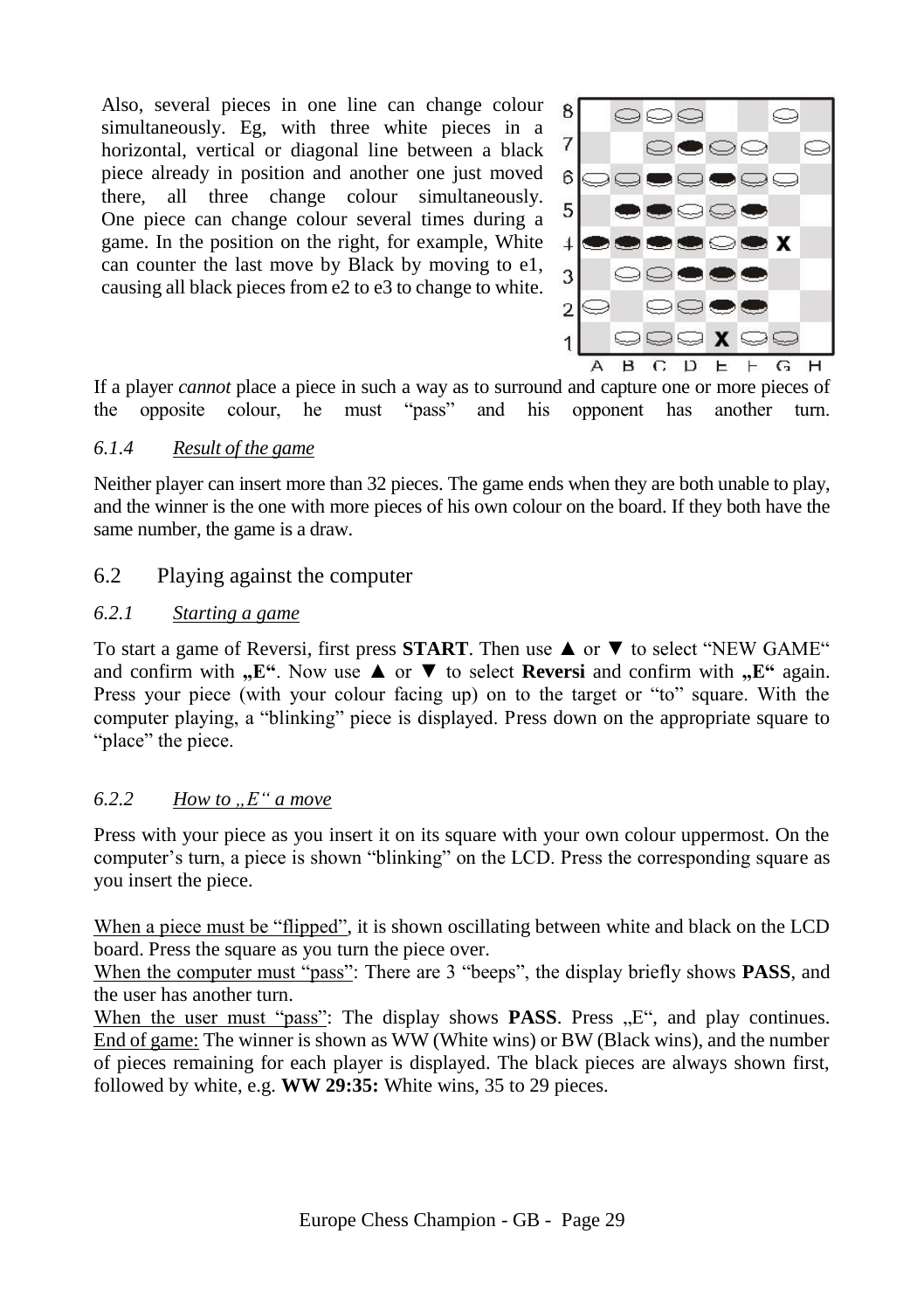Also, several pieces in one line can change colour simultaneously. Eg, with three white pieces in a horizontal, vertical or diagonal line between a black piece already in position and another one just moved there, all three change colour simultaneously. One piece can change colour several times during a game. In the position on the right, for example, White can counter the last move by Black by moving to e1, causing all black pieces from e2 to e3 to change to white.



If a player *cannot* place a piece in such a way as to surround and capture one or more pieces of the opposite colour, he must "pass" and his opponent has another turn. the opposite colour, he must "pass" and his opponent has another turn.

# <span id="page-28-0"></span>*6.1.4 Result of the game*

Neither player can insert more than 32 pieces. The game ends when they are both unable to play, and the winner is the one with more pieces of his own colour on the board. If they both have the same number, the game is a draw.

# <span id="page-28-1"></span>6.2 Playing against the computer

#### <span id="page-28-2"></span>*6.2.1 Starting a game*

To start a game of Reversi, first press **START**. Then use ▲ or ▼ to select "NEW GAME" and confirm with  $\mathbf{E}^{\alpha}$ . Now use  $\blacktriangle$  or  $\nabla$  to select **Reversi** and confirm with  $\mathbf{E}^{\alpha}$  again. Press your piece (with your colour facing up) on to the target or "to" square. With the computer playing, a "blinking" piece is displayed. Press down on the appropriate square to "place" the piece.

# <span id="page-28-3"></span>*6.2.2 How to "E" a move*

Press with your piece as you insert it on its square with your own colour uppermost. On the computer's turn, a piece is shown "blinking" on the LCD. Press the corresponding square as you insert the piece.

When a piece must be "flipped", it is shown oscillating between white and black on the LCD board. Press the square as you turn the piece over.

When the computer must "pass": There are 3 "beeps", the display briefly shows **PASS**, and the user has another turn.

When the user must "pass": The display shows **PASS**. Press  $E^{\prime\prime}$ , and play continues. End of game: The winner is shown as WW (White wins) or BW (Black wins), and the number of pieces remaining for each player is displayed. The black pieces are always shown first, followed by white, e.g. **WW 29:35:** White wins, 35 to 29 pieces.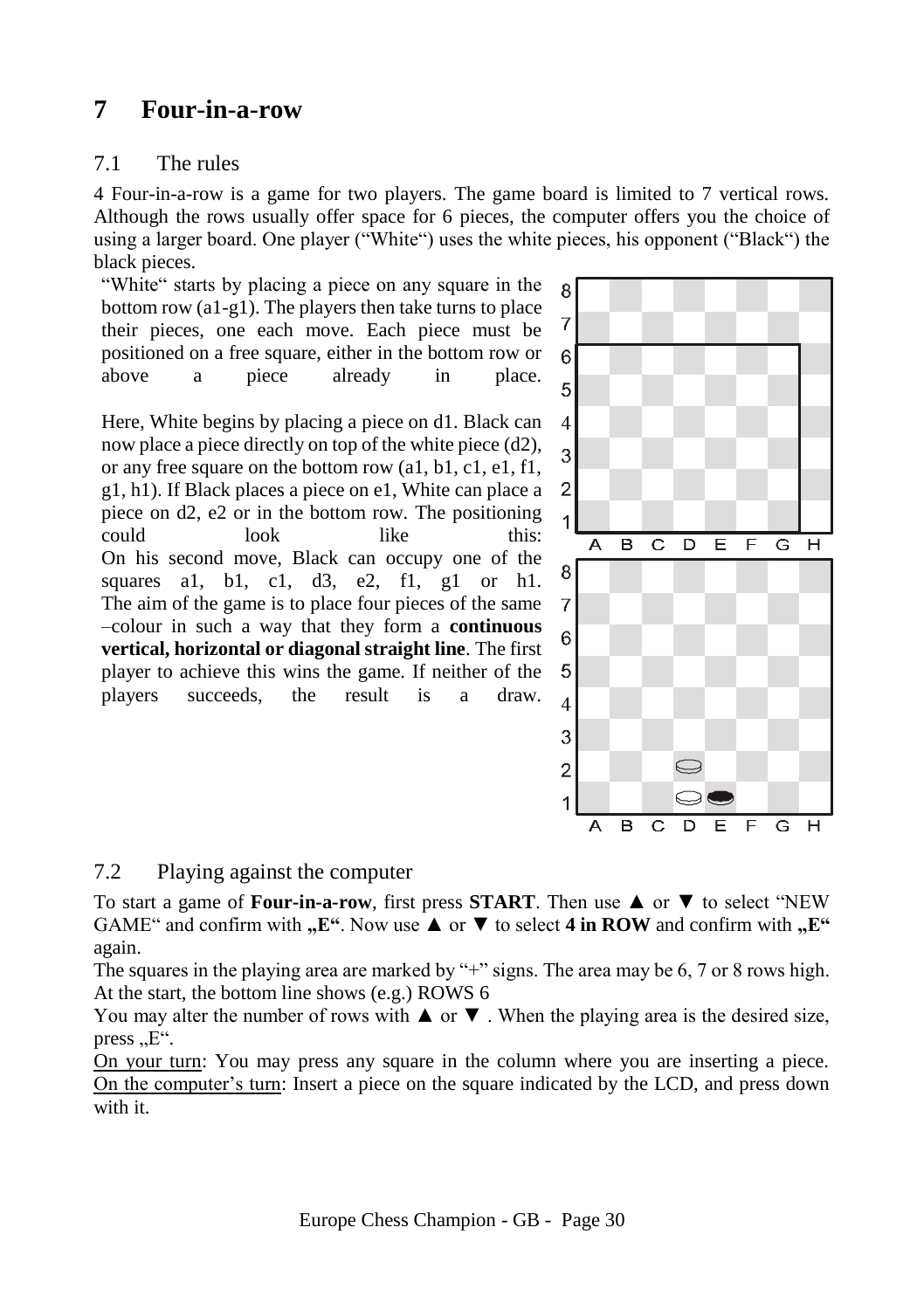# <span id="page-29-0"></span>**7 Four-in-a-row**

# <span id="page-29-1"></span>7.1 The rules

4 Four-in-a-row is a game for two players. The game board is limited to 7 vertical rows. Although the rows usually offer space for 6 pieces, the computer offers you the choice of using a larger board. One player ("White") uses the white pieces, his opponent ("Black") the black pieces.

"White" starts by placing a piece on any square in the bottom row (a1-g1). The players then take turns to place their pieces, one each move. Each piece must be positioned on a free square, either in the bottom row or above a piece already in place.

Here, White begins by placing a piece on d1. Black can now place a piece directly on top of the white piece (d2), or any free square on the bottom row (a1, b1, c1, e1, f1, g1, h1). If Black places a piece on e1, White can place a piece on d2, e2 or in the bottom row. The positioning could look like this: On his second move, Black can occupy one of the squares al, bl, cl, d3, e2, fl, gl or h1. The aim of the game is to place four pieces of the same –colour in such a way that they form a **continuous vertical, horizontal or diagonal straight line**. The first player to achieve this wins the game. If neither of the players succeeds, the result is a draw.



# <span id="page-29-2"></span>7.2 Playing against the computer

To start a game of **Four-in-a-row**, first press **START**. Then use ▲ or ▼ to select "NEW GAME" and confirm with  $n$ ,  $E^{\prime\prime}$ . Now use  $\blacktriangle$  or  $\nabla$  to select 4 in ROW and confirm with  $n$ ,  $E^{\prime\prime}$ again.

The squares in the playing area are marked by "+" signs. The area may be 6, 7 or 8 rows high. At the start, the bottom line shows (e.g.) ROWS 6

You may alter the number of rows with  $\triangle$  or  $\nabla$ . When the playing area is the desired size, press,  $E^{\prime\prime}$ .

On your turn: You may press any square in the column where you are inserting a piece. On the computer's turn: Insert a piece on the square indicated by the LCD, and press down with it.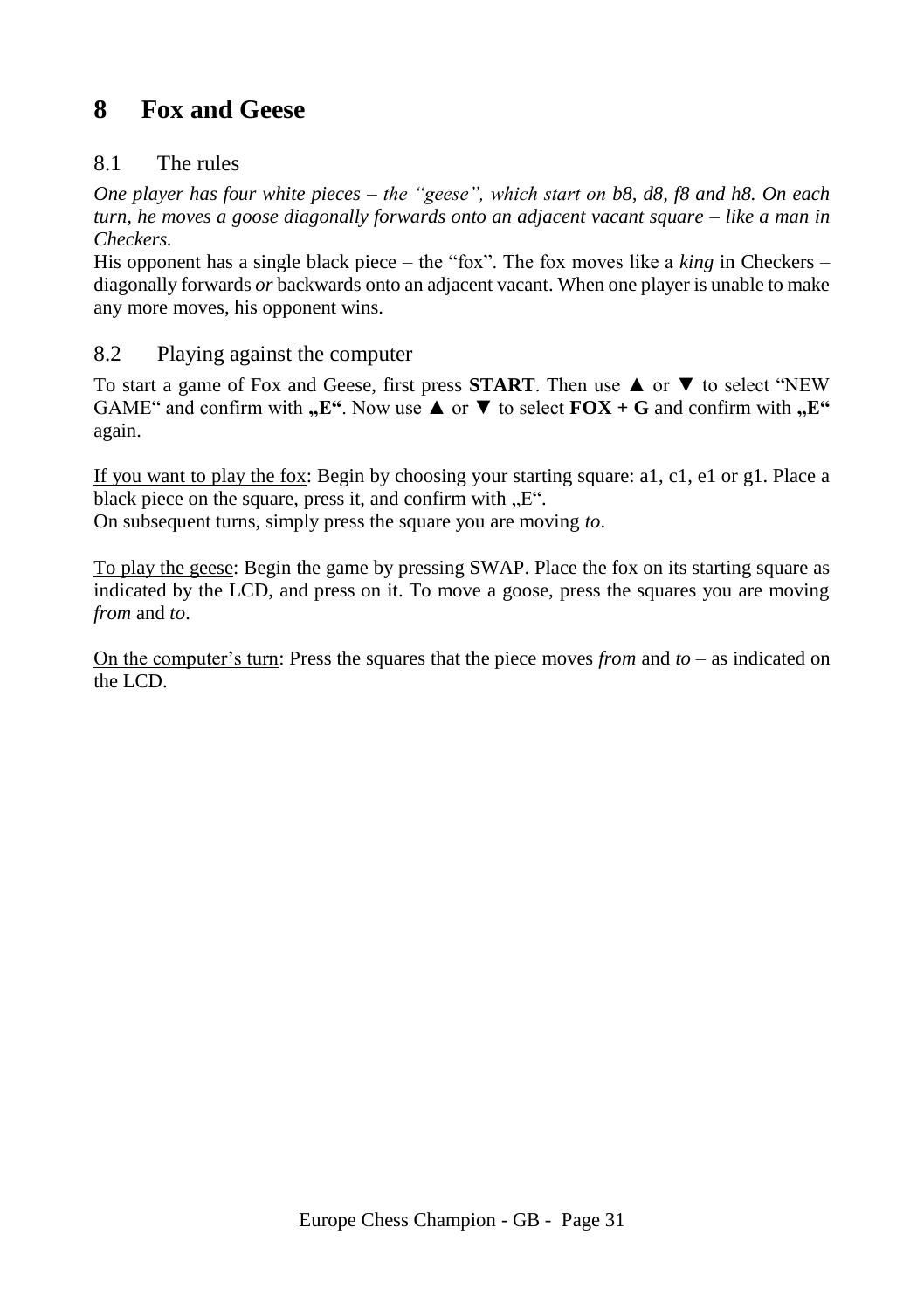# <span id="page-30-0"></span>**8 Fox and Geese**

# <span id="page-30-1"></span>8.1 The rules

*One player has four white pieces – the "geese", which start on b8, d8, f8 and h8. On each turn, he moves a goose diagonally forwards onto an adjacent vacant square – like a man in Checkers.*

His opponent has a single black piece – the "fox". The fox moves like a *king* in Checkers – diagonally forwards *or* backwards onto an adjacent vacant. When one player is unable to make any more moves, his opponent wins.

# <span id="page-30-2"></span>8.2 Playing against the computer

To start a game of Fox and Geese, first press **START**. Then use ▲ or ▼ to select "NEW GAME" and confirm with  $\mathbf{F}$ ". Now use  $\blacktriangle$  or  $\nabla$  to select  $\mathbf{FOX} + \mathbf{G}$  and confirm with  $\mathbf{F}$ " again.

If you want to play the fox: Begin by choosing your starting square: a1, c1, e1 or g1. Place a black piece on the square, press it, and confirm with  $.E^{\prime\prime}$ .

On subsequent turns, simply press the square you are moving *to*.

To play the geese: Begin the game by pressing SWAP. Place the fox on its starting square as indicated by the LCD, and press on it. To move a goose, press the squares you are moving *from* and *to*.

On the computer's turn: Press the squares that the piece moves *from* and *to* – as indicated on the LCD.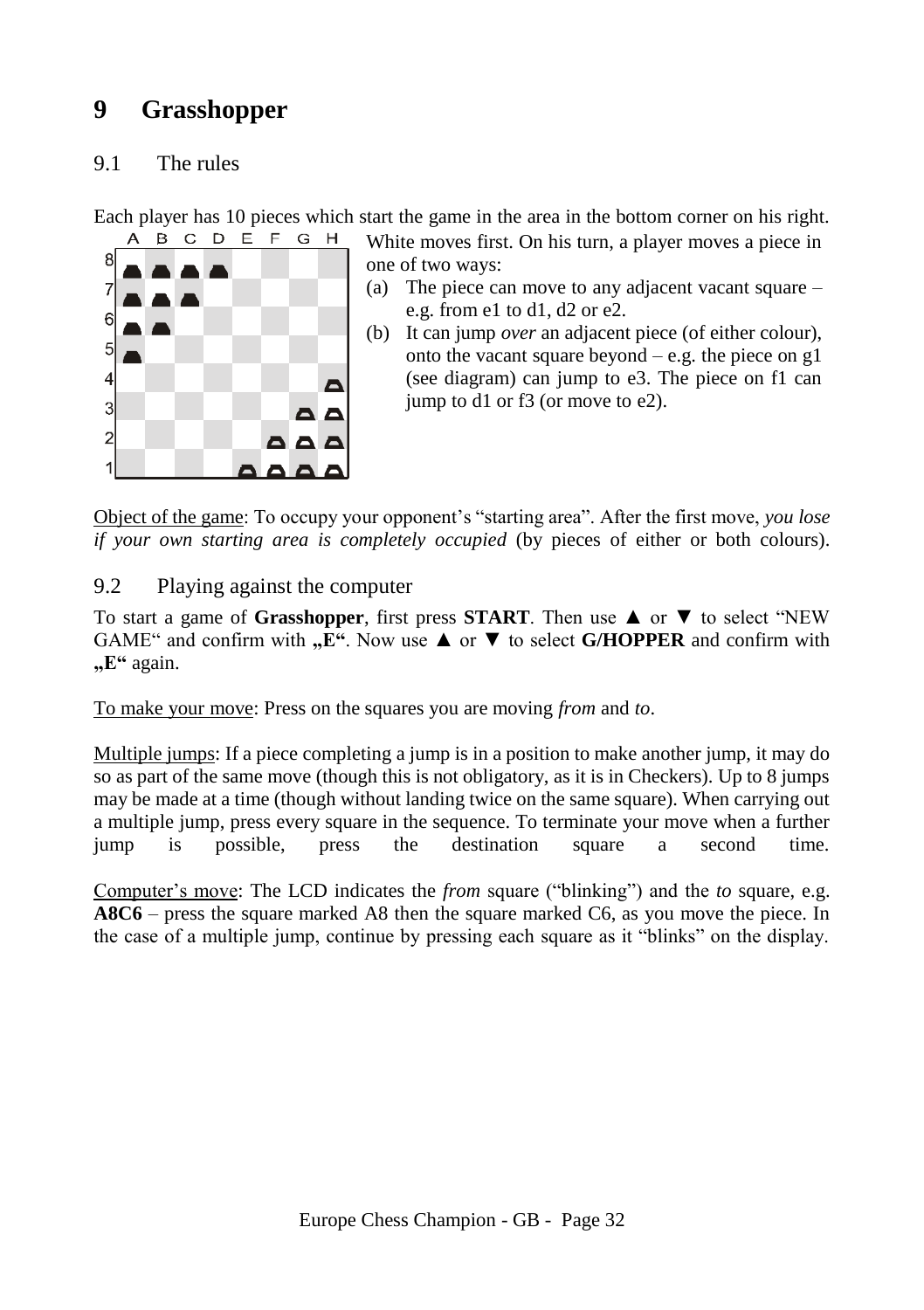# <span id="page-31-0"></span>**9 Grasshopper**

# <span id="page-31-1"></span>9.1 The rules

Each player has 10 pieces which start the game in the area in the bottom corner on his right.



White moves first. On his turn, a player moves a piece in one of two ways:

- (a) The piece can move to any adjacent vacant square e.g. from e1 to d1, d2 or e2.
- (b) It can jump *over* an adjacent piece (of either colour), onto the vacant square beyond  $-$  e.g. the piece on g1 (see diagram) can jump to e3. The piece on f1 can jump to d1 or f3 (or move to e2).

Object of the game: To occupy your opponent's "starting area". After the first move, *you lose if your own starting area is completely occupied* (by pieces of either or both colours).

# <span id="page-31-2"></span>9.2 Playing against the computer

To start a game of **Grasshopper**, first press **START**. Then use ▲ or ▼ to select "NEW GAME" and confirm with  $n \to \infty$ ". Now use  $\blacktriangle$  or  $\nabla$  to select **G/HOPPER** and confirm with **"E"** again.

To make your move: Press on the squares you are moving *from* and *to*.

Multiple jumps: If a piece completing a jump is in a position to make another jump, it may do so as part of the same move (though this is not obligatory, as it is in Checkers). Up to 8 jumps may be made at a time (though without landing twice on the same square). When carrying out a multiple jump, press every square in the sequence. To terminate your move when a further jump is possible, press the destination square a second time.

Computer's move: The LCD indicates the *from* square ("blinking") and the *to* square, e.g. **A8C6** – press the square marked A8 then the square marked C6, as you move the piece. In the case of a multiple jump, continue by pressing each square as it "blinks" on the display.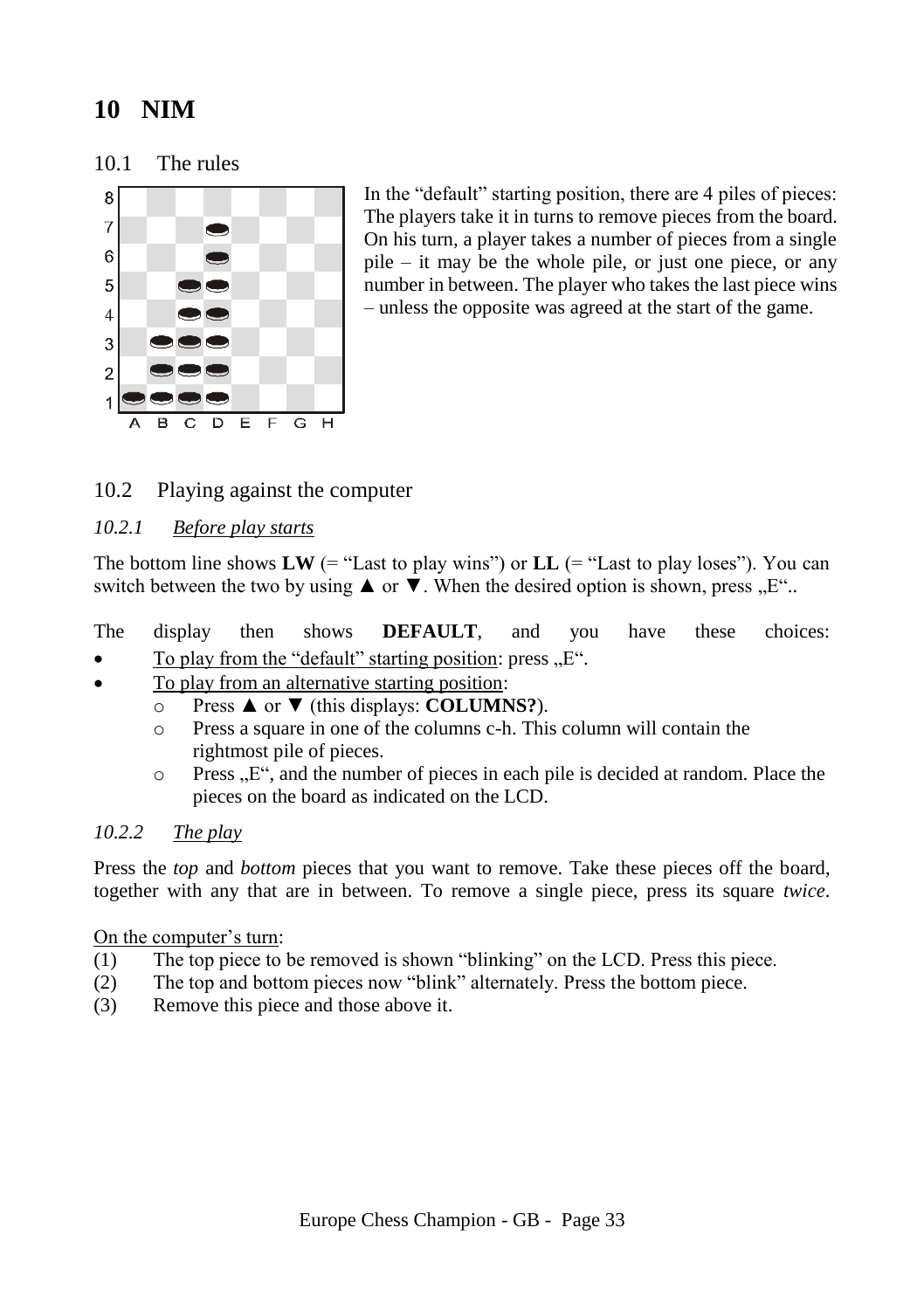# <span id="page-32-0"></span>**10 NIM**

<span id="page-32-1"></span>10.1 The rules



In the "default" starting position, there are 4 piles of pieces: The players take it in turns to remove pieces from the board. On his turn, a player takes a number of pieces from a single pile – it may be the whole pile, or just one piece, or any number in between. The player who takes the last piece wins – unless the opposite was agreed at the start of the game.

# <span id="page-32-2"></span>10.2 Playing against the computer

# <span id="page-32-3"></span>*10.2.1 Before play starts*

The bottom line shows  $LW$  (= "Last to play wins") or  $LL$  (= "Last to play loses"). You can switch between the two by using  $\triangle$  or  $\nabla$ . When the desired option is shown, press  $E^{\prime\prime}$ .

# The display then shows **DEFAULT**, and you have these choices:

- To play from the "default" starting position: press,  $E^{\prime\prime}$ .
- To play from an alternative starting position:
	- o Press ▲ or ▼ (this displays: **COLUMNS?**).
	- o Press a square in one of the columns c-h. This column will contain the rightmost pile of pieces.
	- $\circ$  Press  $E^{\prime\prime}$ , and the number of pieces in each pile is decided at random. Place the pieces on the board as indicated on the LCD.

# <span id="page-32-4"></span>*10.2.2 The play*

Press the *top* and *bottom* pieces that you want to remove. Take these pieces off the board, together with any that are in between. To remove a single piece, press its square *twice*.

# On the computer's turn:

- (1) The top piece to be removed is shown "blinking" on the LCD. Press this piece.
- (2) The top and bottom pieces now "blink" alternately. Press the bottom piece.
- (3) Remove this piece and those above it.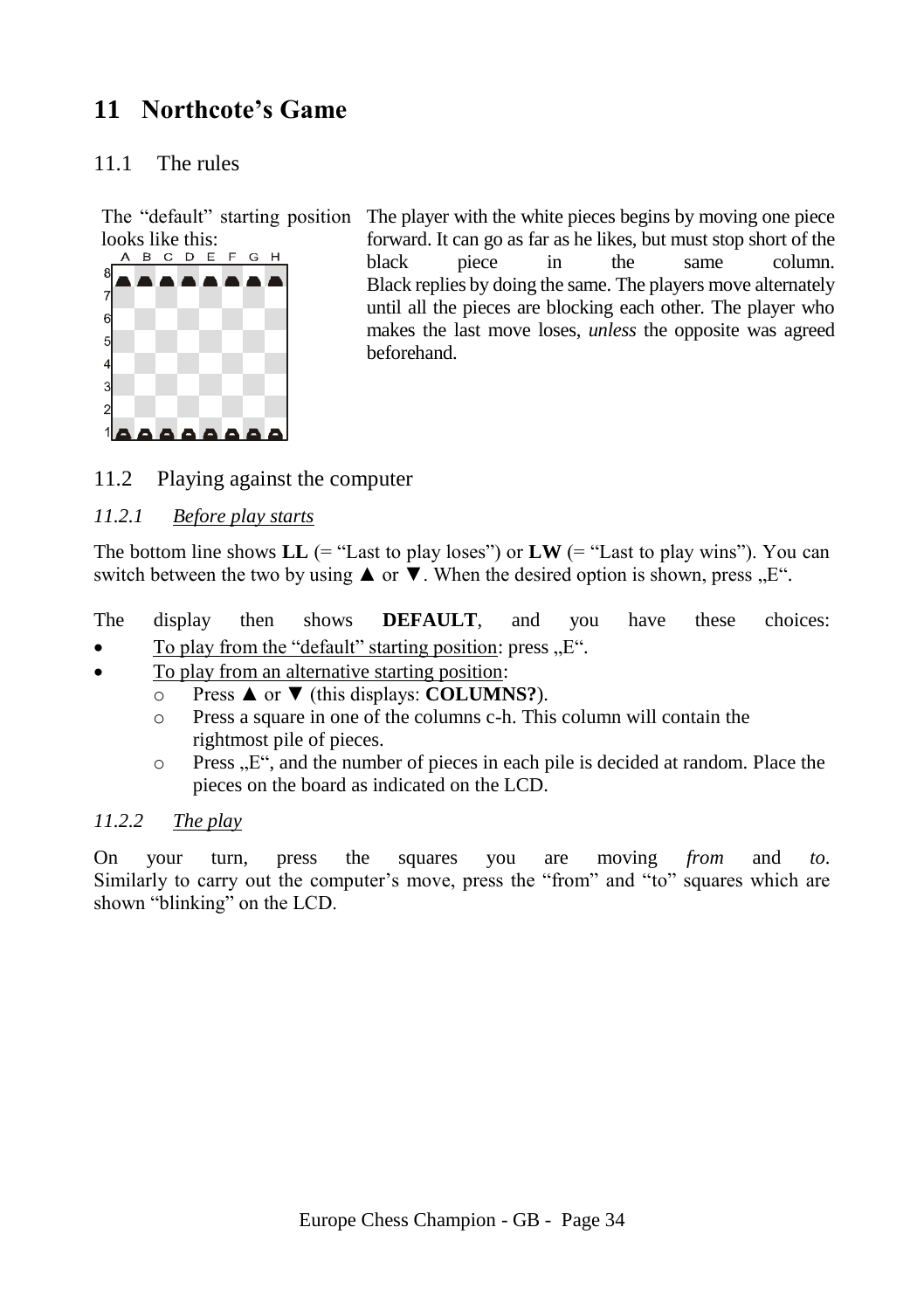# <span id="page-33-0"></span>**11 Northcote's Game**

# <span id="page-33-1"></span>11.1 The rules



The "default" starting position The player with the white pieces begins by moving one piece forward. It can go as far as he likes, but must stop short of the black piece in the same column. Black replies by doing the same. The players move alternately until all the pieces are blocking each other. The player who makes the last move loses, *unless* the opposite was agreed beforehand.

# <span id="page-33-2"></span>11.2 Playing against the computer

# <span id="page-33-3"></span>*11.2.1 Before play starts*

The bottom line shows  $LL$  (= "Last to play loses") or  $LW$  (= "Last to play wins"). You can switch between the two by using  $\blacktriangle$  or  $\nabla$ . When the desired option is shown, press  $E^{\prime\prime}$ .

The display then shows **DEFAULT**, and you have these choices: To play from the "default" starting position: press  $E$ ".

- To play from an alternative starting position:
	- o Press ▲ or ▼ (this displays: **COLUMNS?**).
	- o Press a square in one of the columns c-h. This column will contain the rightmost pile of pieces.
	- $\circ$  Press  $\mathbb{R}^n$ , and the number of pieces in each pile is decided at random. Place the pieces on the board as indicated on the LCD.

# <span id="page-33-4"></span>*11.2.2 The play*

On your turn, press the squares you are moving *from* and *to*. Similarly to carry out the computer's move, press the "from" and "to" squares which are shown "blinking" on the LCD.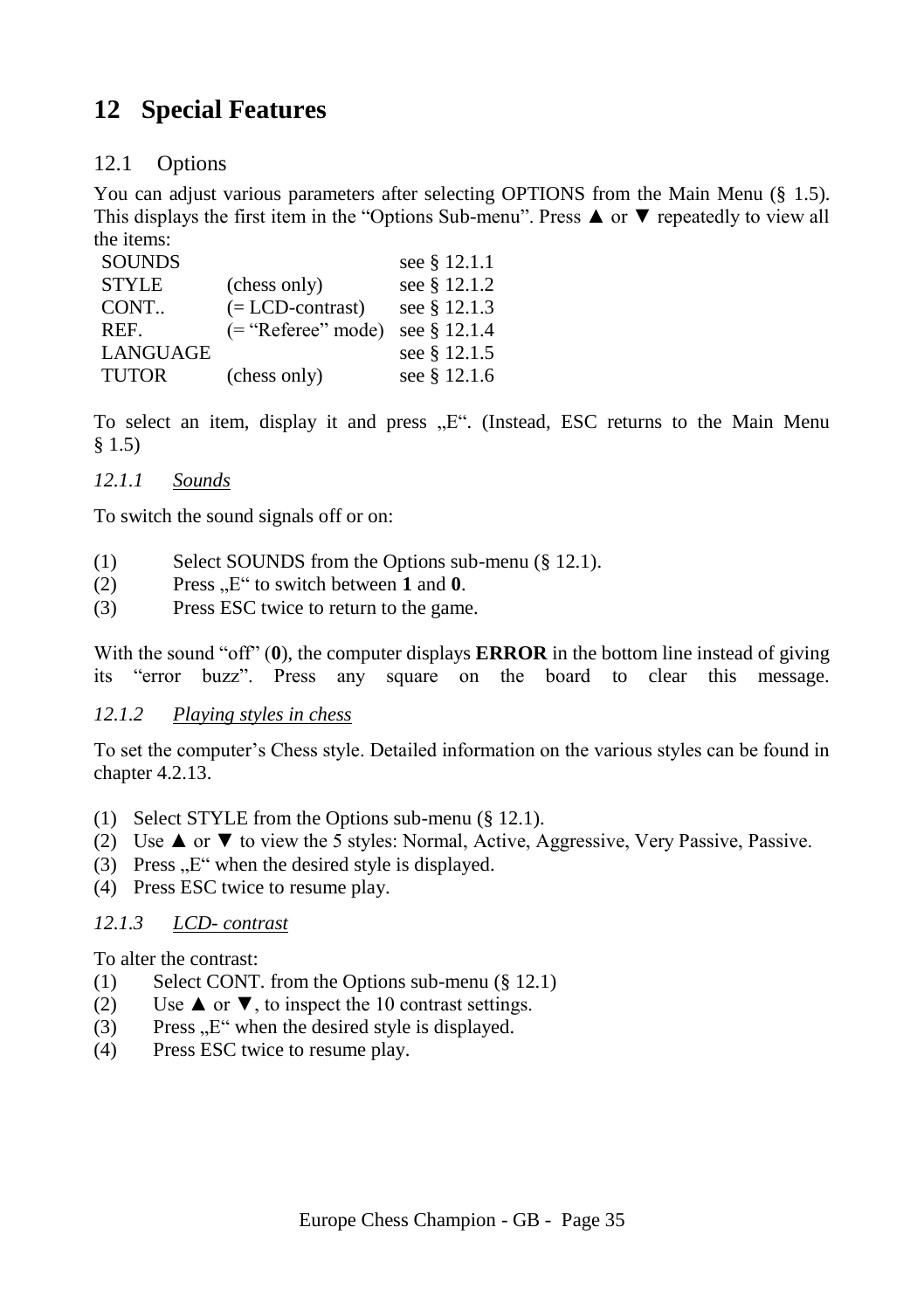# <span id="page-34-0"></span>**12 Special Features**

# <span id="page-34-1"></span>12.1 Options

You can adjust various parameters after selecting OPTIONS from the Main Menu (§ [1.5\)](#page-7-2). This displays the first item in the "Options Sub-menu". Press ▲ or ▼ repeatedly to view all the items:

| <b>SOUNDS</b> |                       | see § 12.1.1 |
|---------------|-----------------------|--------------|
| <b>STYLE</b>  | (chess only)          | see § 12.1.2 |
| CONT.         | $(= LCD$ -contrast)   | see § 12.1.3 |
| REF.          | $($ = "Referee" mode) | see § 12.1.4 |
| LANGUAGE      |                       | see § 12.1.5 |
| <b>TUTOR</b>  | (chess only)          | see § 12.1.6 |

To select an item, display it and press  $E^{\prime\prime}$ . (Instead, ESC returns to the Main Menu [§ 1.5\)](#page-7-2)

# <span id="page-34-2"></span>*12.1.1 Sounds*

To switch the sound signals off or on:

- (1) Select SOUNDS from the Options sub-menu ([§ 12.1\)](#page-34-1).
- $(2)$  Press  $E^{\prime\prime}$  to switch between 1 and 0.
- (3) Press ESC twice to return to the game.

With the sound "off" (**0**), the computer displays **ERROR** in the bottom line instead of giving its "error buzz". Press any square on the board to clear this message.

# <span id="page-34-3"></span>*12.1.2 Playing styles in chess*

To set the computer's Chess style. Detailed information on the various styles can be found in chapte[r 4.2.13.](#page-20-2)

- (1) Select STYLE from the Options sub-menu ([§ 12.1\)](#page-34-1).
- (2) Use  $\blacktriangle$  or  $\nabla$  to view the 5 styles: Normal, Active, Aggressive, Very Passive, Passive.
- (3) Press  $E^{\prime\prime}$  when the desired style is displayed.
- (4) Press ESC twice to resume play.

# <span id="page-34-4"></span>*12.1.3 LCD- contrast*

To alter the contrast:

- (1) Select CONT. from the Options sub-menu (§ [12.1\)](#page-34-1)
- (2) Use  $\triangle$  or  $\nabla$ , to inspect the 10 contrast settings.
- $(3)$  Press  $E^{\prime\prime}$  when the desired style is displayed.
- (4) Press ESC twice to resume play.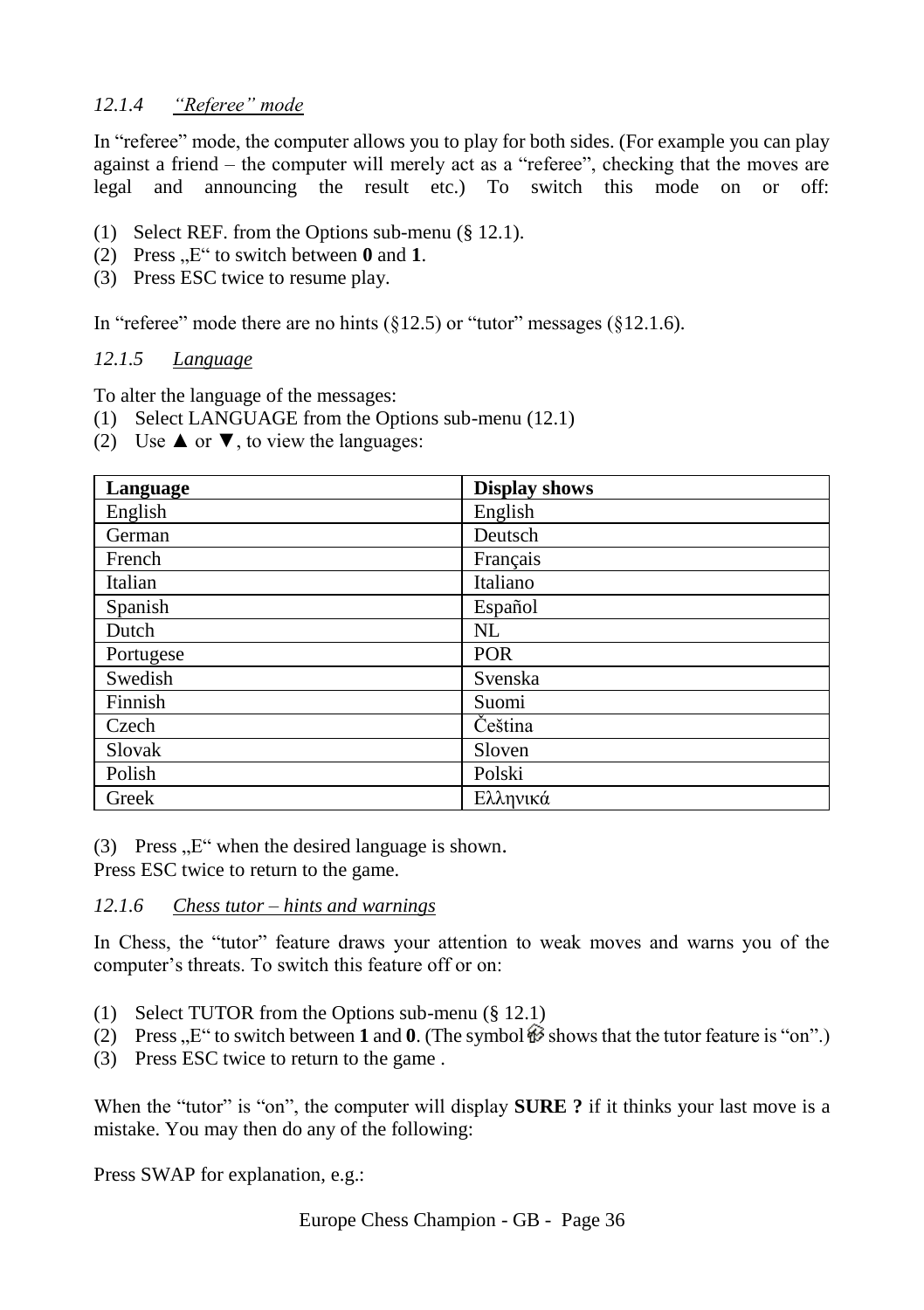# <span id="page-35-0"></span>*12.1.4 "Referee" mode*

In "referee" mode, the computer allows you to play for both sides. (For example you can play against a friend – the computer will merely act as a "referee", checking that the moves are legal and announcing the result etc.) To switch this mode on or off:

- (1) Select REF. from the Options sub-menu (§ [12.1\)](#page-34-1).
- (2) Press  $E^{\prime\prime}$  to switch between 0 and 1.
- (3) Press ESC twice to resume play.

In "referee" mode there are no hints  $(\S12.5)$  or "tutor" messages  $(\S12.1.6)$ .

#### <span id="page-35-1"></span>*12.1.5 Language*

To alter the language of the messages:

- (1) Select LANGUAGE from the Options sub-menu [\(12.1\)](#page-34-1)
- (2) Use  $\triangle$  or  $\nabla$ , to view the languages:

| Language  | <b>Display shows</b> |
|-----------|----------------------|
| English   | English              |
| German    | Deutsch              |
| French    | Français             |
| Italian   | Italiano             |
| Spanish   | Español              |
| Dutch     | NL                   |
| Portugese | <b>POR</b>           |
| Swedish   | Svenska              |
| Finnish   | Suomi                |
| Czech     | Čeština              |
| Slovak    | Sloven               |
| Polish    | Polski               |
| Greek     | Ελληνικά             |

(3) Press  $E^{\prime\prime}$  when the desired language is shown.

Press ESC twice to return to the game.

#### <span id="page-35-2"></span>*12.1.6 Chess tutor – hints and warnings*

In Chess, the "tutor" feature draws your attention to weak moves and warns you of the computer's threats. To switch this feature off or on:

- (1) Select TUTOR from the Options sub-menu (§ [12.1\)](#page-34-1)
- (2) Press  $E^{\prime\prime}$  to switch between **1** and **0**. (The symbol  $\mathcal{B}$  shows that the tutor feature is "on".)
- (3) Press ESC twice to return to the game .

When the "tutor" is "on", the computer will display **SURE** ? if it thinks your last move is a mistake. You may then do any of the following:

Press SWAP for explanation, e.g.: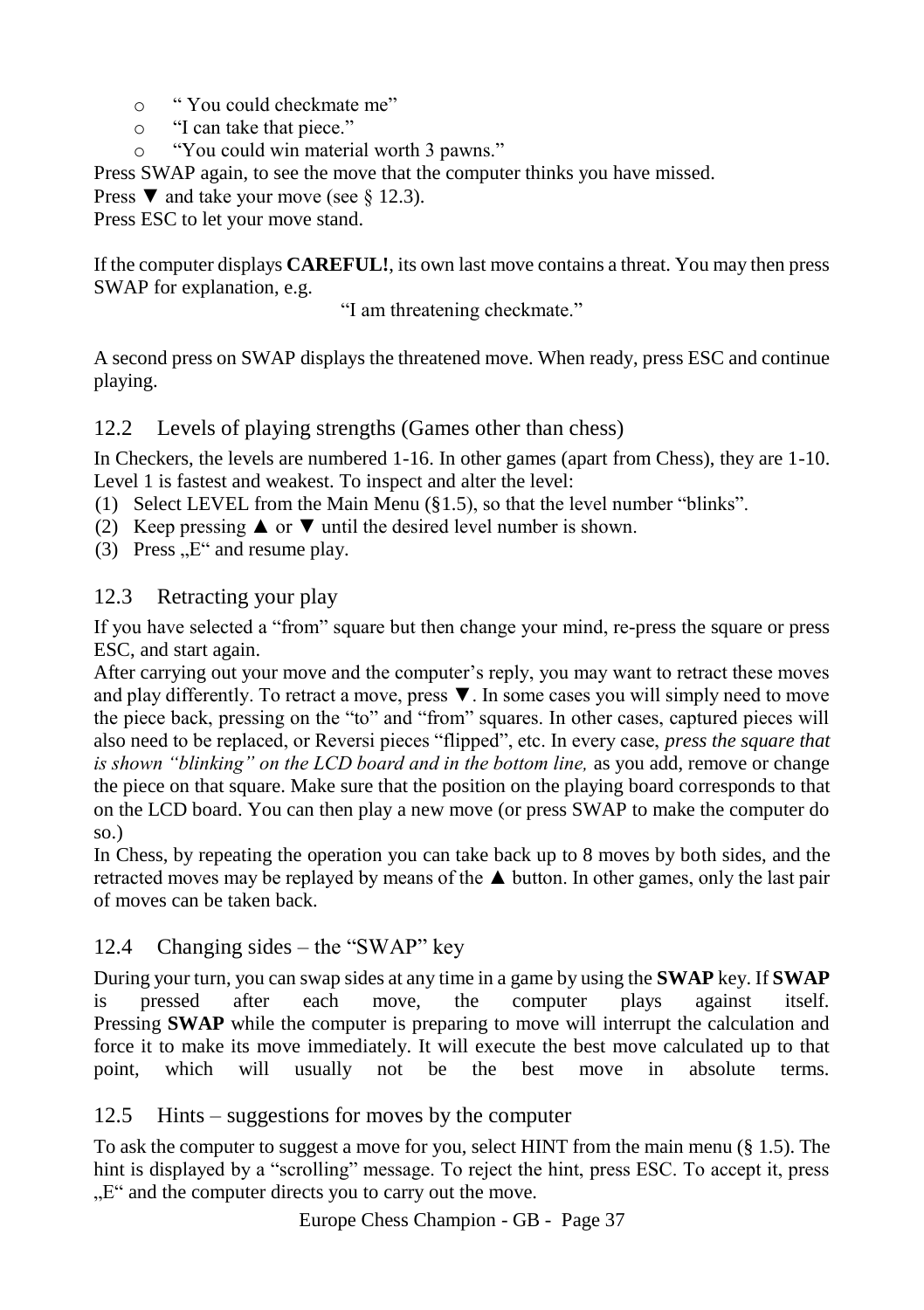- o " You could checkmate me"
- o "I can take that piece."
- o "You could win material worth 3 pawns."

Press SWAP again, to see the move that the computer thinks you have missed.

Press  $\blacktriangledown$  and take your move (see § [12.3\)](#page-36-1).

Press ESC to let your move stand.

If the computer displays **CAREFUL!**, its own last move contains a threat. You may then press SWAP for explanation, e.g.

"I am threatening checkmate."

A second press on SWAP displays the threatened move. When ready, press ESC and continue playing.

# <span id="page-36-0"></span>12.2 Levels of playing strengths (Games other than chess)

In Checkers, the levels are numbered 1-16. In other games (apart from Chess), they are 1-10. Level 1 is fastest and weakest. To inspect and alter the level:

- (1) Select LEVEL from the Main Menu ([§1.5\)](#page-7-2), so that the level number "blinks".
- (2) Keep pressing  $\triangle$  or  $\nabla$  until the desired level number is shown.
- (3) Press  $E^{\prime\prime}$  and resume play.

# <span id="page-36-1"></span>12.3 Retracting your play

If you have selected a "from" square but then change your mind, re-press the square or press ESC, and start again.

After carrying out your move and the computer's reply, you may want to retract these moves and play differently. To retract a move, press ▼. In some cases you will simply need to move the piece back, pressing on the "to" and "from" squares. In other cases, captured pieces will also need to be replaced, or Reversi pieces "flipped", etc. In every case, *press the square that is shown "blinking" on the LCD board and in the bottom line,* as you add, remove or change the piece on that square. Make sure that the position on the playing board corresponds to that on the LCD board. You can then play a new move (or press SWAP to make the computer do so.)

In Chess, by repeating the operation you can take back up to 8 moves by both sides, and the retracted moves may be replayed by means of the ▲ button. In other games, only the last pair of moves can be taken back.

# <span id="page-36-2"></span>12.4 Changing sides – the "SWAP" key

During your turn, you can swap sides at any time in a game by using the **SWAP** key. If **SWAP** is pressed after each move, the computer plays against itself. Pressing **SWAP** while the computer is preparing to move will interrupt the calculation and force it to make its move immediately. It will execute the best move calculated up to that point, which will usually not be the best move in absolute terms.

# <span id="page-36-3"></span>12.5 Hints – suggestions for moves by the computer

To ask the computer to suggest a move for you, select HINT from the main menu ([§ 1.5\)](#page-7-2). The hint is displayed by a "scrolling" message. To reject the hint, press ESC. To accept it, press . E" and the computer directs you to carry out the move.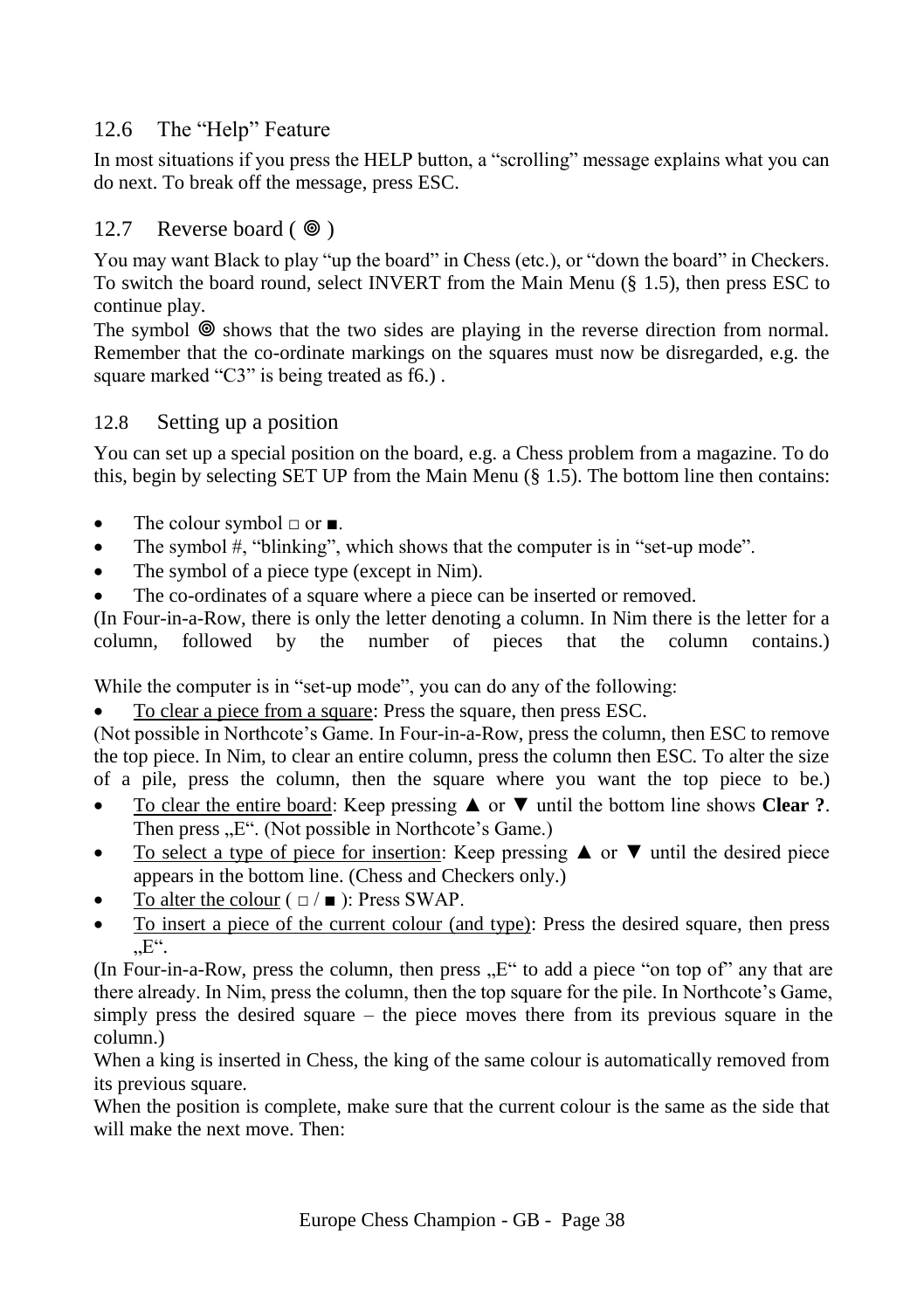# <span id="page-37-0"></span>12.6 The "Help" Feature

In most situations if you press the HELP button, a "scrolling" message explains what you can do next. To break off the message, press ESC.

# <span id="page-37-1"></span>12.7 Reverse board  $(\circledcirc)$

You may want Black to play "up the board" in Chess (etc.), or "down the board" in Checkers. To switch the board round, select INVERT from the Main Menu (§ [1.5\)](#page-7-2), then press ESC to continue play.

The symbol  $\circledcirc$  shows that the two sides are playing in the reverse direction from normal. Remember that the co-ordinate markings on the squares must now be disregarded, e.g. the square marked "C3" is being treated as f6.).

# <span id="page-37-2"></span>12.8 Setting up a position

You can set up a special position on the board, e.g. a Chess problem from a magazine. To do this, begin by selecting SET UP from the Main Menu  $(\S 1.5)$  $(\S 1.5)$ . The bottom line then contains:

- The colour symbol  $\Box$  or  $\blacksquare$ .
- The symbol #, "blinking", which shows that the computer is in "set-up mode".
- The symbol of a piece type (except in Nim).
- The co-ordinates of a square where a piece can be inserted or removed.

(In Four-in-a-Row, there is only the letter denoting a column. In Nim there is the letter for a column, followed by the number of pieces that the column contains.) column, followed by the number of pieces that the column contains.)

While the computer is in "set-up mode", you can do any of the following:

To clear a piece from a square: Press the square, then press ESC.

(Not possible in Northcote's Game. In Four-in-a-Row, press the column, then ESC to remove the top piece. In Nim, to clear an entire column, press the column then ESC. To alter the size of a pile, press the column, then the square where you want the top piece to be.)

- To clear the entire board: Keep pressing ▲ or ▼ until the bottom line shows **Clear ?**. Then press "E". (Not possible in Northcote's Game.)
- To select a type of piece for insertion: Keep pressing  $\triangle$  or  $\nabla$  until the desired piece appears in the bottom line. (Chess and Checkers only.)
- To alter the colour  $( \Box / \blacksquare )$ : Press SWAP.
- To insert a piece of the current colour (and type): Press the desired square, then press  $E^{\prime\prime}$ .

(In Four-in-a-Row, press the column, then press  $E^{\prime\prime}$  to add a piece "on top of" any that are there already. In Nim, press the column, then the top square for the pile. In Northcote's Game, simply press the desired square – the piece moves there from its previous square in the column.)

When a king is inserted in Chess, the king of the same colour is automatically removed from its previous square.

When the position is complete, make sure that the current colour is the same as the side that will make the next move. Then: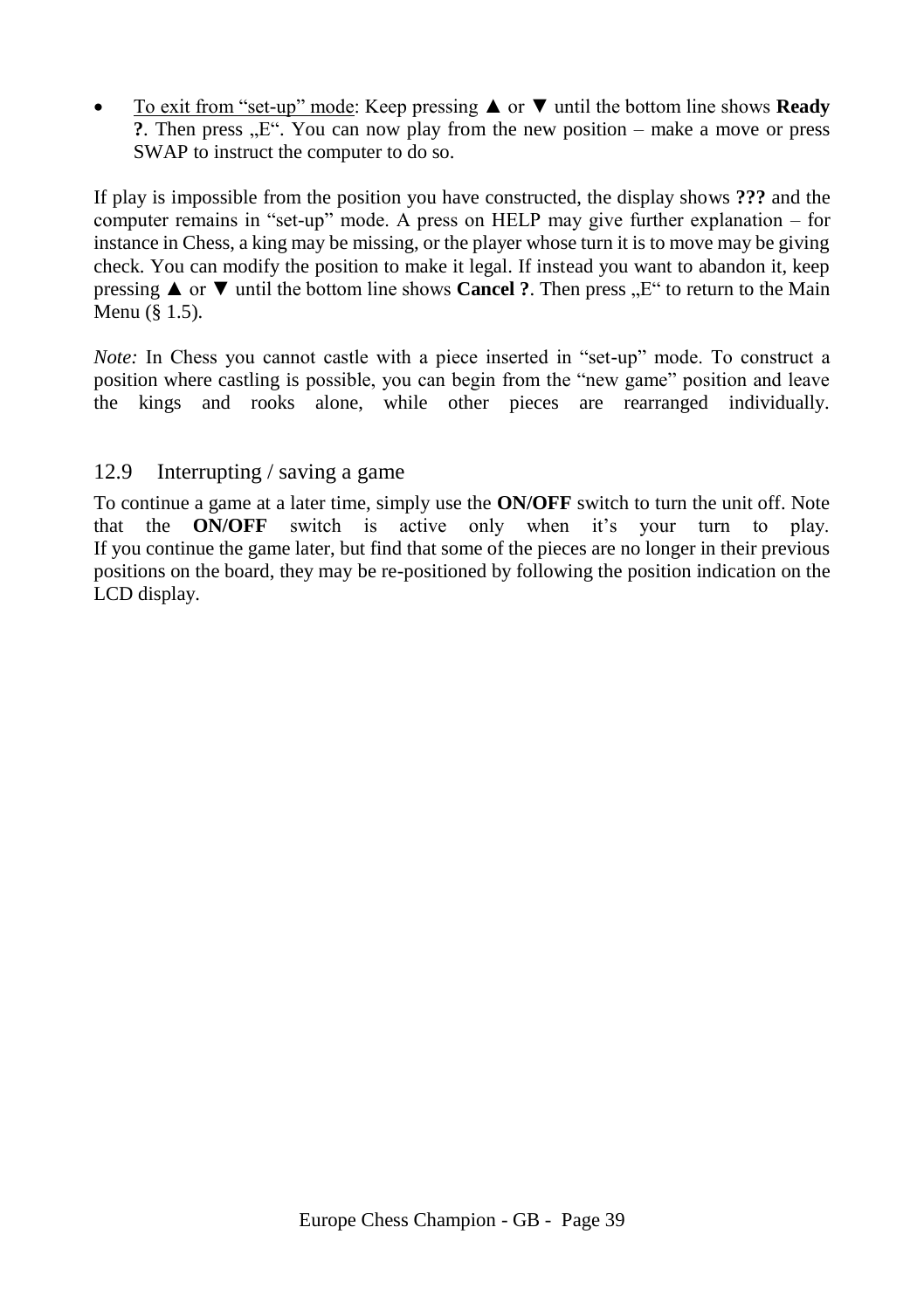To exit from "set-up" mode: Keep pressing ▲ or ▼ until the bottom line shows **Ready ?.** Then press "E". You can now play from the new position – make a move or press SWAP to instruct the computer to do so.

If play is impossible from the position you have constructed, the display shows **???** and the computer remains in "set-up" mode. A press on HELP may give further explanation – for instance in Chess, a king may be missing, or the player whose turn it is to move may be giving check. You can modify the position to make it legal. If instead you want to abandon it, keep pressing **▲** or  $\blacktriangledown$  until the bottom line shows **Cancel** ?. Then press  $\mathbb{R}^n$  to return to the Main Menu ([§ 1.5\)](#page-7-2).

*Note:* In Chess you cannot castle with a piece inserted in "set-up" mode. To construct a position where castling is possible, you can begin from the "new game" position and leave the kings and rooks alone, while other pieces are rearranged individually.

# <span id="page-38-0"></span>12.9 Interrupting / saving a game

To continue a game at a later time, simply use the **ON/OFF** switch to turn the unit off. Note that the **ON/OFF** switch is active only when it's your turn to play. If you continue the game later, but find that some of the pieces are no longer in their previous positions on the board, they may be re-positioned by following the position indication on the LCD display.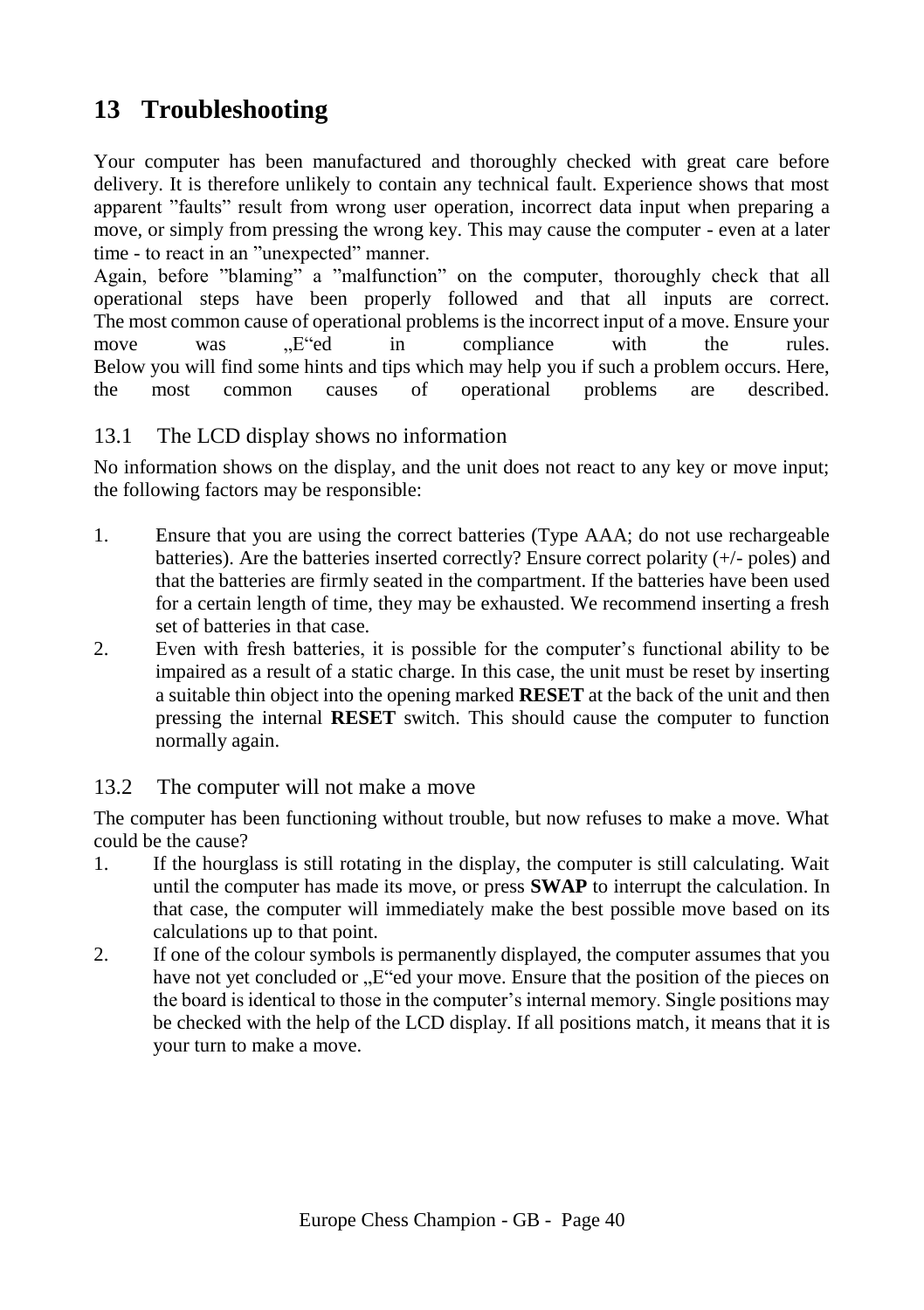# <span id="page-39-0"></span>**13 Troubleshooting**

Your computer has been manufactured and thoroughly checked with great care before delivery. It is therefore unlikely to contain any technical fault. Experience shows that most apparent "faults" result from wrong user operation, incorrect data input when preparing a move, or simply from pressing the wrong key. This may cause the computer - even at a later time - to react in an "unexpected" manner.

Again, before "blaming" a "malfunction" on the computer, thoroughly check that all operational steps have been properly followed and that all inputs are correct. The most common cause of operational problems is the incorrect input of a move. Ensure your move was , E d in compliance with the rules. Below you will find some hints and tips which may help you if such a problem occurs. Here, the most common causes of operational problems are described.

# <span id="page-39-1"></span>13.1 The LCD display shows no information

No information shows on the display, and the unit does not react to any key or move input; the following factors may be responsible:

- 1. Ensure that you are using the correct batteries (Type AAA; do not use rechargeable batteries). Are the batteries inserted correctly? Ensure correct polarity (+/- poles) and that the batteries are firmly seated in the compartment. If the batteries have been used for a certain length of time, they may be exhausted. We recommend inserting a fresh set of batteries in that case.
- 2. Even with fresh batteries, it is possible for the computer's functional ability to be impaired as a result of a static charge. In this case, the unit must be reset by inserting a suitable thin object into the opening marked **RESET** at the back of the unit and then pressing the internal **RESET** switch. This should cause the computer to function normally again.

# <span id="page-39-2"></span>13.2 The computer will not make a move

The computer has been functioning without trouble, but now refuses to make a move. What could be the cause?

- 1. If the hourglass is still rotating in the display, the computer is still calculating. Wait until the computer has made its move, or press **SWAP** to interrupt the calculation. In that case, the computer will immediately make the best possible move based on its calculations up to that point.
- 2. If one of the colour symbols is permanently displayed, the computer assumes that you have not yet concluded or  $E^{\prime}$ ed your move. Ensure that the position of the pieces on the board is identical to those in the computer's internal memory. Single positions may be checked with the help of the LCD display. If all positions match, it means that it is your turn to make a move.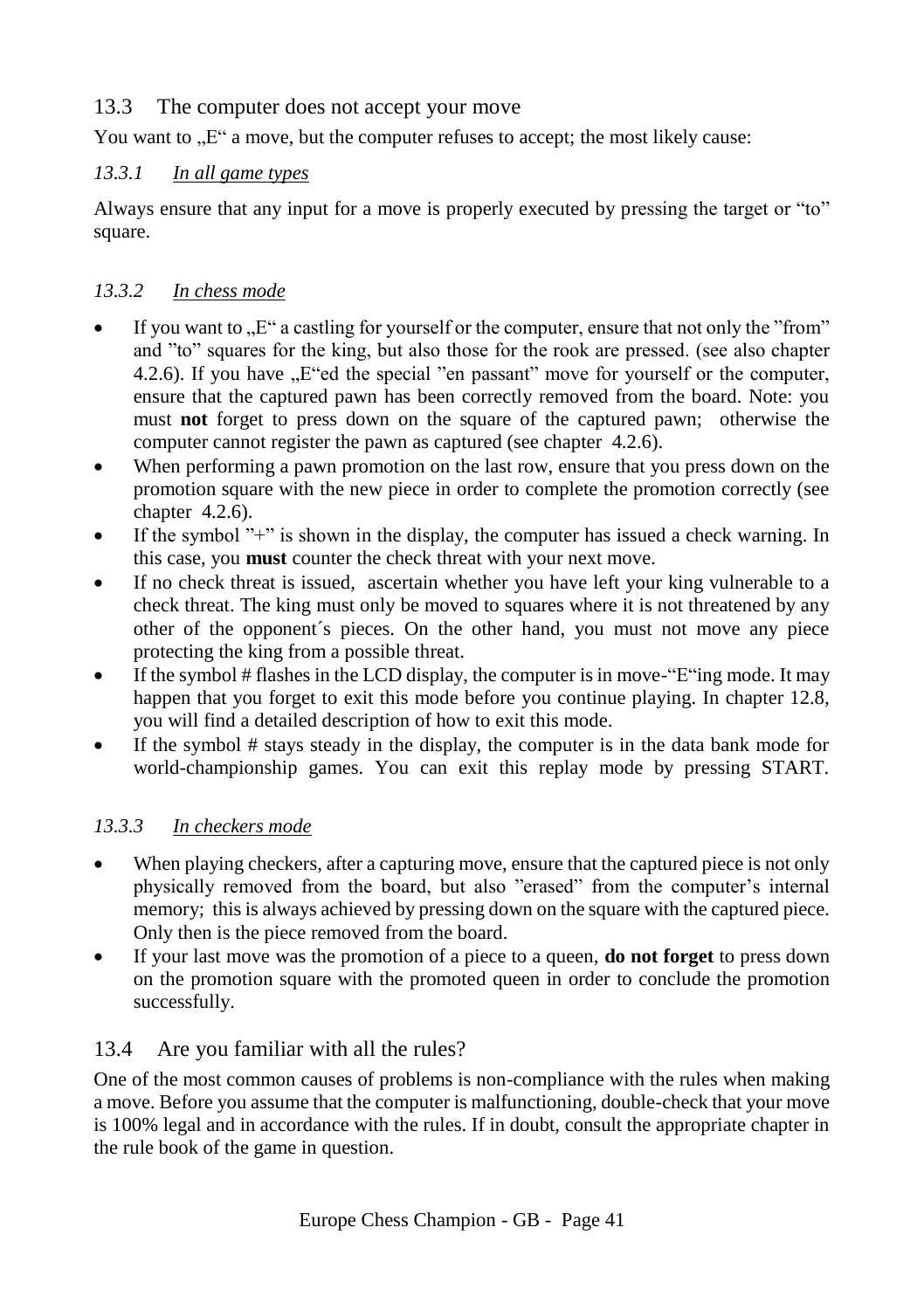# <span id="page-40-0"></span>13.3 The computer does not accept your move

You want to  $\mathbb{R}^n$  a move, but the computer refuses to accept; the most likely cause:

# <span id="page-40-1"></span>*13.3.1 In all game types*

Always ensure that any input for a move is properly executed by pressing the target or "to" square.

# <span id="page-40-2"></span>*13.3.2 In chess mode*

- If you want to  $E^{\prime\prime}$  a castling for yourself or the computer, ensure that not only the "from" and "to" squares for the king, but also those for the rook are pressed. (see also chapter 4.2.6). If you have  $E^{\prime}$ ed the special "en passant" move for yourself or the computer, ensure that the captured pawn has been correctly removed from the board. Note: you must **not** forget to press down on the square of the captured pawn; otherwise the computer cannot register the pawn as captured (see chapter 4.2.6).
- When performing a pawn promotion on the last row, ensure that you press down on the promotion square with the new piece in order to complete the promotion correctly (see chapter 4.2.6).
- If the symbol "+" is shown in the display, the computer has issued a check warning. In this case, you **must** counter the check threat with your next move.
- If no check threat is issued, ascertain whether you have left your king vulnerable to a check threat. The king must only be moved to squares where it is not threatened by any other of the opponent´s pieces. On the other hand, you must not move any piece protecting the king from a possible threat.
- If the symbol  $#$  flashes in the LCD display, the computer is in move-"E"ing mode. It may happen that you forget to exit this mode before you continue playing. In chapter 12.8, you will find a detailed description of how to exit this mode.
- If the symbol # stays steady in the display, the computer is in the data bank mode for world-championship games. You can exit this replay mode by pressing START.

# <span id="page-40-3"></span>*13.3.3 In checkers mode*

- When playing checkers, after a capturing move, ensure that the captured piece is not only physically removed from the board, but also "erased" from the computer's internal memory; this is always achieved by pressing down on the square with the captured piece. Only then is the piece removed from the board.
- If your last move was the promotion of a piece to a queen, **do not forget** to press down on the promotion square with the promoted queen in order to conclude the promotion successfully.

# <span id="page-40-4"></span>13.4 Are you familiar with all the rules?

One of the most common causes of problems is non-compliance with the rules when making a move. Before you assume that the computer is malfunctioning, double-check that your move is 100% legal and in accordance with the rules. If in doubt, consult the appropriate chapter in the rule book of the game in question.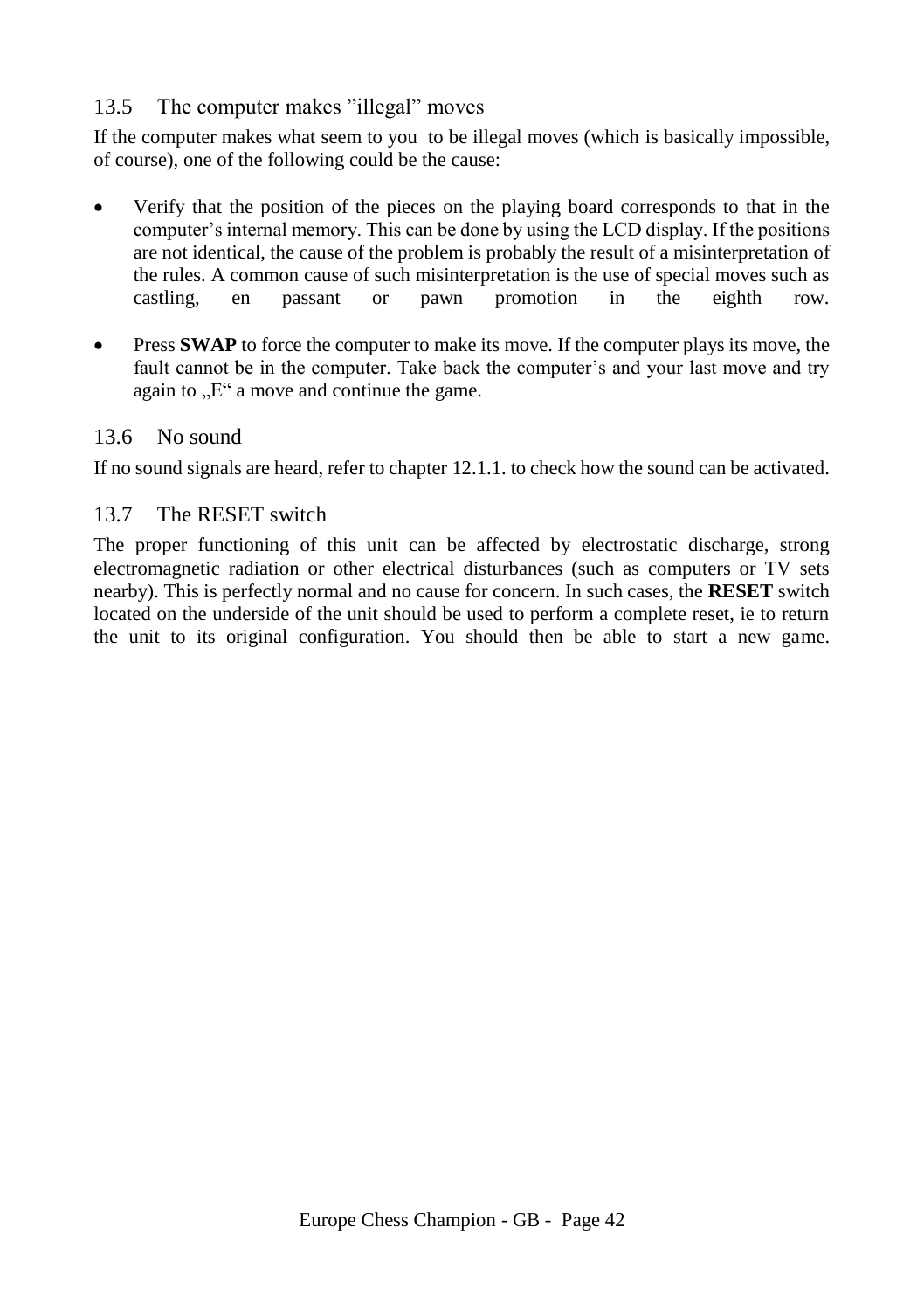# <span id="page-41-0"></span>13.5 The computer makes "illegal" moves

If the computer makes what seem to you to be illegal moves (which is basically impossible, of course), one of the following could be the cause:

- Verify that the position of the pieces on the playing board corresponds to that in the computer's internal memory. This can be done by using the LCD display. If the positions are not identical, the cause of the problem is probably the result of a misinterpretation of the rules. A common cause of such misinterpretation is the use of special moves such as castling, en passant or pawn promotion in the eighth row.
- **Press SWAP** to force the computer to make its move. If the computer plays its move, the fault cannot be in the computer. Take back the computer's and your last move and try again to  $E^{\prime\prime}$  a move and continue the game.

# <span id="page-41-1"></span>13.6 No sound

If no sound signals are heard, refer to chapter 12.1.1. to check how the sound can be activated.

# <span id="page-41-2"></span>13.7 The RESET switch

The proper functioning of this unit can be affected by electrostatic discharge, strong electromagnetic radiation or other electrical disturbances (such as computers or TV sets nearby). This is perfectly normal and no cause for concern. In such cases, the **RESET** switch located on the underside of the unit should be used to perform a complete reset, ie to return the unit to its original configuration. You should then be able to start a new game.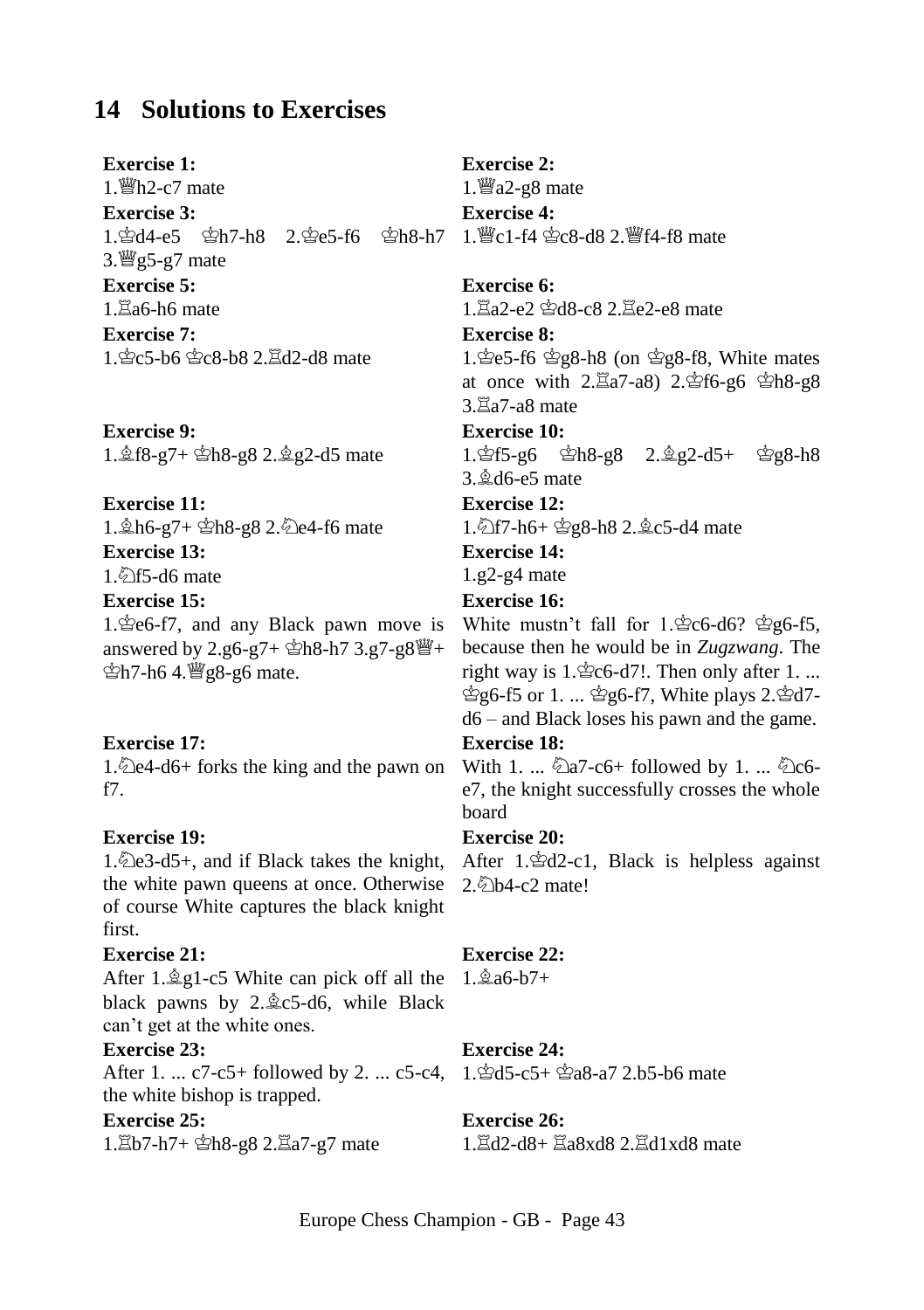# <span id="page-42-0"></span>**14 Solutions to Exercises**

**Exercise 1:**   $1.$  醫h $2$ -c7 mate **Exercise 3:**  1. 空d4-e5 空h7-h8 2. 空e5-f6 空h8-h7 1. 暨c1-f4 空c8-d8 2. 暨f4-f8 mate  $3.$  [egs-g7 mate] **Exercise 5:**   $1.$  $Za6-h6$  mate **Exercise 7:**  1. gc5-b6 gc8-b8 2. Ed2-d8 mate

**Exercise 9:**  1. \$f8-g7+ \$h8-g8 2. \$g2-d5 mate

# **Exercise 11:**

1. th6-g7+ \$h8-g8 2. De4-f6 mate **Exercise 13:** 

 $1\sqrt[3]{5}$ -d6 mate

#### **Exercise 15:**

1. $\text{\textdegree}$ e6-f7, and any Black pawn move is answered by 2.g6-g7+  $\hat{\mathbb{E}}$ h8-h7 3.g7-g8 $\hat{\mathbb{H}}$ +  $\Phi$ h7-h6 4.  $\frac{100}{100}$ g8-g6 mate.

#### **Exercise 17:**

1.  $\triangle$ e4-d6+ forks the king and the pawn on f7.

#### **Exercise 19:**

the white pawn queens at once. Otherwise of course White captures the black knight first.

#### **Exercise 21:**

After 1. $\angle$  g1-c5 White can pick off all the 1. $\angle$ a6-b7+ black pawns by  $2.\&c5-d6$ , while Black can't get at the white ones.

#### **Exercise 23:**

After 1. ... c7-c5+ followed by 2. ... c5-c4, 1. \$d5-c5+ \$a8-a7 2.b5-b6 mate the white bishop is trapped.

#### **Exercise 25:**

1. h7+ \$h8-g8 2.  $\Xi$ a7-g7 mate

#### **Exercise 2:**

1. $\mathcal{Q}_2$ -g8 mate **Exercise 4:** 

#### **Exercise 6:**

1. $\Xi$ a2-e2  $\Delta$ d8-c8 2. $\Xi$ e2-e8 mate

# **Exercise 8:**

1. $\text{\&e5-f6} \&g8-h8$  (on  $\&g8-f8$ , White mates at once with  $2.\overline{\boxtimes}a7-a8$ )  $2.\overline{\text{L}}6-96 \overline{\text{L}}b8-98$  $3.\overline{\boxtimes}a7-a8$  mate

# **Exercise 10:**

1.gf5-g6 gh8-g8 2.ஜீg2-d5+ gg8-h8 3.d6-e5 mate

#### **Exercise 12:**

1. 1. f2f7-h6+  $g8-h8$  2.  $g3-c5-d4$  mate

# **Exercise 14:**

1.g2-g4 mate

# **Exercise 16:**

White mustn't fall for  $1.\text{\textdegree}$  for  $6\textdegree$  for  $6\textdegree$ because then he would be in *Zugzwang*. The right way is  $1.\n\text{\textdegree}$  c6-d7!. Then only after 1. ... ஜ்6-f5 or 1. ... ஜீ6-f7, White plays 2.ஜீd7d6 – and Black loses his pawn and the game.

#### **Exercise 18:**

With 1. ...  $\&$ a7-c6+ followed by 1. ...  $\&$ c6e7, the knight successfully crosses the whole board

#### **Exercise 20:**

1. De3-d5+, and if Black takes the knight, After 1. Pd2-c1, Black is helpless against 2.2b4-c2 mate!

#### **Exercise 22:**

# **Exercise 24:**

#### **Exercise 26:**

 $1.\overline{\boxtimes}$ d2-d8+ $\overline{\boxtimes}$ a8xd8  $2.\overline{\boxtimes}$ d1xd8 mate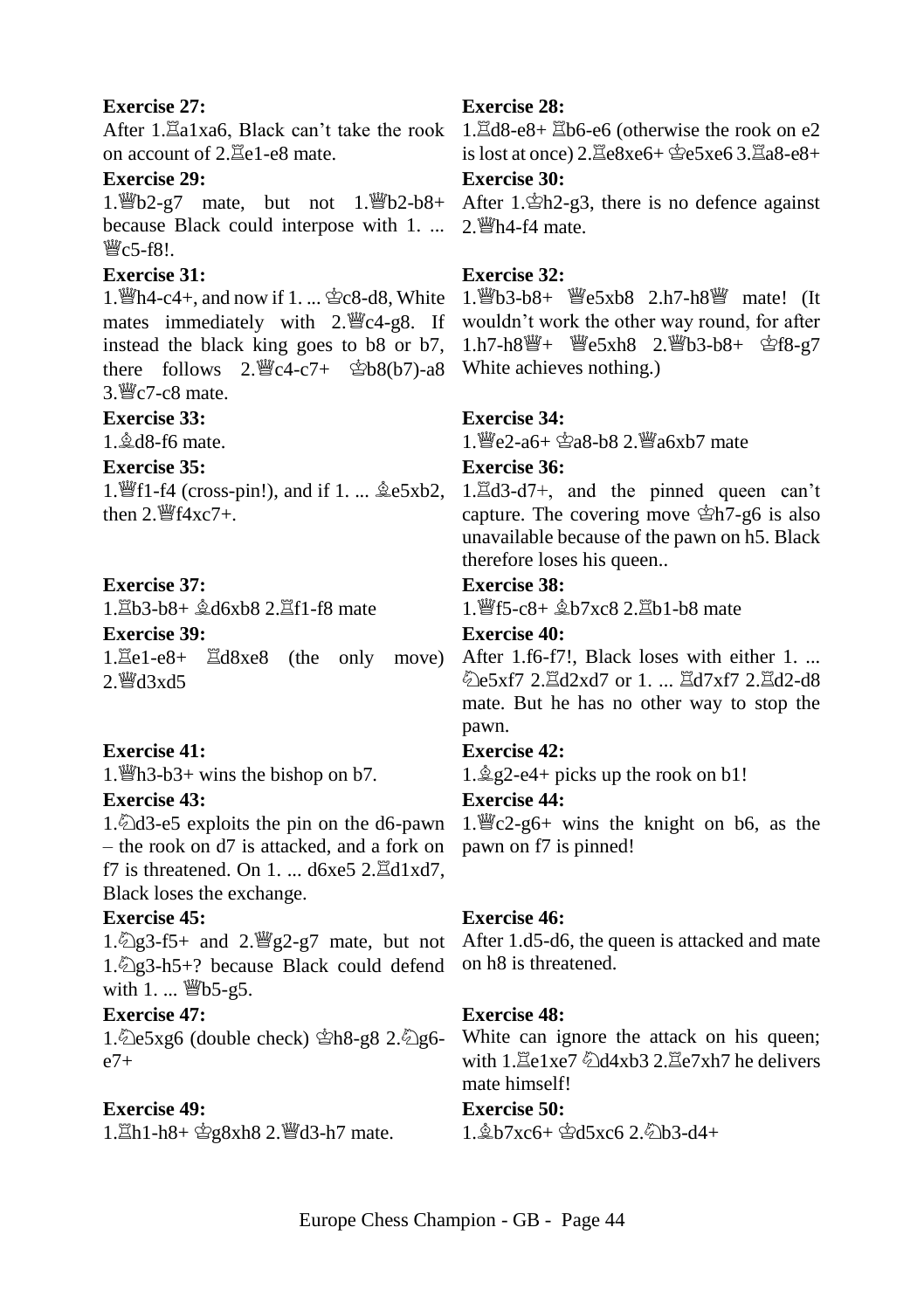#### **Exercise 27:**

on account of  $2.7e1-e8$  mate.

#### **Exercise 29:**

because Black could interpose with 1. ... 2. 瞥h4-f4 mate.  $\mathbb{W}_C$ 5-f8!

# **Exercise 31:**

instead the black king goes to b8 or b7, there follows  $2.\mathcal{C}4-c7+ \oplus b8(b7)$ -a8 White achieves nothing.)  $3 \frac{\text{W}}{\text{C}}$ 7-c8 mate.

#### **Exercise 33:**

 $1 \text{ } \textcircled{d}$  d8-f6 mate.

#### **Exercise 35:**

then  $2 \frac{\omega}{4}$  f4xc7+.

#### **Exercise 37:**

1. $\Xi$ b3-b8+  $\&$ d6xb8 2. $\Xi$ f1-f8 mate

**Exercise 39:** 

1. Le1-e8+  $\Xi$ d8xe8 (the only move) After 1.f6-f7!, Black loses with either 1. ...  $2.$   $\mathcal{H}$ d3xd5

#### **Exercise 41:**

1.  $\mathbb{E}[h3-b3+\text{wins the bishop on } b7$ .

#### **Exercise 43:**

– the rook on d7 is attacked, and a fork on pawn on f7 is pinned! f7 is threatened. On  $1, \ldots$  d6xe5  $2.\mathbb{E}d1xd7$ . Black loses the exchange.

#### **Exercise 45:**

1.  $2g3-h5+$ ? because Black could defend on h8 is threatened. with  $1. ...$   $\mathbb{W}$ b5-g5.

# **Exercise 47:**

1. $\angle 1.$   $\angle 2.5xg6$  (double check)  $\angle 2.62g6$  $e7+$ 

#### **Exercise 49:**

1. Lh1-h8+ 宫g8xh8 2. 曾d3-h7 mate.

#### **Exercise 28:**

After 1. La1xa6, Black can't take the rook 1. Ld8-e8+ Eb6-e6 (otherwise the rook on e2 is lost at once)  $2. \mathbb{E}e8xe6+ \mathbb{E}e5xe63. \mathbb{E}a8-e8+$ 

#### **Exercise 30:**

1. b2-g7 mate, but not 1. b2-b8+ After 1. ch2-g3, there is no defence against

#### **Exercise 32:**

1. 曾h4-c4+, and now if 1. ... \$c8-d8, White 1. 曾b3-b8+ 曾e5xb8 2.h7-h8 曾 mate! (It mates immediately with 2. Feat-g8. If wouldn't work the other way round, for after 1.h7-h8響+ 響e5xh8 2. 響b3-b8+ 含f8-g7

#### **Exercise 34:**

 $1 \frac{w}{2}e^2 - a6 + \frac{w}{2}a8 - b8$  2.  $w$ a6xb7 mate

# **Exercise 36:**

1. If 1-f4 (cross-pin!), and if 1. ...  $\triangleq$ e5xb2, 1. $\triangleq$ d3-d7+, and the pinned queen can't capture. The covering move  $\hat{\mathbb{E}}$ h7-g6 is also unavailable because of the pawn on h5. Black therefore loses his queen..

#### **Exercise 38:**

1. lff5-c8+  $&$ b7xc8 2. lpd1-b8 mate

# **Exercise 40:**

@e5xf7 2. $\Xi$ d2xd7 or 1. ...  $\Xi$ d7xf7 2. $\Xi$ d2-d8 mate. But he has no other way to stop the pawn.

# **Exercise 42:**

 $1.\angle$ g2-e4+ picks up the rook on b1!

#### **Exercise 44:**

1. $\triangle$ d3-e5 exploits the pin on the d6-pawn 1. $\angle$ e2-g6+ wins the knight on b6, as the

#### **Exercise 46:**

1.  $2.93-5+$  and  $2.92-97$  mate, but not After 1.d5-d6, the queen is attacked and mate

#### **Exercise 48:**

White can ignore the attack on his queen; with  $1.$   $\mathbb{E}e1xe7 \sqrt[3]{d4xb3} 2.$   $\mathbb{E}e7xh7$  he delivers mate himself!

# **Exercise 50:**

 $1.\& b7xc6+ \& d5xc6 2.\& b3-d4+$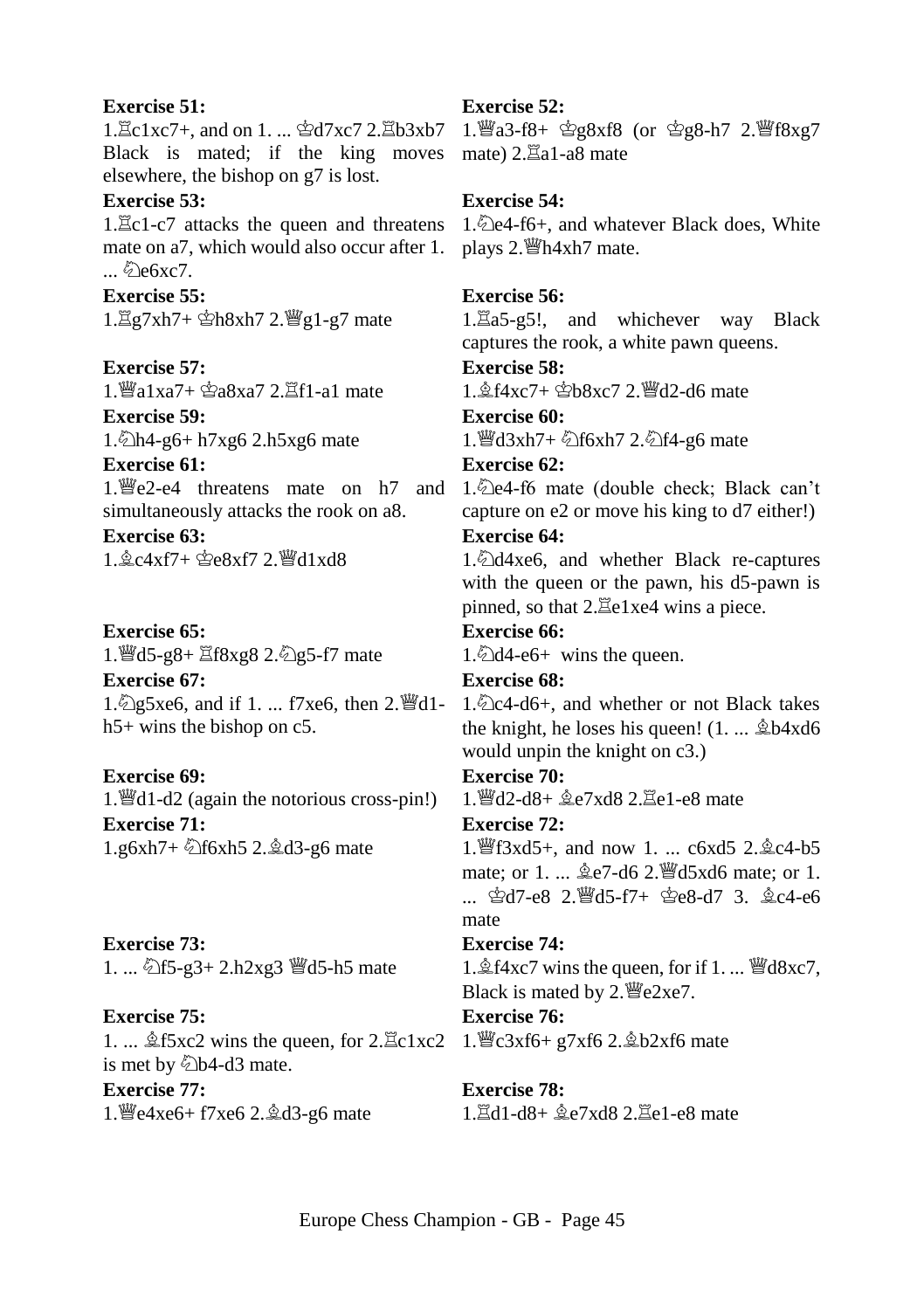#### **Exercise 51:**

Black is mated; if the king moves mate)  $2.\overline{\Xi}a1-a8$  mate elsewhere, the bishop on g7 is lost.

#### **Exercise 53:**

mate on a7, which would also occur after 1. plays 2. 瞥h4xh7 mate.  $\mathcal{L}$  e6xc7.

#### **Exercise 55:**

1. g7xh7+ \$h8xh7 2. 曾g1-g7 mate

# **Exercise 57:**

 $1.$  al xa7+  $\hat{\mathfrak{B}}a8xa7$  2. $\hat{\mathfrak{A}}f1$ -a1 mate **Exercise 59:** 

1. h4-g6+ h7xg6 2.h5xg6 mate

# **Exercise 61:**

simultaneously attacks the rook on a8.

**Exercise 63:**   $1.6c4xf7+\Phi_08xf72.$  Wd1xd8

#### **Exercise 65:**

1. @d5-g8+ 骂f8xg8 2. @g5-f7 mate

# **Exercise 67:**  1.  $\log 5xe6$ , and if 1. ... f7xe6, then 2.  $\mathbb{H}d1$ h5+ wins the bishop on c5.

# **Exercise 69:**

1. $\mathcal{H}$ d1-d2 (again the notorious cross-pin!) **Exercise 71:**  1.g6xh7+ @f6xh5 2. @d3-g6 mate

# **Exercise 73:**  1. ... ۞f5-g3+ 2.h2xg3 ■d5-h5 mate

**Exercise 75:**  1. ...  $\triangle$ f5xc2 wins the queen, for 2. $\Xi$ c1xc2 1. We3xf6+ g7xf6 2. $\triangle$ b2xf6 mate is met by  $\&$ b4-d3 mate. **Exercise 77:**  1.  $e^{4x}e^{6} + 7xe^{6} 2 \cdot 2d^{3} - 96$  mate

# **Exercise 52:**

1. Ec1xc7+, and on 1. ... 空d7xc7 2. Eb3xb7 1. 響a3-f8+ 空g8xf8 (or 空g8-h7 2. 譬f8xg7

# **Exercise 54:**

1. Ec1-c7 attacks the queen and threatens 1. De4-f6+, and whatever Black does, White

# **Exercise 56:**

 $1.\overline{\mathbb{Z}}a5-g5!$ , and whichever way Black captures the rook, a white pawn queens.

# **Exercise 58:**

 $1.6$   $4xc7 + 2$   $8xc7$   $2.8$   $d2$ -d6 mate

# **Exercise 60:**

1. @d3xh7+ 公f6xh7 2. 公f4-g6 mate

# **Exercise 62:**

1. Fe2-e4 threatens mate on h7 and 1. De4-f6 mate (double check; Black can't capture on e2 or move his king to d7 either!)

# **Exercise 64:**

1. d4xe6, and whether Black re-captures with the queen or the pawn, his d5-pawn is pinned, so that  $2.\overline{\Xi}$ e1xe4 wins a piece.

# **Exercise 66:**

1.  $4$ -e6+ wins the queen.

# **Exercise 68:**

 $1.\overline{\&}$ c4-d6+, and whether or not Black takes the knight, he loses his queen!  $(1, \ldots \hat{2}b4x d6)$ would unpin the knight on c3.)

# **Exercise 70:**

1. 曾d2-d8+  $\triangle$ e7xd8 2. Ee1-e8 mate

# **Exercise 72:**

1. f3xd5+, and now 1. ... c6xd5 2. gc4-b5 mate; or 1. ...  $\triangle$ e7-d6 2. Nd5xd6 mate; or 1.  $\therefore$   $\oplus$ d7-e8  $2.\overline{9}$ d5-f7+  $\oplus$ e8-d7 3.  $\oplus$ c4-e6 mate

# **Exercise 74:**

1. $\&$ f4xc7 wins the queen, for if 1. ...  $\mathbb{W}d8xc7$ , Black is mated by  $2.\n\t\t\mathbb{E}e2xe7$ .

# **Exercise 76:**

# **Exercise 78:**

 $1.7d1-d8+\text{e}^2e7xd8$   $2.7ed1-e8$  mate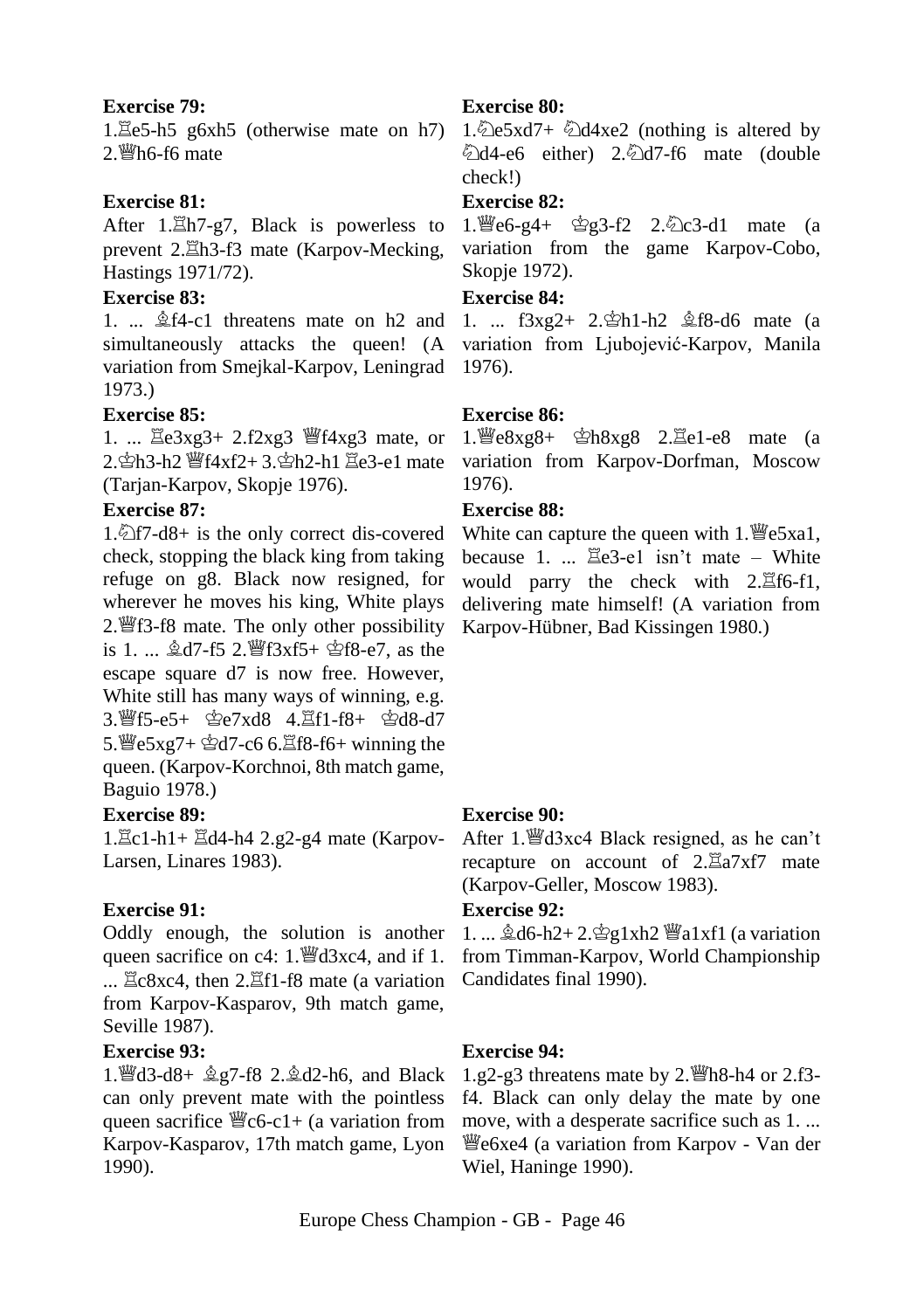#### **Exercise 79:**

 $1.\overline{\mathbb{E}}e5-h5$  g6xh5 (otherwise mate on h7)  $2.$  Wh6-f6 mate

# **Exercise 81:**

After 1. Lh7-g7, Black is powerless to prevent 2. $\Xi$ h3-f3 mate (Karpov-Mecking, Hastings 1971/72).

# **Exercise 83:**

1. ...  $\triangle$  f4-c1 threatens mate on h2 and simultaneously attacks the queen! (A variation from Smejkal-Karpov, Leningrad 1973.)

#### **Exercise 85:**

1. ...  $\Xi e 3xg3 + 2.f2xg3$  |  $\Xi$  f4xg3 mate, or  $2.\n$  $2.$  $\n *2*$  $\n *2*$  $\n *2*$  $\n *2* + 3.\n *2*$  $\n *2* - 1\n *2*$  $\n *2* - 1\n *2*$  $\n *2* - 1\n *2*$ (Tarjan-Karpov, Skopje 1976).

#### **Exercise 87:**

1. $\angle$ f7-d8+ is the only correct dis-covered check, stopping the black king from taking refuge on g8. Black now resigned, for wherever he moves his king, White plays 2. f8 mate. The only other possibility is 1. ...  $\&$  d7-f5 2.  $\frac{36}{25}$  f3xf5+  $\&$  f8-e7, as the escape square d7 is now free. However, White still has many ways of winning, e.g. 3. 暂f5-e5+ 空e7xd8 4. 置f1-f8+ 空d8-d7  $5.$  曾 $5xg7 +$  空 $d7 - c6$  6. $\Xi$ f8-f6+ winning the queen. (Karpov-Korchnoi, 8th match game, Baguio 1978.)

#### **Exercise 89:**

 $1.\Xi$ c1-h1+ $\Xi$ d4-h4 2.g2-g4 mate (Karpov-Larsen, Linares 1983).

#### **Exercise 91:**

Oddly enough, the solution is another queen sacrifice on c4:  $1.$  We d3xc4, and if 1. ...  $\Xi c8xc4$ , then 2. $\Xi f1-f8$  mate (a variation from Karpov-Kasparov, 9th match game, Seville 1987).

# **Exercise 93:**

1. @d3-d8+  $2.2$ d2-h6, and Black can only prevent mate with the pointless queen sacrifice  $\mathcal{C}_c(6-c1)+(a \text{ variation from})$ Karpov-Kasparov, 17th match game, Lyon 1990).

# **Exercise 80:**

1. $\triangle$ e5xd7+  $\triangle$ d4xe2 (nothing is altered by @d4-e6 either) 2.@d7-f6 mate (double check!)

#### **Exercise 82:**

 $1.$  [[e6-g4+  $g^2$ g3-f2 2. $g^2$ c3-d1 mate (a variation from the game Karpov-Cobo, Skopje 1972).

#### **Exercise 84:**

1. ...  $f3xe2 + 2.\Phi h1-h2 \trianglelefteq f8-d6$  mate (a variation from Ljubojević-Karpov, Manila 1976).

#### **Exercise 86:**

 $1.$   $\mathcal{L}$ e8xg8+  $\mathcal{L}$ h8xg8 2. $\mathcal{L}$ e1-e8 mate (a variation from Karpov-Dorfman, Moscow 1976).

#### **Exercise 88:**

White can capture the queen with  $1.$   $\mathcal{L}$  e5xa1, because 1. ...  $\mathbb{E}e3-e1$  isn't mate – White would parry the check with  $2.\Xi$ f6-f1, delivering mate himself! (A variation from Karpov-Hübner, Bad Kissingen 1980.)

#### **Exercise 90:**

After 1. @d3xc4 Black resigned, as he can't recapture on account of  $2.\overline{\mathbb{Z}}a7xf7$  mate (Karpov-Geller, Moscow 1983).

#### **Exercise 92:**

1. ...  $\&$ d6-h2+2. $\&$ g1xh2  $\&$ a1xf1 (a variation from Timman-Karpov, World Championship Candidates final 1990).

#### **Exercise 94:**

1.g2-g3 threatens mate by 2.  $\mathcal{W}$ h8-h4 or 2.f3f4. Black can only delay the mate by one move, with a desperate sacrifice such as 1. ... e6xe4 (a variation from Karpov - Van der Wiel, Haninge 1990).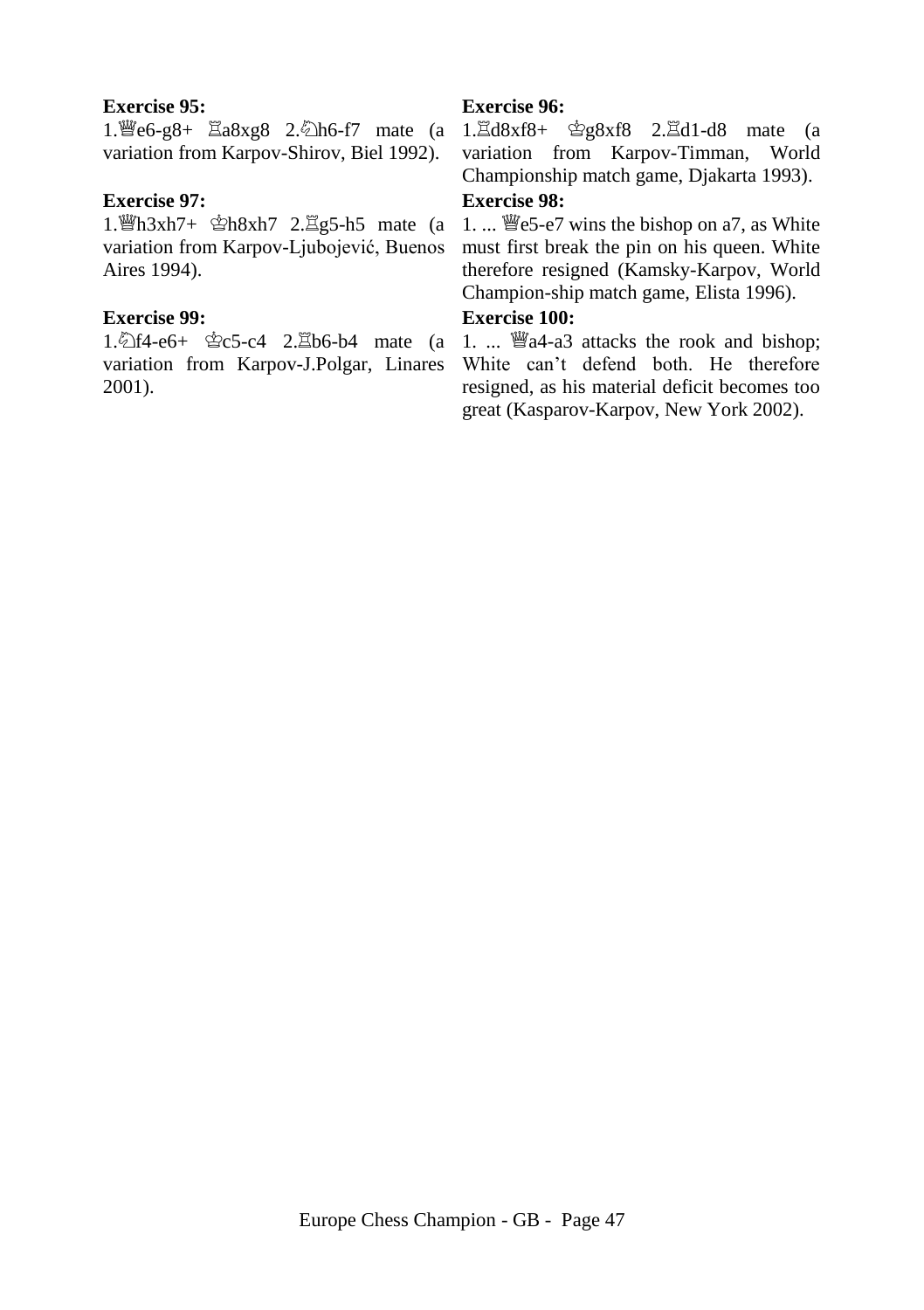#### **Exercise 95:**

variation from Karpov-Shirov, Biel 1992).

#### **Exercise 97:**

1.  $h_1h_3xh7 + h_2h_3xh7$  2.  $\Xi$ g5-h5 mate (a variation from Karpov-Ljubojević, Buenos Aires 1994).

#### **Exercise 99:**

2001).

# **Exercise 96:**

1. 曾e6-g8+  $\Xi$ a8xg8 2. 幻h6-f7 mate (a 1. $\Xi$ d8xf8+ 空g8xf8 2. $\Xi$ d1-d8 mate (a variation from Karpov-Timman, World Championship match game, Djakarta 1993).

# **Exercise 98:**

1. ... We5-e7 wins the bishop on a7, as White must first break the pin on his queen. White therefore resigned (Kamsky-Karpov, World Champion-ship match game, Elista 1996).

# **Exercise 100:**

1. $\text{\textcircled{14-}}e6+ \text{\textcircled{15-}}c4$  2. $\text{\textcircled{2}b6-b4}$  mate (a 1. ...  $\text{\textcircled{44-a3}}$  attacks the rook and bishop; variation from Karpov-J.Polgar, Linares White can't defend both. He therefore resigned, as his material deficit becomes too great (Kasparov-Karpov, New York 2002).